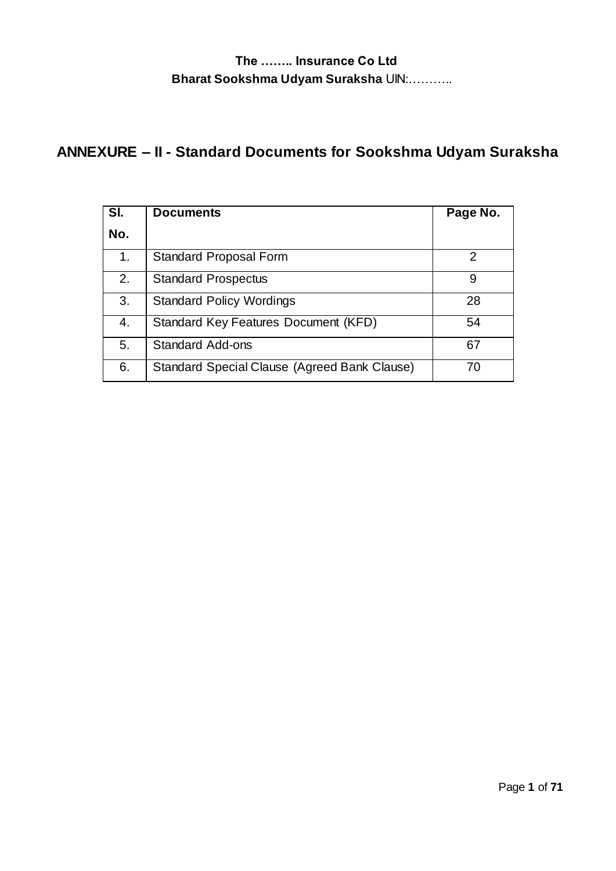# **ANNEXURE – II - Standard Documents for Sookshma Udyam Suraksha**

| SI. | <b>Documents</b>                             | Page No. |
|-----|----------------------------------------------|----------|
| No. |                                              |          |
| 1.  | Standard Proposal Form                       |          |
| 2.  | <b>Standard Prospectus</b>                   | 9        |
| 3.  | <b>Standard Policy Wordings</b>              | 28       |
| 4.  | Standard Key Features Document (KFD)         | 54       |
| 5.  | <b>Standard Add-ons</b>                      | 67       |
| 6.  | Standard Special Clause (Agreed Bank Clause) | 70       |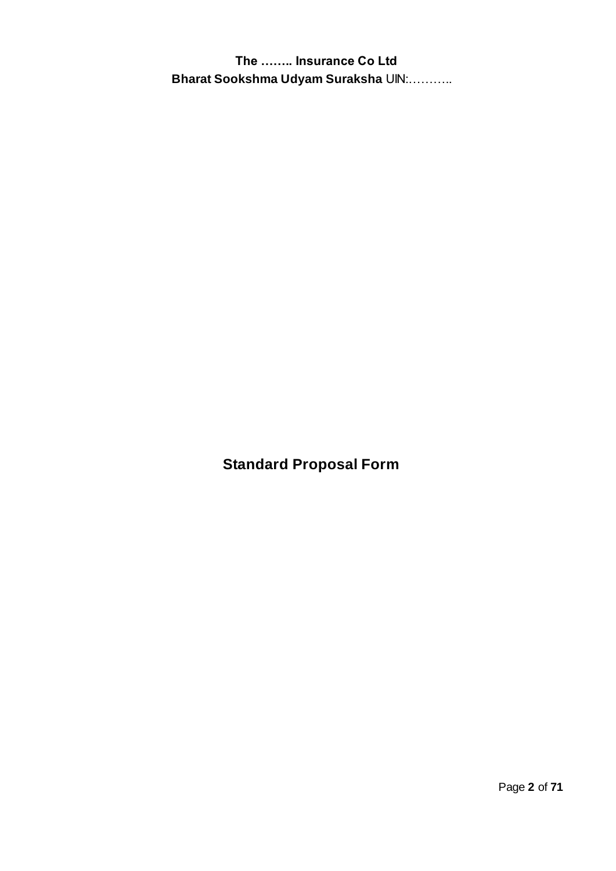**Standard Proposal Form**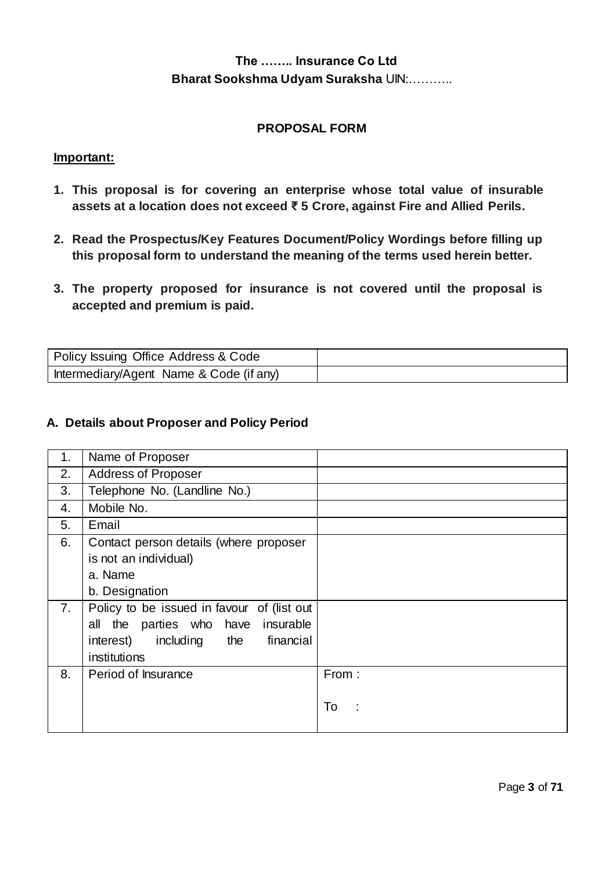#### **PROPOSAL FORM**

#### **Important:**

- **1. This proposal is for covering an enterprise whose total value of insurable assets at a location does not exceed ₹ 5 Crore, against Fire and Allied Perils.**
- **2. Read the Prospectus/Key Features Document/Policy Wordings before filling up this proposal form to understand the meaning of the terms used herein better.**
- **3. The property proposed for insurance is not covered until the proposal is accepted and premium is paid.**

| Policy Issuing Office Address & Code    |  |
|-----------------------------------------|--|
| Intermediary/Agent Name & Code (if any) |  |

#### **A. Details about Proposer and Policy Period**

| 1. | Name of Proposer                           |         |
|----|--------------------------------------------|---------|
| 2. | <b>Address of Proposer</b>                 |         |
| 3. | Telephone No. (Landline No.)               |         |
| 4. | Mobile No.                                 |         |
| 5. | Email                                      |         |
| 6. | Contact person details (where proposer     |         |
|    | is not an individual)                      |         |
|    | a. Name                                    |         |
|    | b. Designation                             |         |
| 7. | Policy to be issued in favour of (list out |         |
|    | parties who have insurable<br>all the      |         |
|    | including the financial<br>interest)       |         |
|    | institutions                               |         |
| 8. | Period of Insurance                        | From:   |
|    |                                            |         |
|    |                                            | To<br>÷ |
|    |                                            |         |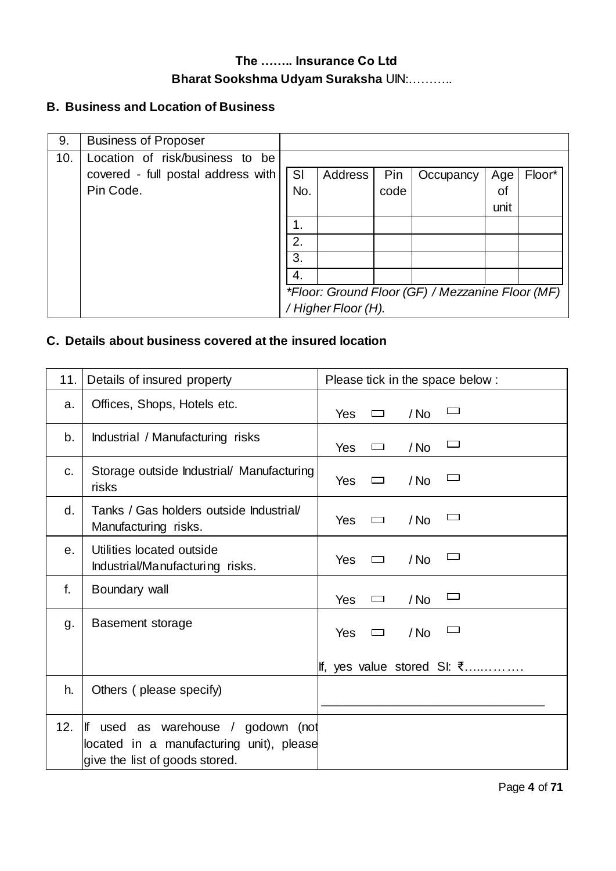## **B. Business and Location of Business**

| 9.  | <b>Business of Proposer</b>        |     |                     |      |                                                  |      |        |
|-----|------------------------------------|-----|---------------------|------|--------------------------------------------------|------|--------|
| 10. | Location of risk/business to<br>be |     |                     |      |                                                  |      |        |
|     | covered - full postal address with | SI  | Address             | Pin  | Occupancy                                        | Age  | Floor* |
|     | Pin Code.                          | No. |                     | code |                                                  | οt   |        |
|     |                                    |     |                     |      |                                                  | unit |        |
|     |                                    | 1.  |                     |      |                                                  |      |        |
|     |                                    | 2.  |                     |      |                                                  |      |        |
|     |                                    | 3.  |                     |      |                                                  |      |        |
|     |                                    | 4.  |                     |      |                                                  |      |        |
|     |                                    |     |                     |      | *Floor: Ground Floor (GF) / Mezzanine Floor (MF) |      |        |
|     |                                    |     | / Higher Floor (H). |      |                                                  |      |        |

## **C. Details about business covered at the insured location**

| 11. | Details of insured property                                                                                         | Please tick in the space below:        |
|-----|---------------------------------------------------------------------------------------------------------------------|----------------------------------------|
| a.  | Offices, Shops, Hotels etc.                                                                                         | <b>Yes</b><br>/ No<br>$\Box$           |
| b.  | Industrial / Manufacturing risks                                                                                    | <b>Yes</b><br>/ No<br>$\Box$           |
| C.  | Storage outside Industrial/ Manufacturing<br>risks                                                                  | Yes<br>/ No<br>ᄆ                       |
| d.  | Tanks / Gas holders outside Industrial/<br>Manufacturing risks.                                                     | <b>Yes</b><br>/ No<br>▭                |
| е.  | Utilities located outside<br>Industrial/Manufacturing risks.                                                        | <b>Yes</b><br>/ No<br>$\Box$           |
| f.  | Boundary wall                                                                                                       | $\Box$<br><b>Yes</b><br>/ No<br>$\Box$ |
| g.  | Basement storage                                                                                                    | $/$ No<br><b>Yes</b><br>$\Box$         |
|     |                                                                                                                     | Iff, yes value stored SI: ₹            |
| h.  | Others (please specify)                                                                                             |                                        |
| 12. | lf<br>used as warehouse / godown (not<br>located in a manufacturing unit), please<br>give the list of goods stored. |                                        |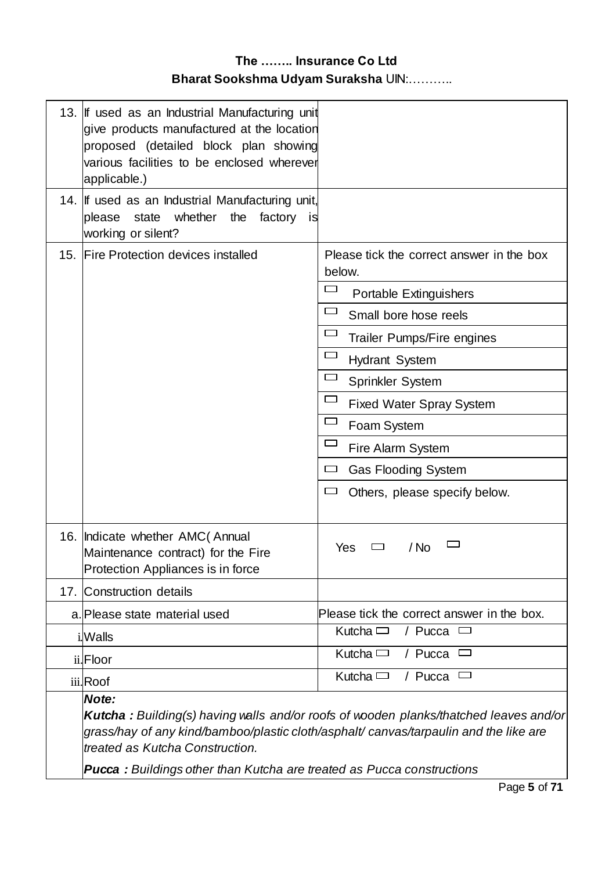|     | 13. If used as an Industrial Manufacturing unit<br>give products manufactured at the location<br>proposed (detailed block plan showing<br>various facilities to be enclosed wherever<br>applicable.)              |                                                                                              |
|-----|-------------------------------------------------------------------------------------------------------------------------------------------------------------------------------------------------------------------|----------------------------------------------------------------------------------------------|
|     | 14. If used as an Industrial Manufacturing unit,<br>whether<br>state<br>the<br>factory is<br>please<br>working or silent?                                                                                         |                                                                                              |
| 15. | <b>Fire Protection devices installed</b>                                                                                                                                                                          | Please tick the correct answer in the box<br>below.                                          |
|     |                                                                                                                                                                                                                   | Portable Extinguishers                                                                       |
|     |                                                                                                                                                                                                                   | ▭<br>Small bore hose reels                                                                   |
|     |                                                                                                                                                                                                                   | Trailer Pumps/Fire engines                                                                   |
|     |                                                                                                                                                                                                                   | <b>Hydrant System</b>                                                                        |
|     |                                                                                                                                                                                                                   | <b>Sprinkler System</b>                                                                      |
|     |                                                                                                                                                                                                                   | <b>Fixed Water Spray System</b>                                                              |
|     |                                                                                                                                                                                                                   | Foam System                                                                                  |
|     |                                                                                                                                                                                                                   | □<br>Fire Alarm System                                                                       |
|     |                                                                                                                                                                                                                   | <b>Gas Flooding System</b>                                                                   |
|     |                                                                                                                                                                                                                   | Others, please specify below.<br>لــا                                                        |
|     | 16. Indicate whether AMC (Annual<br>Maintenance contract) for the Fire<br>Protection Appliances is in force                                                                                                       | Yes<br>/ No                                                                                  |
|     | 17. Construction details                                                                                                                                                                                          |                                                                                              |
|     | a. Please state material used                                                                                                                                                                                     | Please tick the correct answer in the box.                                                   |
|     | i.Walls                                                                                                                                                                                                           | Kutcha $\Box$<br>/ Pucca                                                                     |
|     | ii.Floor                                                                                                                                                                                                          | Kutcha $\Box$<br>/ Pucca<br>▭                                                                |
|     | iii.Roof                                                                                                                                                                                                          | Kutcha $\Box$<br>/ Pucca                                                                     |
|     | Note:<br>grass/hay of any kind/bamboo/plastic cloth/asphalt/ canvas/tarpaulin and the like are<br>treated as Kutcha Construction.<br><b>Pucca:</b> Buildings other than Kutcha are treated as Pucca constructions | <b>Kutcha:</b> Building(s) having walls and/or roofs of wooden planks/thatched leaves and/or |
|     |                                                                                                                                                                                                                   |                                                                                              |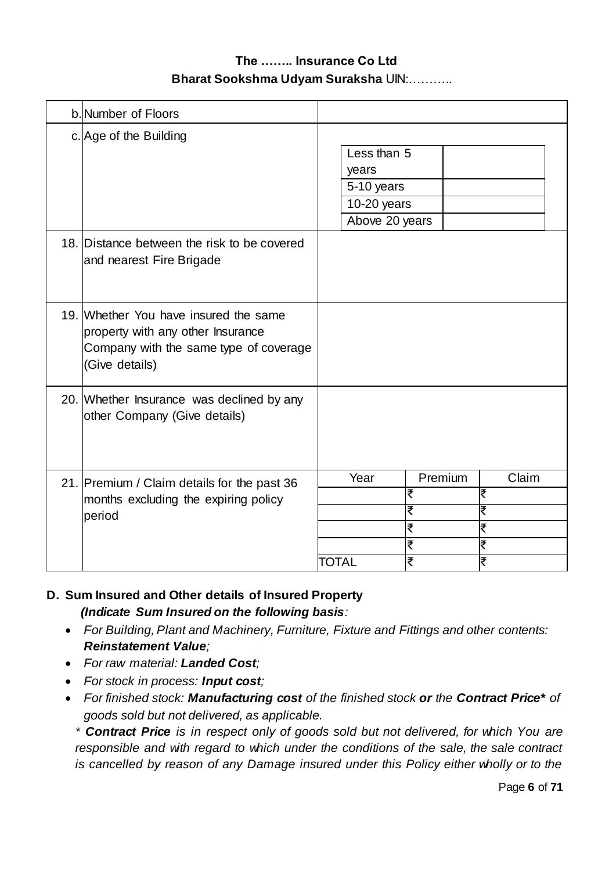| b. Number of Floors                                                                                                                    |       |                                                                       |         |        |       |
|----------------------------------------------------------------------------------------------------------------------------------------|-------|-----------------------------------------------------------------------|---------|--------|-------|
| c. Age of the Building                                                                                                                 |       | Less than 5<br>years<br>5-10 years<br>$10-20$ years<br>Above 20 years |         |        |       |
| 18. Distance between the risk to be covered<br>and nearest Fire Brigade                                                                |       |                                                                       |         |        |       |
| 19. Whether You have insured the same<br>property with any other Insurance<br>Company with the same type of coverage<br>(Give details) |       |                                                                       |         |        |       |
| 20. Whether Insurance was declined by any<br>other Company (Give details)                                                              |       |                                                                       |         |        |       |
| 21. Premium / Claim details for the past 36                                                                                            |       | Year                                                                  | Premium |        | Claim |
| months excluding the expiring policy                                                                                                   |       |                                                                       | ₹<br>₹  | ₹<br>₹ |       |
| period                                                                                                                                 |       |                                                                       | ₹       | ₹      |       |
|                                                                                                                                        |       |                                                                       | ₹       | ₹      |       |
|                                                                                                                                        | TOTAL |                                                                       | ₹       | ₹      |       |

#### **D. Sum Insured and Other details of Insured Property**  *(Indicate Sum Insured on the following basis:*

- *For Building, Plant and Machinery, Furniture, Fixture and Fittings and other contents: Reinstatement Value;*
- *For raw material: Landed Cost;*
- *For stock in process: Input cost;*
- *For finished stock: Manufacturing cost of the finished stock or the Contract Price\* of goods sold but not delivered, as applicable.*

*\* Contract Price is in respect only of goods sold but not delivered, for which You are responsible and with regard to which under the conditions of the sale, the sale contract is cancelled by reason of any Damage insured under this Policy either wholly or to the*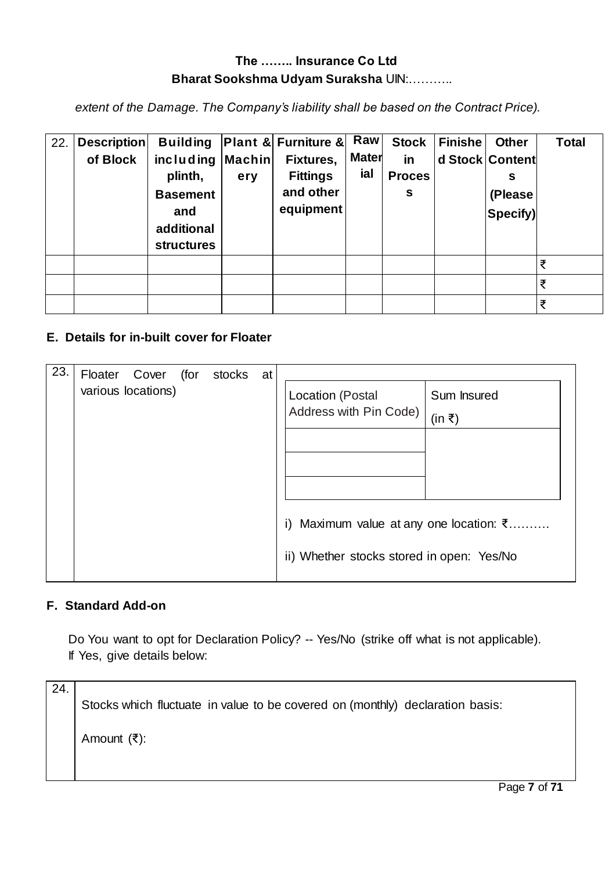*extent of the Damage. The Company's liability shall be based on the Contract Price).*

| 22. | <b>Description</b> |                                                                                                 |     | Building Plant & Furniture & Raw                       |                     | <b>Stock</b>             | <b>Finishe</b> | <b>Other</b>                                | <b>Total</b> |
|-----|--------------------|-------------------------------------------------------------------------------------------------|-----|--------------------------------------------------------|---------------------|--------------------------|----------------|---------------------------------------------|--------------|
|     | of Block           | $inc$ luding $ Machin $<br>plinth,<br><b>Basement</b><br>and<br>additional<br><b>structures</b> | ery | Fixtures,<br><b>Fittings</b><br>and other<br>equipment | <b>Mater</b><br>ial | in<br><b>Proces</b><br>S |                | d Stock Content<br>s<br>(Please<br> Specify |              |
|     |                    |                                                                                                 |     |                                                        |                     |                          |                |                                             | ₹            |
|     |                    |                                                                                                 |     |                                                        |                     |                          |                |                                             | ₹            |
|     |                    |                                                                                                 |     |                                                        |                     |                          |                |                                             | ₹            |

#### **E. Details for in-built cover for Floater**

| 23. | Floater            | Cover | (for | stocks | at |                                                   |
|-----|--------------------|-------|------|--------|----|---------------------------------------------------|
|     | various locations) |       |      |        |    | Sum Insured<br>Location (Postal                   |
|     |                    |       |      |        |    | Address with Pin Code)<br>(in ₹)                  |
|     |                    |       |      |        |    |                                                   |
|     |                    |       |      |        |    |                                                   |
|     |                    |       |      |        |    |                                                   |
|     |                    |       |      |        |    | i) Maximum value at any one location: $\bar{\xi}$ |
|     |                    |       |      |        |    | ii) Whether stocks stored in open: Yes/No         |
|     |                    |       |      |        |    |                                                   |

#### **F. Standard Add-on**

Do You want to opt for Declaration Policy? -- Yes/No (strike off what is not applicable). If Yes, give details below:

24. Stocks which fluctuate in value to be covered on (monthly) declaration basis: Amount (₹):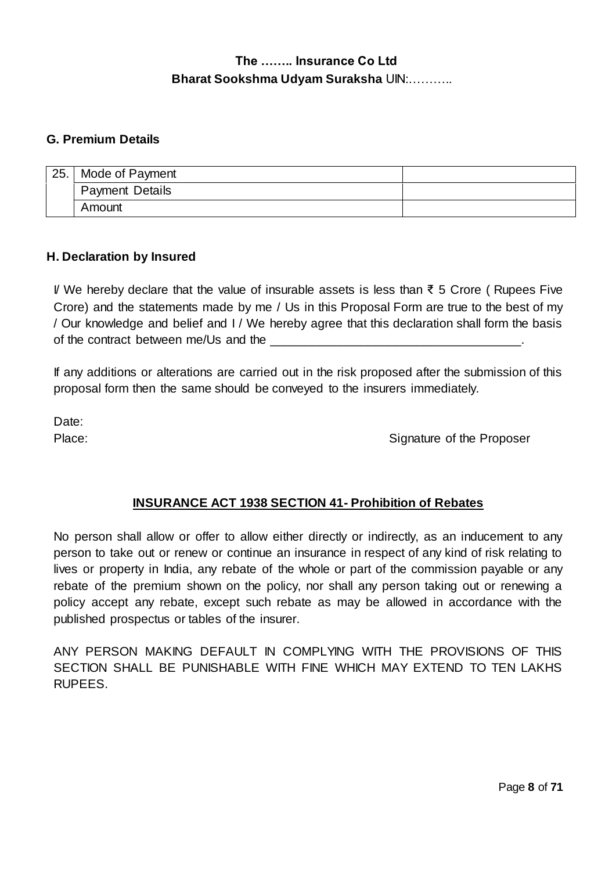#### **G. Premium Details**

| 25. | Mode of Payment        |  |
|-----|------------------------|--|
|     | <b>Payment Details</b> |  |
|     | Amount                 |  |

#### **H. Declaration by Insured**

I/ We hereby declare that the value of insurable assets is less than ₹ 5 Crore ( Rupees Five Crore) and the statements made by me / Us in this Proposal Form are true to the best of my / Our knowledge and belief and I / We hereby agree that this declaration shall form the basis of the contract between me/Us and the

If any additions or alterations are carried out in the risk proposed after the submission of this proposal form then the same should be conveyed to the insurers immediately.

Date:

Place: Signature of the Proposer

#### **INSURANCE ACT 1938 SECTION 41- Prohibition of Rebates**

No person shall allow or offer to allow either directly or indirectly, as an inducement to any person to take out or renew or continue an insurance in respect of any kind of risk relating to lives or property in India, any rebate of the whole or part of the commission payable or any rebate of the premium shown on the policy, nor shall any person taking out or renewing a policy accept any rebate, except such rebate as may be allowed in accordance with the published prospectus or tables of the insurer.

ANY PERSON MAKING DEFAULT IN COMPLYING WITH THE PROVISIONS OF THIS SECTION SHALL BE PUNISHABLE WITH FINE WHICH MAY EXTEND TO TEN LAKHS RUPEES.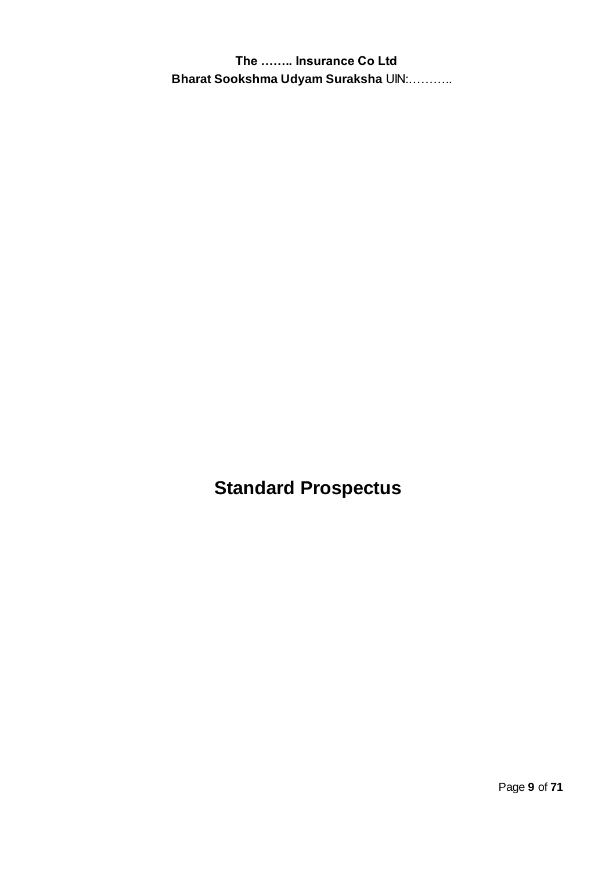**Standard Prospectus**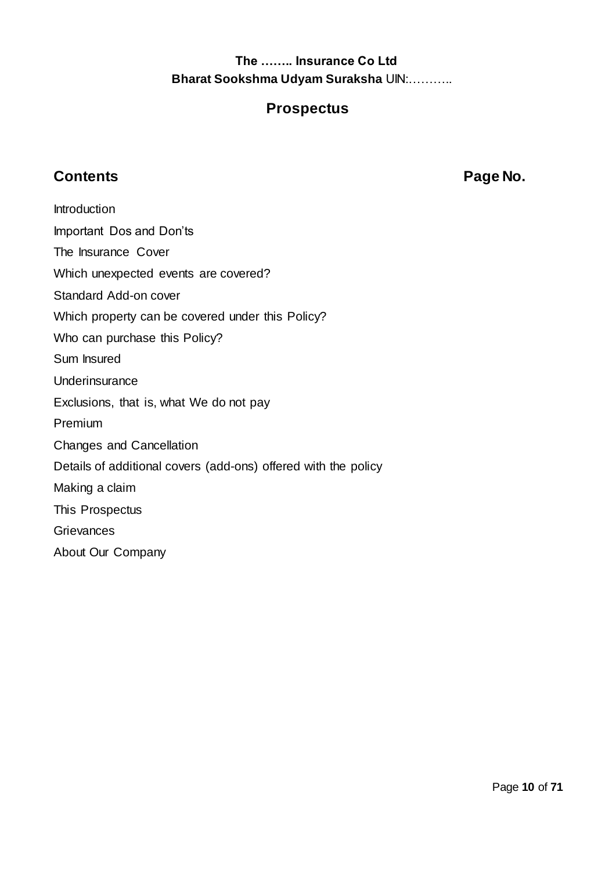# **Prospectus**

# **Contents Page No.**

**Introduction** Important Dos and Don'ts The Insurance Cover Which unexpected events are covered? Standard Add-on cover Which property can be covered under this Policy? Who can purchase this Policy? Sum Insured Underinsurance Exclusions, that is, what We do not pay Premium Changes and Cancellation Details of additional covers (add-ons) offered with the policy Making a claim This Prospectus **Grievances** About Our Company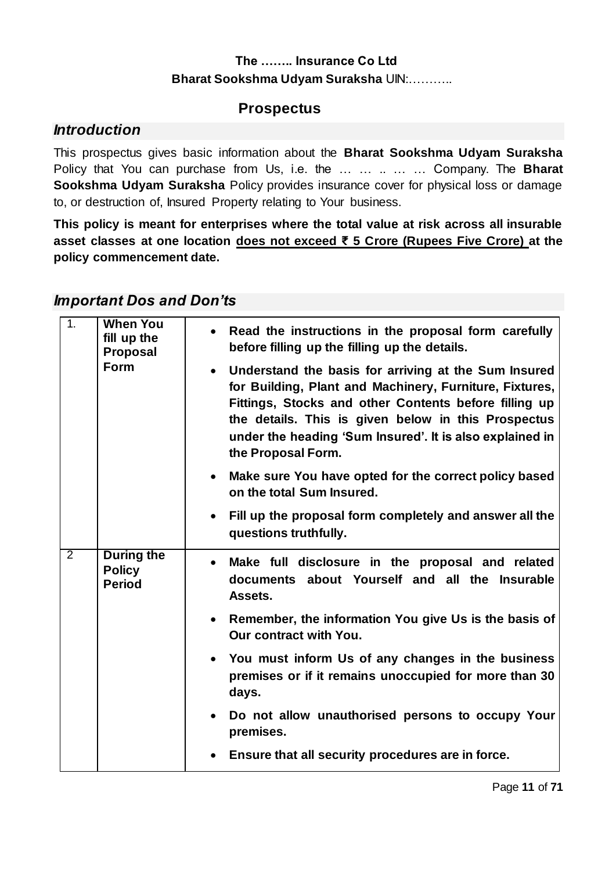# **Prospectus**

## *Introduction*

This prospectus gives basic information about the **Bharat Sookshma Udyam Suraksha** Policy that You can purchase from Us, i.e. the … … .. … … Company. The **Bharat Sookshma Udyam Suraksha** Policy provides insurance cover for physical loss or damage to, or destruction of, Insured Property relating to Your business.

**This policy is meant for enterprises where the total value at risk across all insurable asset classes at one location does not exceed ₹ 5 Crore (Rupees Five Crore) at the policy commencement date.**

## *Important Dos and Don'ts*

| 1.             | <b>When You</b><br>fill up the                      | • Read the instructions in the proposal form carefully                                                                                                                                                                                                                                                                                                             |
|----------------|-----------------------------------------------------|--------------------------------------------------------------------------------------------------------------------------------------------------------------------------------------------------------------------------------------------------------------------------------------------------------------------------------------------------------------------|
|                | <b>Proposal</b><br>Form                             | before filling up the filling up the details.<br>Understand the basis for arriving at the Sum Insured<br>for Building, Plant and Machinery, Furniture, Fixtures,<br>Fittings, Stocks and other Contents before filling up<br>the details. This is given below in this Prospectus<br>under the heading 'Sum Insured'. It is also explained in<br>the Proposal Form. |
|                |                                                     | Make sure You have opted for the correct policy based<br>$\bullet$<br>on the total Sum Insured.                                                                                                                                                                                                                                                                    |
|                |                                                     | Fill up the proposal form completely and answer all the<br>questions truthfully.                                                                                                                                                                                                                                                                                   |
| $\overline{2}$ | <b>During the</b><br><b>Policy</b><br><b>Period</b> | Make full disclosure in the proposal and related<br>documents about Yourself and all the Insurable<br>Assets.                                                                                                                                                                                                                                                      |
|                |                                                     | • Remember, the information You give Us is the basis of<br>Our contract with You.                                                                                                                                                                                                                                                                                  |
|                |                                                     | You must inform Us of any changes in the business<br>premises or if it remains unoccupied for more than 30<br>days.                                                                                                                                                                                                                                                |
|                |                                                     | • Do not allow unauthorised persons to occupy Your<br>premises.                                                                                                                                                                                                                                                                                                    |
|                |                                                     | Ensure that all security procedures are in force.<br>$\bullet$                                                                                                                                                                                                                                                                                                     |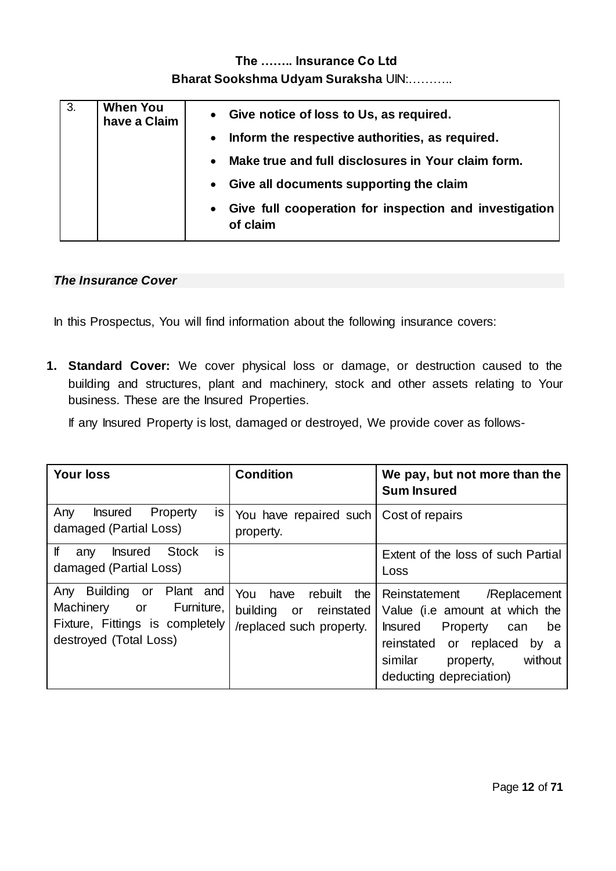# **The …….. Insurance Co Ltd**

#### **Bharat Sookshma Udyam Suraksha** UIN:………..

| 3. | <b>When You</b><br>have a Claim |           | • Give notice of loss to Us, as required.                          |
|----|---------------------------------|-----------|--------------------------------------------------------------------|
|    |                                 | $\bullet$ | Inform the respective authorities, as required.                    |
|    |                                 | $\bullet$ | Make true and full disclosures in Your claim form.                 |
|    |                                 | $\bullet$ | Give all documents supporting the claim                            |
|    |                                 | $\bullet$ | Give full cooperation for inspection and investigation<br>of claim |

#### *The Insurance Cover*

In this Prospectus, You will find information about the following insurance covers:

**1. Standard Cover:** We cover physical loss or damage, or destruction caused to the building and structures, plant and machinery, stock and other assets relating to Your business. These are the Insured Properties.

If any Insured Property is lost, damaged or destroyed, We provide cover as follows-

| <b>Your loss</b>                                                                                                           | <b>Condition</b>                                                                    | We pay, but not more than the<br><b>Sum Insured</b>                                                                                                                                                        |
|----------------------------------------------------------------------------------------------------------------------------|-------------------------------------------------------------------------------------|------------------------------------------------------------------------------------------------------------------------------------------------------------------------------------------------------------|
| Property<br><b>Insured</b><br>Any<br>is.<br>damaged (Partial Loss)                                                         | You have repaired such   Cost of repairs<br>property.                               |                                                                                                                                                                                                            |
| is<br>lf<br><b>Stock</b><br><b>Insured</b><br>any<br>damaged (Partial Loss)                                                |                                                                                     | Extent of the loss of such Partial<br>Loss                                                                                                                                                                 |
| Building or Plant and<br>Any<br>Furniture,<br>Machinery<br>or<br>Fixture, Fittings is completely<br>destroyed (Total Loss) | You<br>rebuilt<br>the<br>have<br>building or reinstated<br>/replaced such property. | Reinstatement<br>/Replacement<br>Value (i.e amount at which the<br><b>Insured</b><br>Property<br>be<br>can<br>reinstated or replaced<br>by a<br>without<br>similar<br>property,<br>deducting depreciation) |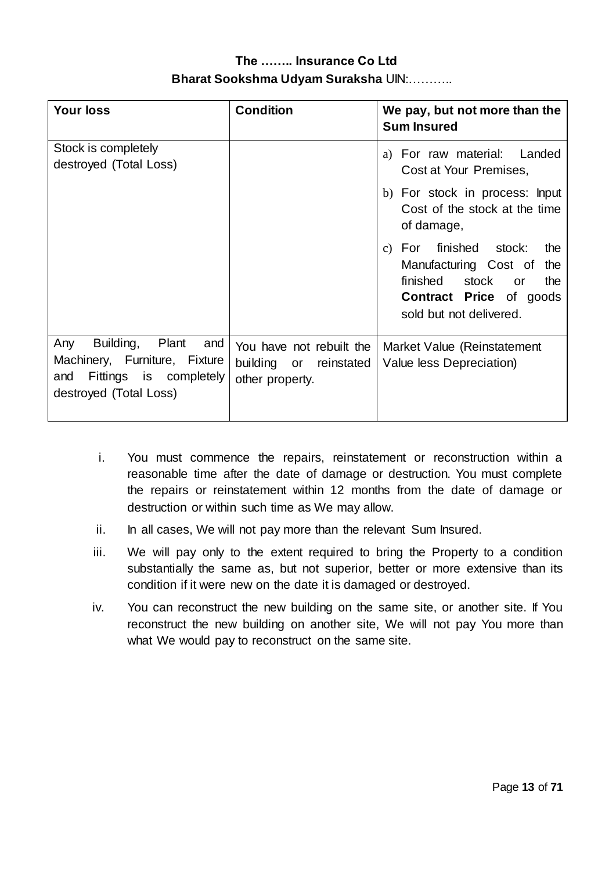| <b>Your loss</b>                                                                                                             | <b>Condition</b>                                                         | We pay, but not more than the<br><b>Sum Insured</b>                                                                                                                                 |
|------------------------------------------------------------------------------------------------------------------------------|--------------------------------------------------------------------------|-------------------------------------------------------------------------------------------------------------------------------------------------------------------------------------|
| Stock is completely<br>destroyed (Total Loss)                                                                                |                                                                          | For raw material: Landed<br>a)<br>Cost at Your Premises,                                                                                                                            |
|                                                                                                                              |                                                                          | b) For stock in process: Input<br>Cost of the stock at the time<br>of damage,                                                                                                       |
|                                                                                                                              |                                                                          | For finished stock:<br>the<br>$\mathcal{C}$ )<br>Manufacturing Cost of<br>the<br>finished<br>stock<br>the<br><b>or</b><br><b>Contract Price of goods</b><br>sold but not delivered. |
| Building,<br>Plant<br>Any<br>and<br>Machinery, Furniture, Fixture<br>Fittings is completely<br>and<br>destroyed (Total Loss) | You have not rebuilt the<br>building or<br>reinstated<br>other property. | Market Value (Reinstatement<br>Value less Depreciation)                                                                                                                             |

- i. You must commence the repairs, reinstatement or reconstruction within a reasonable time after the date of damage or destruction. You must complete the repairs or reinstatement within 12 months from the date of damage or destruction or within such time as We may allow.
- ii. In all cases, We will not pay more than the relevant Sum Insured.
- iii. We will pay only to the extent required to bring the Property to a condition substantially the same as, but not superior, better or more extensive than its condition if it were new on the date it is damaged or destroyed.
- iv. You can reconstruct the new building on the same site, or another site. If You reconstruct the new building on another site, We will not pay You more than what We would pay to reconstruct on the same site.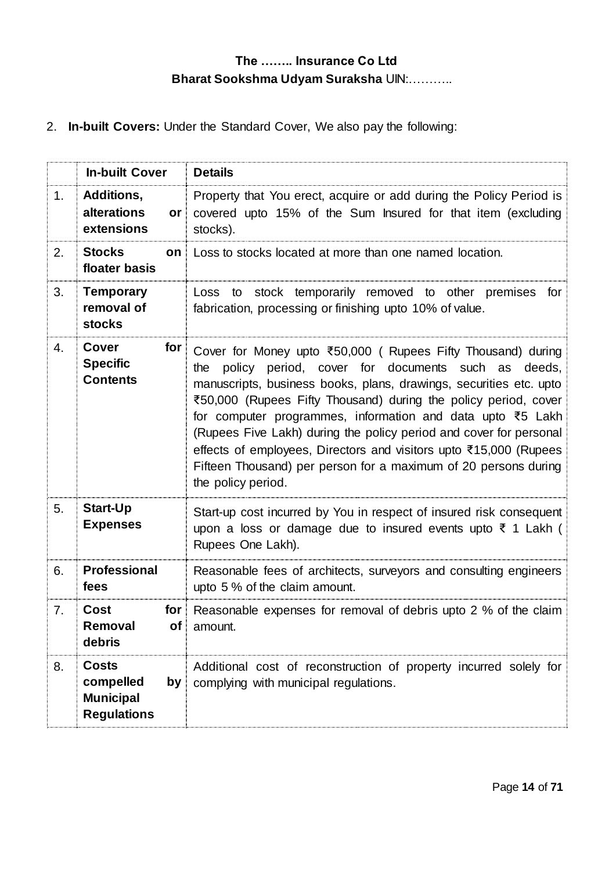2. **In-built Covers:** Under the Standard Cover, We also pay the following:

|    | <b>In-built Cover</b>                                               | <b>Details</b>                                                                                                                                                                                                                                                                                                                                                                                                                                                                                                                                                      |
|----|---------------------------------------------------------------------|---------------------------------------------------------------------------------------------------------------------------------------------------------------------------------------------------------------------------------------------------------------------------------------------------------------------------------------------------------------------------------------------------------------------------------------------------------------------------------------------------------------------------------------------------------------------|
| 1. | Additions,<br>alterations<br>or<br>extensions                       | Property that You erect, acquire or add during the Policy Period is<br>covered upto 15% of the Sum Insured for that item (excluding<br>stocks).                                                                                                                                                                                                                                                                                                                                                                                                                     |
| 2. | <b>Stocks</b><br>floater basis                                      | <b>on</b> Loss to stocks located at more than one named location.                                                                                                                                                                                                                                                                                                                                                                                                                                                                                                   |
| 3. | <b>Temporary</b><br>removal of<br><b>stocks</b>                     | Loss to stock temporarily removed to other premises for<br>fabrication, processing or finishing upto 10% of value.                                                                                                                                                                                                                                                                                                                                                                                                                                                  |
| 4. | Cover<br>for<br><b>Specific</b><br><b>Contents</b>                  | Cover for Money upto ₹50,000 ( Rupees Fifty Thousand) during<br>policy period, cover for documents such as deeds,<br>the<br>manuscripts, business books, plans, drawings, securities etc. upto<br>₹50,000 (Rupees Fifty Thousand) during the policy period, cover<br>for computer programmes, information and data upto ₹5 Lakh<br>(Rupees Five Lakh) during the policy period and cover for personal<br>effects of employees, Directors and visitors upto ₹15,000 (Rupees<br>Fifteen Thousand) per person for a maximum of 20 persons during<br>the policy period. |
| 5. | <b>Start-Up</b><br><b>Expenses</b>                                  | Start-up cost incurred by You in respect of insured risk consequent<br>upon a loss or damage due to insured events upto $\bar{\tau}$ 1 Lakh (<br>Rupees One Lakh).                                                                                                                                                                                                                                                                                                                                                                                                  |
| 6. | <b>Professional</b><br>fees                                         | Reasonable fees of architects, surveyors and consulting engineers<br>upto 5 % of the claim amount.                                                                                                                                                                                                                                                                                                                                                                                                                                                                  |
| 7. | Cost<br>for<br>Removal<br>of <sub>1</sub><br>debris                 | Reasonable expenses for removal of debris upto 2 % of the claim<br>amount.                                                                                                                                                                                                                                                                                                                                                                                                                                                                                          |
| 8. | <b>Costs</b><br>compelled<br><b>Municipal</b><br><b>Regulations</b> | Additional cost of reconstruction of property incurred solely for<br>$by$ complying with municipal regulations.                                                                                                                                                                                                                                                                                                                                                                                                                                                     |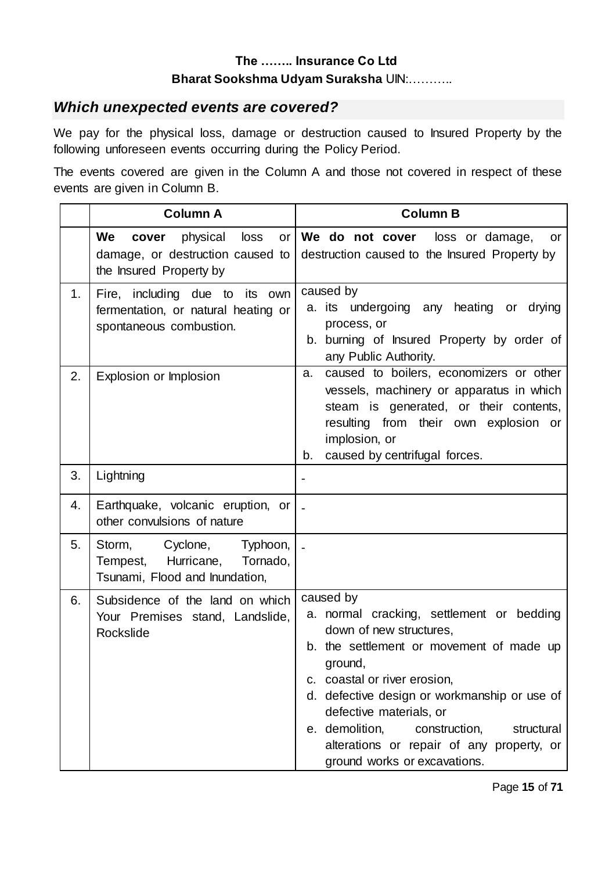## *Which unexpected events are covered?*

We pay for the physical loss, damage or destruction caused to Insured Property by the following unforeseen events occurring during the Policy Period.

The events covered are given in the Column A and those not covered in respect of these events are given in Column B.

|    | <b>Column A</b>                                                                                                   | <b>Column B</b>                                                                                                                                                                                                                                                                                                                                                                   |
|----|-------------------------------------------------------------------------------------------------------------------|-----------------------------------------------------------------------------------------------------------------------------------------------------------------------------------------------------------------------------------------------------------------------------------------------------------------------------------------------------------------------------------|
|    | We<br>physical<br>loss<br>cover<br>or <sub>l</sub><br>damage, or destruction caused to<br>the Insured Property by | We do not cover loss or damage,<br>or<br>destruction caused to the Insured Property by                                                                                                                                                                                                                                                                                            |
| 1. | Fire, including due to its own<br>fermentation, or natural heating or<br>spontaneous combustion.                  | caused by<br>a. its undergoing<br>any heating<br>or drying<br>process, or<br>b. burning of Insured Property by order of<br>any Public Authority.                                                                                                                                                                                                                                  |
| 2. | Explosion or Implosion                                                                                            | caused to boilers, economizers or other<br>a.<br>vessels, machinery or apparatus in which<br>steam is generated, or their contents,<br>resulting from their own explosion or<br>implosion, or<br>caused by centrifugal forces.<br>b.                                                                                                                                              |
| 3. | Lightning                                                                                                         |                                                                                                                                                                                                                                                                                                                                                                                   |
| 4. | Earthquake, volcanic eruption, or<br>other convulsions of nature                                                  |                                                                                                                                                                                                                                                                                                                                                                                   |
| 5. | Storm, Cyclone,<br>Typhoon,<br>Tempest, Hurricane,<br>Tornado,<br>Tsunami, Flood and Inundation,                  |                                                                                                                                                                                                                                                                                                                                                                                   |
| 6. | Subsidence of the land on which<br>Your Premises stand, Landslide,<br>Rockslide                                   | caused by<br>a. normal cracking, settlement or bedding<br>down of new structures,<br>b. the settlement or movement of made up<br>ground,<br>c. coastal or river erosion,<br>d. defective design or workmanship or use of<br>defective materials, or<br>e. demolition,<br>construction,<br>structural<br>alterations or repair of any property, or<br>ground works or excavations. |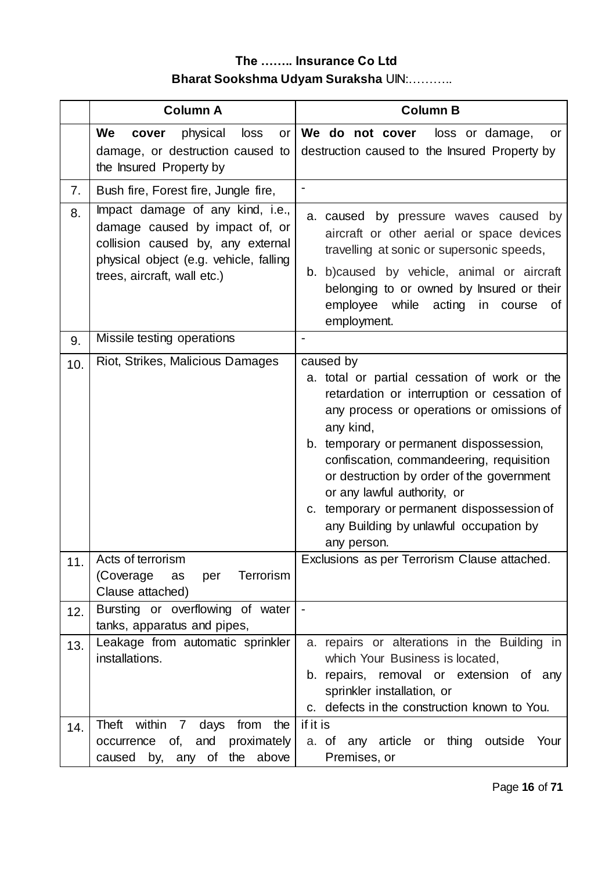|     | <b>Column A</b>                                                                                                                                                                  | <b>Column B</b>                                                                                                                                                                                                                                                                                                                                                                                                                               |
|-----|----------------------------------------------------------------------------------------------------------------------------------------------------------------------------------|-----------------------------------------------------------------------------------------------------------------------------------------------------------------------------------------------------------------------------------------------------------------------------------------------------------------------------------------------------------------------------------------------------------------------------------------------|
|     | We<br>loss<br>physical<br>cover<br>or<br>damage, or destruction caused to<br>the Insured Property by                                                                             | We do not cover loss or damage,<br>or<br>destruction caused to the Insured Property by                                                                                                                                                                                                                                                                                                                                                        |
| 7.  | Bush fire, Forest fire, Jungle fire,                                                                                                                                             |                                                                                                                                                                                                                                                                                                                                                                                                                                               |
| 8.  | Impact damage of any kind, i.e.,<br>damage caused by impact of, or<br>collision caused by, any external<br>physical object (e.g. vehicle, falling<br>trees, aircraft, wall etc.) | a. caused by pressure waves caused by<br>aircraft or other aerial or space devices<br>travelling at sonic or supersonic speeds,<br>b. b)caused by vehicle, animal or aircraft<br>belonging to or owned by Insured or their<br>employee while acting in course<br>0f<br>employment.                                                                                                                                                            |
| 9.  | Missile testing operations                                                                                                                                                       |                                                                                                                                                                                                                                                                                                                                                                                                                                               |
| 10. | Riot, Strikes, Malicious Damages                                                                                                                                                 | caused by<br>a. total or partial cessation of work or the<br>retardation or interruption or cessation of<br>any process or operations or omissions of<br>any kind,<br>b. temporary or permanent dispossession,<br>confiscation, commandeering, requisition<br>or destruction by order of the government<br>or any lawful authority, or<br>c. temporary or permanent dispossession of<br>any Building by unlawful occupation by<br>any person. |
| 11. | Acts of terrorism<br>Terrorism<br>(Coverage)<br>as<br>per<br>Clause attached)                                                                                                    | Exclusions as per Terrorism Clause attached.                                                                                                                                                                                                                                                                                                                                                                                                  |
| 12. | Bursting or overflowing of water<br>tanks, apparatus and pipes,                                                                                                                  |                                                                                                                                                                                                                                                                                                                                                                                                                                               |
| 13. | Leakage from automatic sprinkler<br>installations.                                                                                                                               | a. repairs or alterations in the Building in<br>which Your Business is located,<br>b. repairs, removal or extension of any<br>sprinkler installation, or<br>c. defects in the construction known to You.                                                                                                                                                                                                                                      |
| 14. | Theft<br>within<br>from<br>the<br>$\overline{7}$<br>days<br>occurrence of, and proximately<br>caused by, any of the above                                                        | if it is<br>a. of any article or thing outside<br>Your<br>Premises, or                                                                                                                                                                                                                                                                                                                                                                        |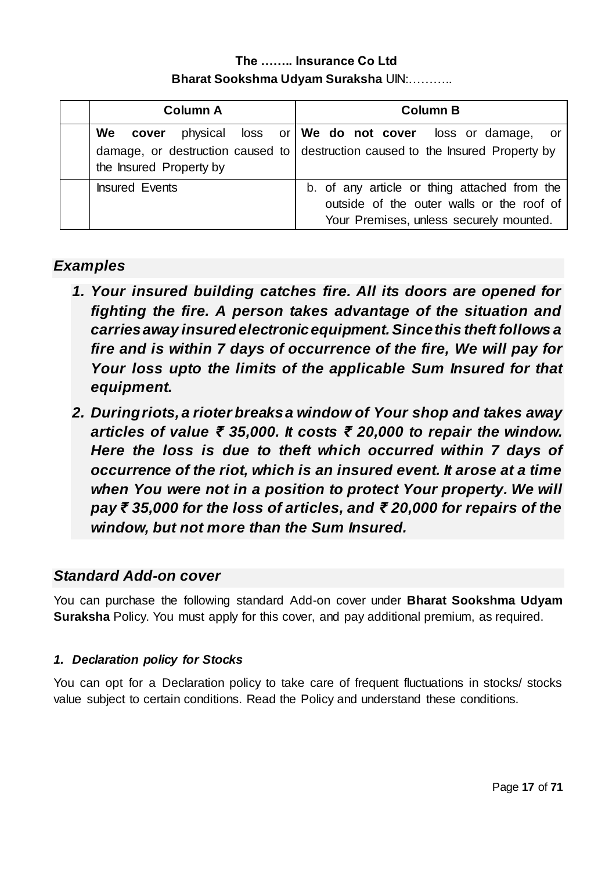| <b>Column A</b>         | <b>Column B</b>                                                                                                                                        |
|-------------------------|--------------------------------------------------------------------------------------------------------------------------------------------------------|
| the Insured Property by | We cover physical loss or We do not cover loss or damage, or<br>damage, or destruction caused to $\vert$ destruction caused to the Insured Property by |
| <b>Insured Events</b>   | b. of any article or thing attached from the<br>outside of the outer walls or the roof of<br>Your Premises, unless securely mounted.                   |

# *Examples*

- *1. Your insured building catches fire. All its doors are opened for fighting the fire. A person takes advantage of the situation and carries away insured electronic equipment. Since this theft follows a fire and is within 7 days of occurrence of the fire, We will pay for Your loss upto the limits of the applicable Sum Insured for that equipment.*
- *2. During riots, a rioter breaks a window of Your shop and takes away articles of value ₹ 35,000. It costs ₹ 20,000 to repair the window. Here the loss is due to theft which occurred within 7 days of occurrence of the riot, which is an insured event. It arose at a time when You were not in a position to protect Your property. We will pay ₹ 35,000 for the loss of articles, and ₹ 20,000 for repairs of the window, but not more than the Sum Insured.*

# *Standard Add-on cover*

You can purchase the following standard Add-on cover under **Bharat Sookshma Udyam Suraksha** Policy. You must apply for this cover, and pay additional premium, as required.

## *1. Declaration policy for Stocks*

You can opt for a Declaration policy to take care of frequent fluctuations in stocks/ stocks value subject to certain conditions. Read the Policy and understand these conditions.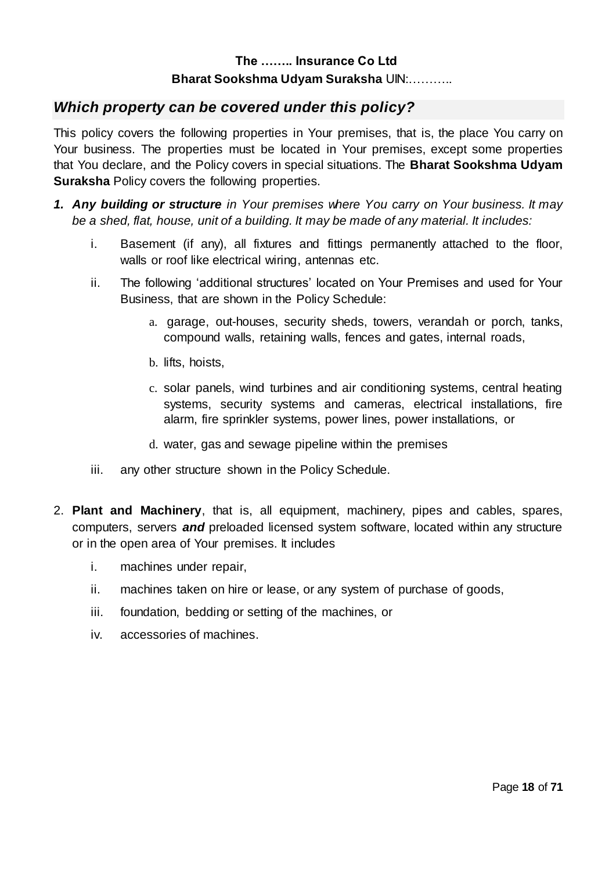## *Which property can be covered under this policy?*

This policy covers the following properties in Your premises, that is, the place You carry on Your business. The properties must be located in Your premises, except some properties that You declare, and the Policy covers in special situations. The **Bharat Sookshma Udyam Suraksha** Policy covers the following properties.

- *1. Any building or structure in Your premises where You carry on Your business. It may be a shed, flat, house, unit of a building. It may be made of any material. It includes:*
	- i. Basement (if any), all fixtures and fittings permanently attached to the floor, walls or roof like electrical wiring, antennas etc.
	- ii. The following 'additional structures' located on Your Premises and used for Your Business, that are shown in the Policy Schedule:
		- a. garage, out-houses, security sheds, towers, verandah or porch, tanks, compound walls, retaining walls, fences and gates, internal roads,
		- b. lifts, hoists,
		- c. solar panels, wind turbines and air conditioning systems, central heating systems, security systems and cameras, electrical installations, fire alarm, fire sprinkler systems, power lines, power installations, or
		- d. water, gas and sewage pipeline within the premises
	- iii. any other structure shown in the Policy Schedule.
- 2. **Plant and Machinery**, that is, all equipment, machinery, pipes and cables, spares, computers, servers *and* preloaded licensed system software, located within any structure or in the open area of Your premises. It includes
	- i. machines under repair,
	- ii. machines taken on hire or lease, or any system of purchase of goods,
	- iii. foundation, bedding or setting of the machines, or
	- iv. accessories of machines.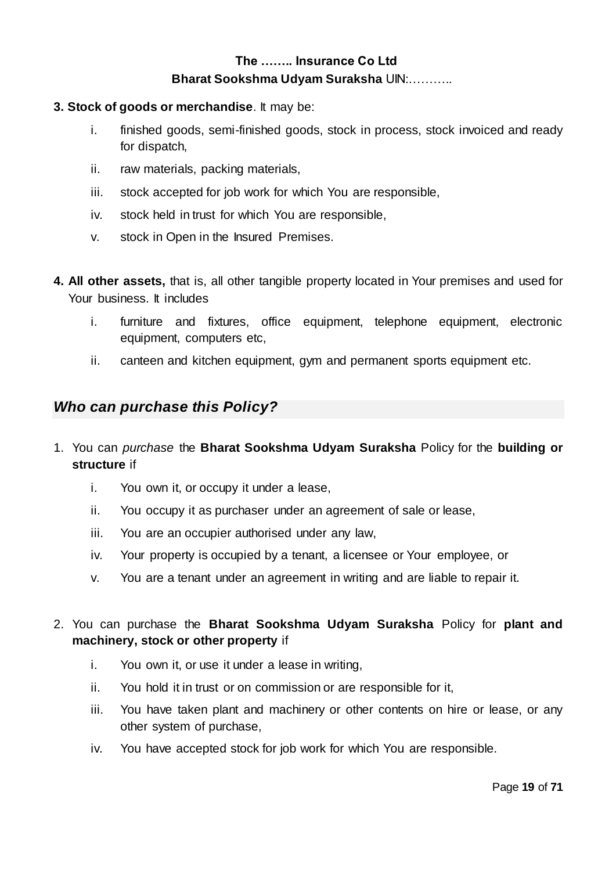#### **3. Stock of goods or merchandise**. It may be:

- i. finished goods, semi-finished goods, stock in process, stock invoiced and ready for dispatch,
- ii. raw materials, packing materials,
- iii. stock accepted for job work for which You are responsible,
- iv. stock held in trust for which You are responsible,
- v. stock in Open in the Insured Premises.
- **4. All other assets,** that is, all other tangible property located in Your premises and used for Your business. It includes
	- i. furniture and fixtures, office equipment, telephone equipment, electronic equipment, computers etc,
	- ii. canteen and kitchen equipment, gym and permanent sports equipment etc.

## *Who can purchase this Policy?*

- 1. You can *purchase* the **Bharat Sookshma Udyam Suraksha** Policy for the **building or structure** if
	- i. You own it, or occupy it under a lease,
	- ii. You occupy it as purchaser under an agreement of sale or lease,
	- iii. You are an occupier authorised under any law,
	- iv. Your property is occupied by a tenant, a licensee or Your employee, or
	- v. You are a tenant under an agreement in writing and are liable to repair it.

## 2. You can purchase the **Bharat Sookshma Udyam Suraksha** Policy for **plant and machinery, stock or other property** if

- i. You own it, or use it under a lease in writing,
- ii. You hold it in trust or on commission or are responsible for it,
- iii. You have taken plant and machinery or other contents on hire or lease, or any other system of purchase,
- iv. You have accepted stock for job work for which You are responsible.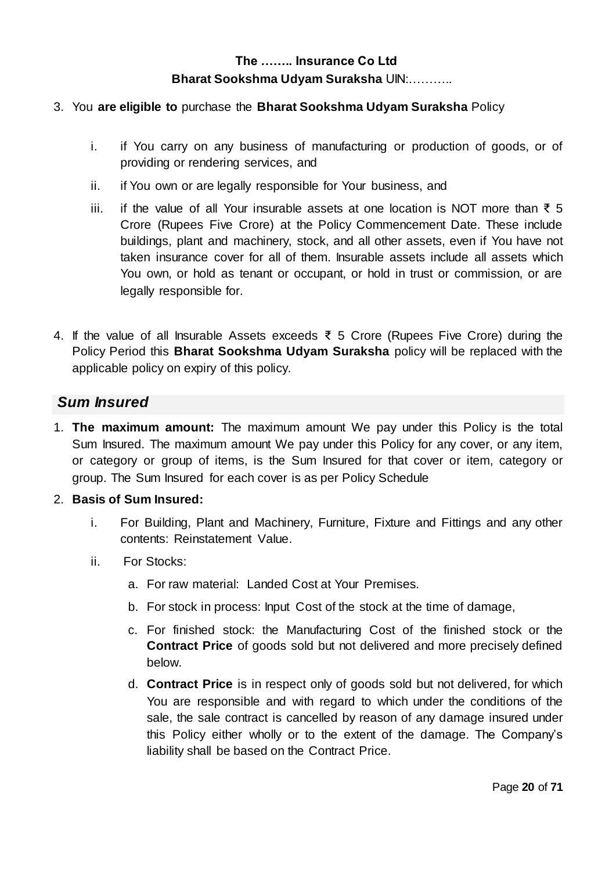#### 3. You **are eligible to** purchase the **Bharat Sookshma Udyam Suraksha** Policy

- i. if You carry on any business of manufacturing or production of goods, or of providing or rendering services, and
- ii. if You own or are legally responsible for Your business, and
- iii. if the value of all Your insurable assets at one location is NOT more than ₹ 5 Crore (Rupees Five Crore) at the Policy Commencement Date. These include buildings, plant and machinery, stock, and all other assets, even if You have not taken insurance cover for all of them. Insurable assets include all assets which You own, or hold as tenant or occupant, or hold in trust or commission, or are legally responsible for.
- 4. If the value of all Insurable Assets exceeds ₹ 5 Crore (Rupees Five Crore) during the Policy Period this **Bharat Sookshma Udyam Suraksha** policy will be replaced with the applicable policy on expiry of this policy.

## *Sum Insured*

1. **The maximum amount:** The maximum amount We pay under this Policy is the total Sum Insured. The maximum amount We pay under this Policy for any cover, or any item, or category or group of items, is the Sum Insured for that cover or item, category or group. The Sum Insured for each cover is as per Policy Schedule

#### 2. **Basis of Sum Insured:**

- i. For Building, Plant and Machinery, Furniture, Fixture and Fittings and any other contents: Reinstatement Value.
- ii. For Stocks:
	- a. For raw material: Landed Cost at Your Premises.
	- b. For stock in process: Input Cost of the stock at the time of damage,
	- c. For finished stock: the Manufacturing Cost of the finished stock or the **Contract Price** of goods sold but not delivered and more precisely defined below.
	- d. **Contract Price** is in respect only of goods sold but not delivered, for which You are responsible and with regard to which under the conditions of the sale, the sale contract is cancelled by reason of any damage insured under this Policy either wholly or to the extent of the damage. The Company's liability shall be based on the Contract Price.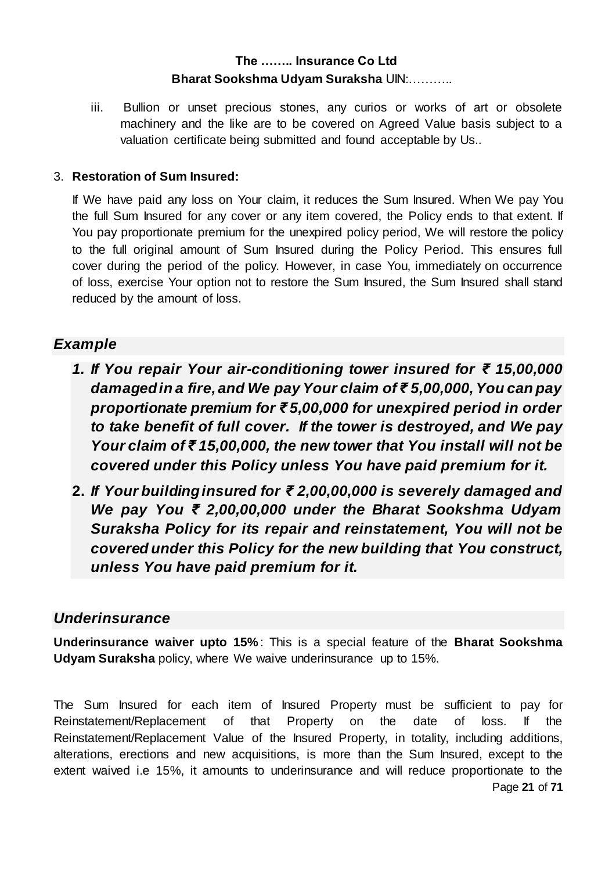iii. Bullion or unset precious stones, any curios or works of art or obsolete machinery and the like are to be covered on Agreed Value basis subject to a valuation certificate being submitted and found acceptable by Us..

#### 3. **Restoration of Sum Insured:**

If We have paid any loss on Your claim, it reduces the Sum Insured. When We pay You the full Sum Insured for any cover or any item covered, the Policy ends to that extent. If You pay proportionate premium for the unexpired policy period, We will restore the policy to the full original amount of Sum Insured during the Policy Period. This ensures full cover during the period of the policy. However, in case You, immediately on occurrence of loss, exercise Your option not to restore the Sum Insured, the Sum Insured shall stand reduced by the amount of loss.

## *Example*

- *1. If You repair Your air-conditioning tower insured for ₹ 15,00,000 damaged in a fire, and We pay Your claim of ₹ 5,00,000, You can pay proportionate premium for ₹ 5,00,000 for unexpired period in order to take benefit of full cover. If the tower is destroyed, and We pay Your claim of ₹ 15,00,000, the new tower that You install will not be covered under this Policy unless You have paid premium for it.*
- **2.** *If Your building insured for ₹ 2,00,00,000 is severely damaged and We pay You ₹ 2,00,00,000 under the Bharat Sookshma Udyam Suraksha Policy for its repair and reinstatement, You will not be covered under this Policy for the new building that You construct, unless You have paid premium for it.*

## *Underinsurance*

**Underinsurance waiver upto 15%** : This is a special feature of the **Bharat Sookshma Udyam Suraksha** policy, where We waive underinsurance up to 15%.

Page **21** of **71** The Sum Insured for each item of Insured Property must be sufficient to pay for Reinstatement/Replacement of that Property on the date of loss. If the Reinstatement/Replacement Value of the Insured Property, in totality, including additions, alterations, erections and new acquisitions, is more than the Sum Insured, except to the extent waived i.e 15%, it amounts to underinsurance and will reduce proportionate to the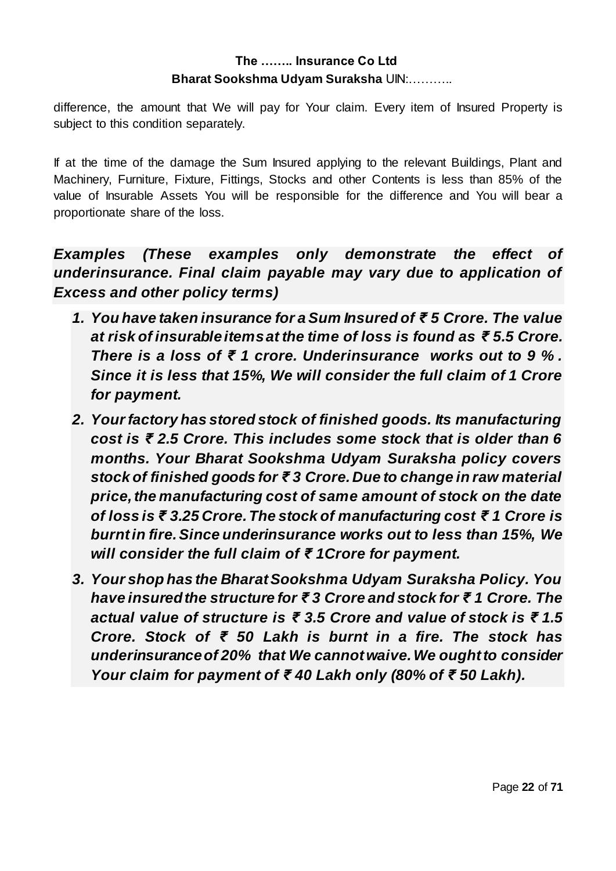difference, the amount that We will pay for Your claim. Every item of Insured Property is subject to this condition separately.

If at the time of the damage the Sum Insured applying to the relevant Buildings, Plant and Machinery, Furniture, Fixture, Fittings, Stocks and other Contents is less than 85% of the value of Insurable Assets You will be responsible for the difference and You will bear a proportionate share of the loss.

*Examples (These examples only demonstrate the effect of underinsurance. Final claim payable may vary due to application of Excess and other policy terms)*

- *1. You have taken insurance for a Sum Insured of ₹ 5 Crore. The value at risk of insurable items at the time of loss is found as ₹ 5.5 Crore. There is a loss of ₹ 1 crore. Underinsurance works out to 9 % . Since it is less that 15%, We will consider the full claim of 1 Crore for payment.*
- *2. Your factory has stored stock of finished goods. Its manufacturing cost is ₹ 2.5 Crore. This includes some stock that is older than 6 months. Your Bharat Sookshma Udyam Suraksha policy covers stock of finished goods for ₹ 3 Crore. Due to change in raw material price, the manufacturing cost of same amount of stock on the date of loss is ₹ 3.25 Crore. The stock of manufacturing cost ₹ 1 Crore is burnt in fire. Since underinsurance works out to less than 15%, We will consider the full claim of ₹ 1Crore for payment.*
- *3. Your shop has the Bharat Sookshma Udyam Suraksha Policy. You have insured the structure for ₹ 3 Crore and stock for ₹ 1 Crore. The actual value of structure is ₹ 3.5 Crore and value of stock is ₹ 1.5 Crore. Stock of ₹ 50 Lakh is burnt in a fire. The stock has underinsurance of 20% that We cannot waive. We ought to consider Your claim for payment of ₹ 40 Lakh only (80% of ₹ 50 Lakh).*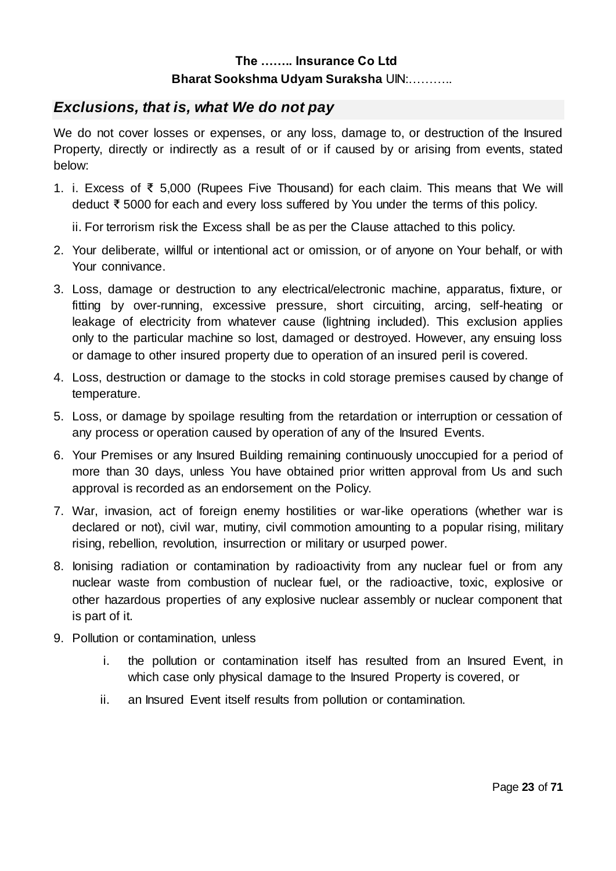## *Exclusions, that is, what We do not pay*

We do not cover losses or expenses, or any loss, damage to, or destruction of the Insured Property, directly or indirectly as a result of or if caused by or arising from events, stated below:

1. i. Excess of ₹ 5,000 (Rupees Five Thousand) for each claim. This means that We will deduct ₹ 5000 for each and every loss suffered by You under the terms of this policy.

ii. For terrorism risk the Excess shall be as per the Clause attached to this policy.

- 2. Your deliberate, willful or intentional act or omission, or of anyone on Your behalf, or with Your connivance.
- 3. Loss, damage or destruction to any electrical/electronic machine, apparatus, fixture, or fitting by over-running, excessive pressure, short circuiting, arcing, self-heating or leakage of electricity from whatever cause (lightning included). This exclusion applies only to the particular machine so lost, damaged or destroyed. However, any ensuing loss or damage to other insured property due to operation of an insured peril is covered.
- 4. Loss, destruction or damage to the stocks in cold storage premises caused by change of temperature.
- 5. Loss, or damage by spoilage resulting from the retardation or interruption or cessation of any process or operation caused by operation of any of the Insured Events.
- 6. Your Premises or any Insured Building remaining continuously unoccupied for a period of more than 30 days, unless You have obtained prior written approval from Us and such approval is recorded as an endorsement on the Policy.
- 7. War, invasion, act of foreign enemy hostilities or war-like operations (whether war is declared or not), civil war, mutiny, civil commotion amounting to a popular rising, military rising, rebellion, revolution, insurrection or military or usurped power.
- 8. Ionising radiation or contamination by radioactivity from any nuclear fuel or from any nuclear waste from combustion of nuclear fuel, or the radioactive, toxic, explosive or other hazardous properties of any explosive nuclear assembly or nuclear component that is part of it.
- 9. Pollution or contamination, unless
	- i. the pollution or contamination itself has resulted from an Insured Event, in which case only physical damage to the Insured Property is covered, or
	- ii. an Insured Event itself results from pollution or contamination.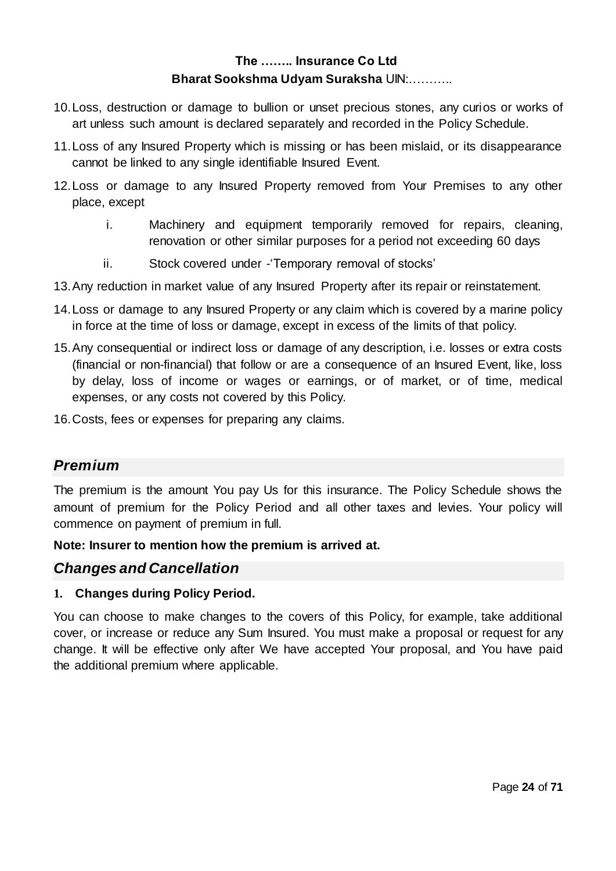- 10.Loss, destruction or damage to bullion or unset precious stones, any curios or works of art unless such amount is declared separately and recorded in the Policy Schedule.
- 11.Loss of any Insured Property which is missing or has been mislaid, or its disappearance cannot be linked to any single identifiable Insured Event.
- 12.Loss or damage to any Insured Property removed from Your Premises to any other place, except
	- i. Machinery and equipment temporarily removed for repairs, cleaning, renovation or other similar purposes for a period not exceeding 60 days
	- ii. Stock covered under -'Temporary removal of stocks'
- 13.Any reduction in market value of any Insured Property after its repair or reinstatement.
- 14.Loss or damage to any Insured Property or any claim which is covered by a marine policy in force at the time of loss or damage, except in excess of the limits of that policy.
- 15.Any consequential or indirect loss or damage of any description, i.e. losses or extra costs (financial or non-financial) that follow or are a consequence of an Insured Event, like, loss by delay, loss of income or wages or earnings, or of market, or of time, medical expenses, or any costs not covered by this Policy.
- 16.Costs, fees or expenses for preparing any claims.

## *Premium*

The premium is the amount You pay Us for this insurance. The Policy Schedule shows the amount of premium for the Policy Period and all other taxes and levies. Your policy will commence on payment of premium in full.

**Note: Insurer to mention how the premium is arrived at.**

## *Changes and Cancellation*

#### **1. Changes during Policy Period.**

You can choose to make changes to the covers of this Policy, for example, take additional cover, or increase or reduce any Sum Insured. You must make a proposal or request for any change. It will be effective only after We have accepted Your proposal, and You have paid the additional premium where applicable.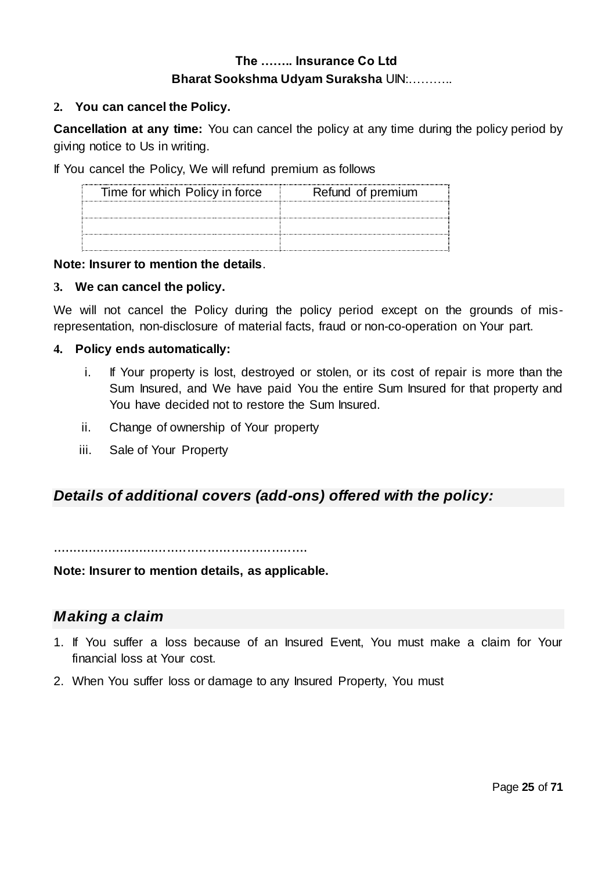#### **2. You can cancel the Policy.**

**Cancellation at any time:** You can cancel the policy at any time during the policy period by giving notice to Us in writing.

If You cancel the Policy, We will refund premium as follows

| Time for which Policy in force<br> | Refund of premium |
|------------------------------------|-------------------|
|                                    |                   |
|                                    |                   |
|                                    |                   |

#### **Note: Insurer to mention the details**.

#### **3. We can cancel the policy.**

We will not cancel the Policy during the policy period except on the grounds of misrepresentation, non-disclosure of material facts, fraud or non-co-operation on Your part.

#### **4. Policy ends automatically:**

- i. If Your property is lost, destroyed or stolen, or its cost of repair is more than the Sum Insured, and We have paid You the entire Sum Insured for that property and You have decided not to restore the Sum Insured.
- ii. Change of ownership of Your property
- iii. Sale of Your Property

## *Details of additional covers (add-ons) offered with the policy:*

................................................................

**Note: Insurer to mention details, as applicable.**

## *Making a claim*

- 1. If You suffer a loss because of an Insured Event, You must make a claim for Your financial loss at Your cost.
- 2. When You suffer loss or damage to any Insured Property, You must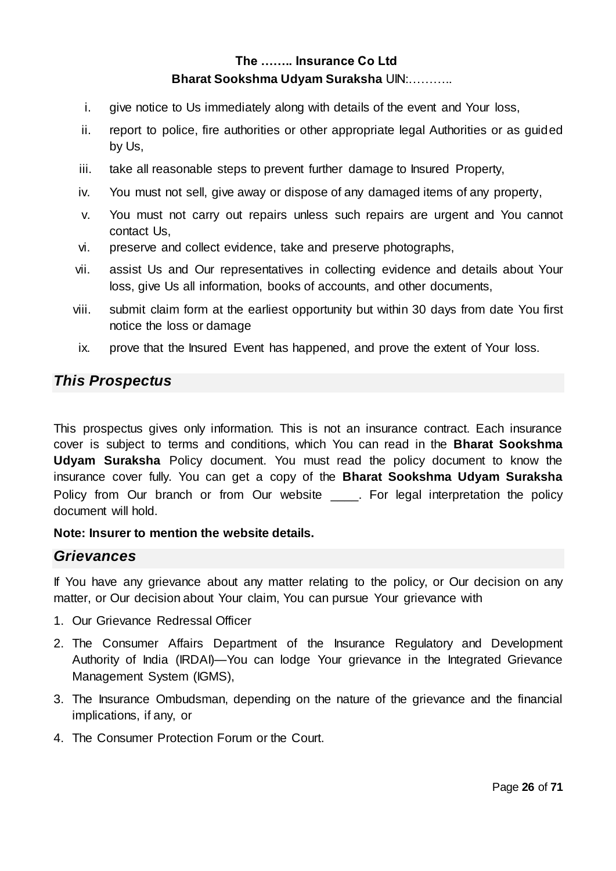- i. give notice to Us immediately along with details of the event and Your loss,
- ii. report to police, fire authorities or other appropriate legal Authorities or as guided by Us,
- iii. take all reasonable steps to prevent further damage to Insured Property,
- iv. You must not sell, give away or dispose of any damaged items of any property,
- v. You must not carry out repairs unless such repairs are urgent and You cannot contact Us,
- vi. preserve and collect evidence, take and preserve photographs,
- vii. assist Us and Our representatives in collecting evidence and details about Your loss, give Us all information, books of accounts, and other documents,
- viii. submit claim form at the earliest opportunity but within 30 days from date You first notice the loss or damage
	- ix. prove that the Insured Event has happened, and prove the extent of Your loss.

## *This Prospectus*

This prospectus gives only information. This is not an insurance contract. Each insurance cover is subject to terms and conditions, which You can read in the **Bharat Sookshma Udyam Suraksha** Policy document. You must read the policy document to know the insurance cover fully. You can get a copy of the **Bharat Sookshma Udyam Suraksha** Policy from Our branch or from Our website \_\_\_\_. For legal interpretation the policy document will hold.

#### **Note: Insurer to mention the website details.**

## *Grievances*

If You have any grievance about any matter relating to the policy, or Our decision on any matter, or Our decision about Your claim, You can pursue Your grievance with

- 1. Our Grievance Redressal Officer
- 2. The Consumer Affairs Department of the Insurance Regulatory and Development Authority of India (IRDAI)—You can lodge Your grievance in the Integrated Grievance Management System (IGMS),
- 3. The Insurance Ombudsman, depending on the nature of the grievance and the financial implications, if any, or
- 4. The Consumer Protection Forum or the Court.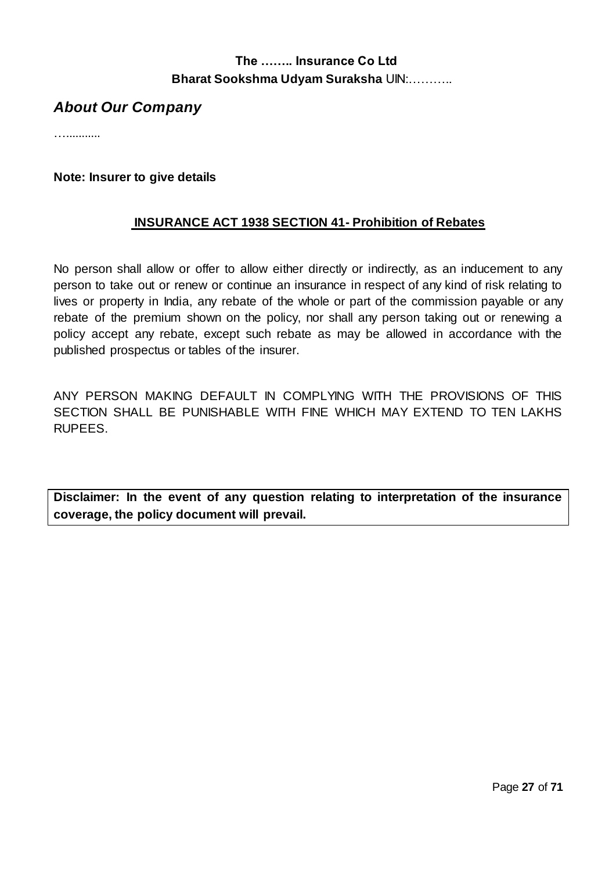## *About Our Company*

…...........

#### **Note: Insurer to give details**

### **INSURANCE ACT 1938 SECTION 41- Prohibition of Rebates**

No person shall allow or offer to allow either directly or indirectly, as an inducement to any person to take out or renew or continue an insurance in respect of any kind of risk relating to lives or property in India, any rebate of the whole or part of the commission payable or any rebate of the premium shown on the policy, nor shall any person taking out or renewing a policy accept any rebate, except such rebate as may be allowed in accordance with the published prospectus or tables of the insurer.

ANY PERSON MAKING DEFAULT IN COMPLYING WITH THE PROVISIONS OF THIS SECTION SHALL BE PUNISHABLE WITH FINE WHICH MAY EXTEND TO TEN LAKHS RUPEES.

**Disclaimer: In the event of any question relating to interpretation of the insurance coverage, the policy document will prevail.**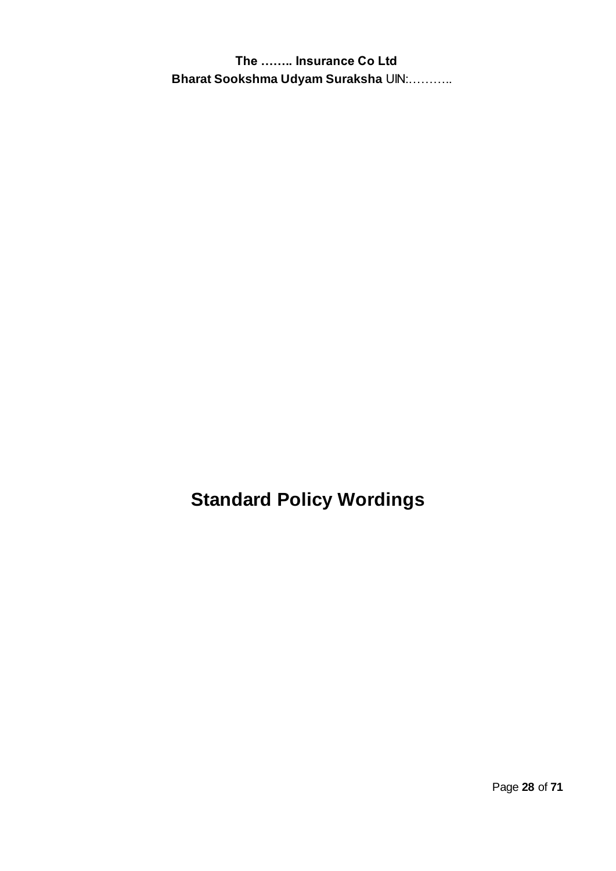**Standard Policy Wordings**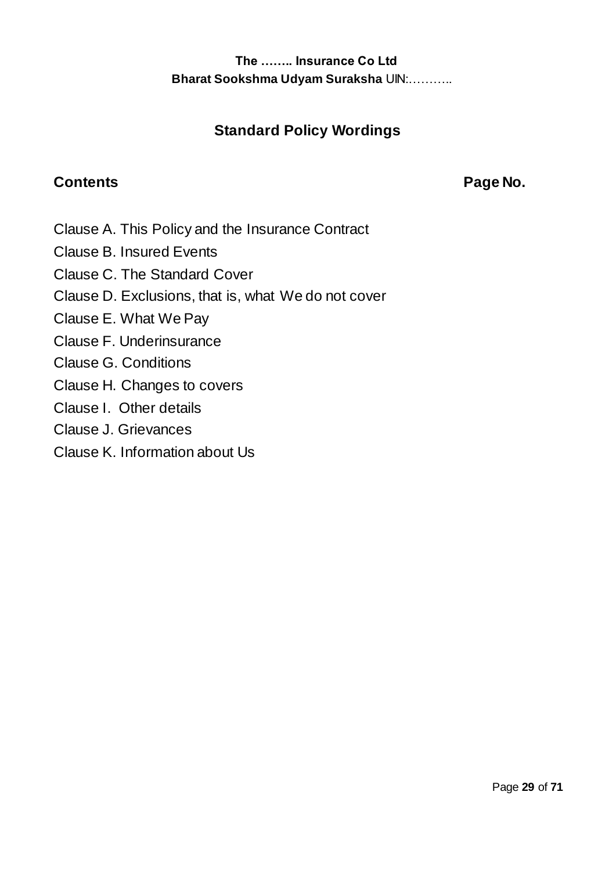# **Standard Policy Wordings**

# **Contents Contents Contents Contents Contents Contents Contents Contents Contents Contents Contents Contents Contents Contents Contents Contents Contents Contents Contents Contents Contents Contents Contents Contents Conte**

- Clause A. This Policy and the Insurance Contract
- Clause B. Insured Events
- Clause C. The Standard Cover
- Clause D. Exclusions, that is, what We do not cover
- Clause E. What We Pay
- Clause F. Underinsurance
- Clause G. Conditions
- Clause H. Changes to covers
- Clause I. Other details
- Clause J. Grievances
- Clause K. Information about Us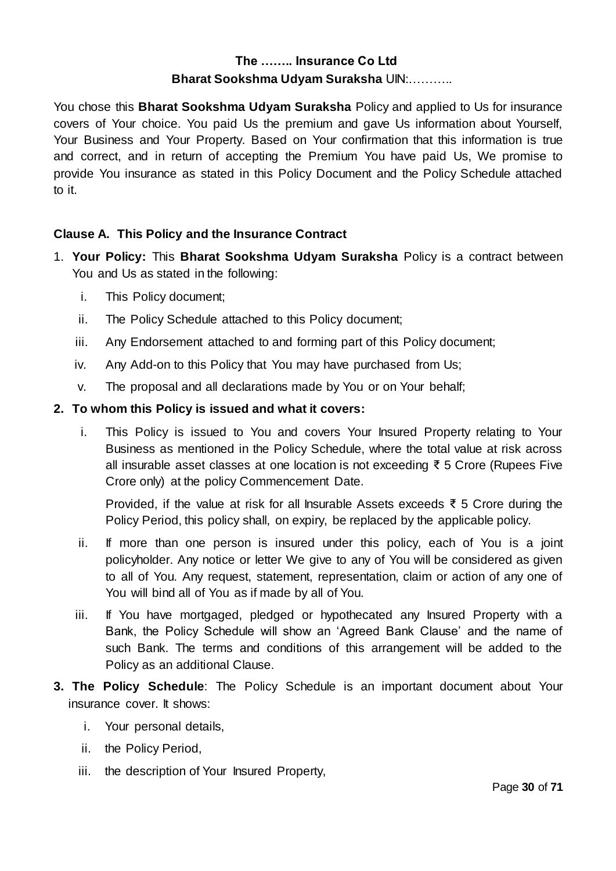You chose this **Bharat Sookshma Udyam Suraksha** Policy and applied to Us for insurance covers of Your choice. You paid Us the premium and gave Us information about Yourself, Your Business and Your Property. Based on Your confirmation that this information is true and correct, and in return of accepting the Premium You have paid Us, We promise to provide You insurance as stated in this Policy Document and the Policy Schedule attached to it.

## **Clause A. This Policy and the Insurance Contract**

- 1. **Your Policy:** This **Bharat Sookshma Udyam Suraksha** Policy is a contract between You and Us as stated in the following:
	- i. This Policy document;
	- ii. The Policy Schedule attached to this Policy document;
	- iii. Any Endorsement attached to and forming part of this Policy document;
	- iv. Any Add-on to this Policy that You may have purchased from Us;
	- v. The proposal and all declarations made by You or on Your behalf;

## **2. To whom this Policy is issued and what it covers:**

i. This Policy is issued to You and covers Your Insured Property relating to Your Business as mentioned in the Policy Schedule, where the total value at risk across all insurable asset classes at one location is not exceeding ₹ 5 Crore (Rupees Five Crore only) at the policy Commencement Date.

Provided, if the value at risk for all Insurable Assets exceeds ₹ 5 Crore during the Policy Period, this policy shall, on expiry, be replaced by the applicable policy.

- ii. If more than one person is insured under this policy, each of You is a joint policyholder. Any notice or letter We give to any of You will be considered as given to all of You. Any request, statement, representation, claim or action of any one of You will bind all of You as if made by all of You.
- iii. If You have mortgaged, pledged or hypothecated any Insured Property with a Bank, the Policy Schedule will show an 'Agreed Bank Clause' and the name of such Bank. The terms and conditions of this arrangement will be added to the Policy as an additional Clause.
- **3. The Policy Schedule**: The Policy Schedule is an important document about Your insurance cover. It shows:
	- i. Your personal details,
	- ii. the Policy Period,
	- iii. the description of Your Insured Property,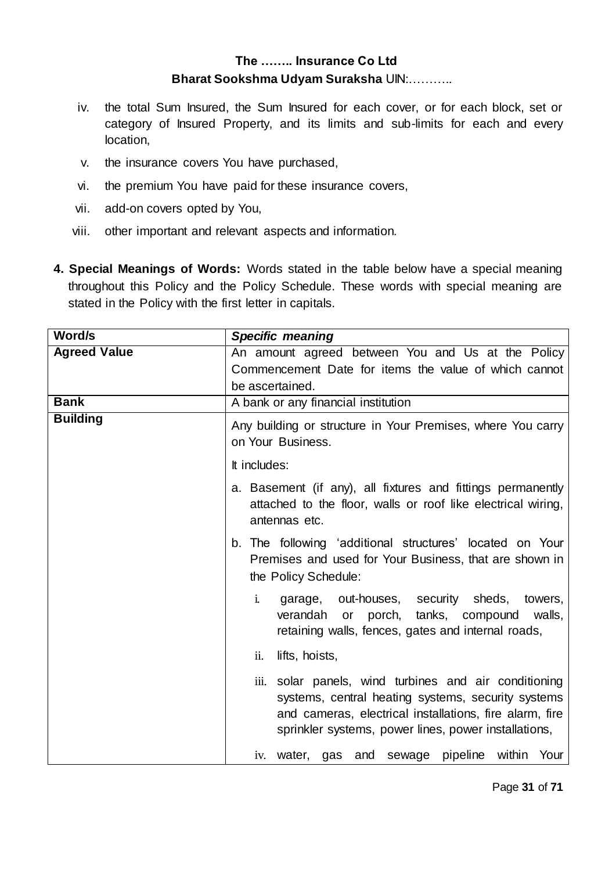- iv. the total Sum Insured, the Sum Insured for each cover, or for each block, set or category of Insured Property, and its limits and sub-limits for each and every location,
- v. the insurance covers You have purchased,
- vi. the premium You have paid for these insurance covers,
- vii. add-on covers opted by You,
- viii. other important and relevant aspects and information.
- **4. Special Meanings of Words:** Words stated in the table below have a special meaning throughout this Policy and the Policy Schedule. These words with special meaning are stated in the Policy with the first letter in capitals.

| Word/s              | <b>Specific meaning</b>                                                                                                                                                                                                        |  |  |
|---------------------|--------------------------------------------------------------------------------------------------------------------------------------------------------------------------------------------------------------------------------|--|--|
| <b>Agreed Value</b> | An amount agreed between You and Us at the Policy                                                                                                                                                                              |  |  |
|                     | Commencement Date for items the value of which cannot                                                                                                                                                                          |  |  |
|                     | be ascertained.                                                                                                                                                                                                                |  |  |
| <b>Bank</b>         | A bank or any financial institution                                                                                                                                                                                            |  |  |
| <b>Building</b>     | Any building or structure in Your Premises, where You carry<br>on Your Business.                                                                                                                                               |  |  |
|                     | It includes:                                                                                                                                                                                                                   |  |  |
|                     | a. Basement (if any), all fixtures and fittings permanently<br>attached to the floor, walls or roof like electrical wiring,<br>antennas etc.                                                                                   |  |  |
|                     | b. The following 'additional structures' located on Your<br>Premises and used for Your Business, that are shown in<br>the Policy Schedule:                                                                                     |  |  |
|                     | $\mathbf{i}$ .<br>garage, out-houses, security sheds,<br>towers,<br>or porch, tanks, compound<br>verandah<br>walls,<br>retaining walls, fences, gates and internal roads,                                                      |  |  |
|                     | ii.<br>lifts, hoists,                                                                                                                                                                                                          |  |  |
|                     | iii. solar panels, wind turbines and air conditioning<br>systems, central heating systems, security systems<br>and cameras, electrical installations, fire alarm, fire<br>sprinkler systems, power lines, power installations, |  |  |
|                     | iv. water, gas and sewage pipeline<br>within Your                                                                                                                                                                              |  |  |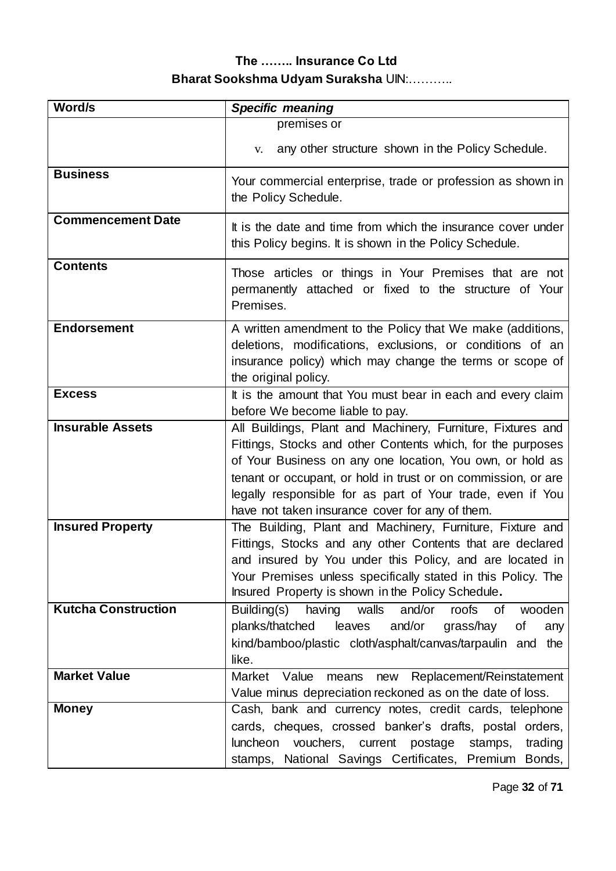| Word/s                     | <b>Specific meaning</b>                                                                                                                                                                                                                                                                                                                                                   |
|----------------------------|---------------------------------------------------------------------------------------------------------------------------------------------------------------------------------------------------------------------------------------------------------------------------------------------------------------------------------------------------------------------------|
|                            | premises or                                                                                                                                                                                                                                                                                                                                                               |
|                            | any other structure shown in the Policy Schedule.<br>V.                                                                                                                                                                                                                                                                                                                   |
| <b>Business</b>            | Your commercial enterprise, trade or profession as shown in<br>the Policy Schedule.                                                                                                                                                                                                                                                                                       |
| <b>Commencement Date</b>   | It is the date and time from which the insurance cover under<br>this Policy begins. It is shown in the Policy Schedule.                                                                                                                                                                                                                                                   |
| <b>Contents</b>            | Those articles or things in Your Premises that are not<br>permanently attached or fixed to the structure of Your<br>Premises.                                                                                                                                                                                                                                             |
| <b>Endorsement</b>         | A written amendment to the Policy that We make (additions,<br>deletions, modifications, exclusions, or conditions of an<br>insurance policy) which may change the terms or scope of<br>the original policy.                                                                                                                                                               |
| <b>Excess</b>              | It is the amount that You must bear in each and every claim<br>before We become liable to pay.                                                                                                                                                                                                                                                                            |
| <b>Insurable Assets</b>    | All Buildings, Plant and Machinery, Furniture, Fixtures and<br>Fittings, Stocks and other Contents which, for the purposes<br>of Your Business on any one location, You own, or hold as<br>tenant or occupant, or hold in trust or on commission, or are<br>legally responsible for as part of Your trade, even if You<br>have not taken insurance cover for any of them. |
| <b>Insured Property</b>    | The Building, Plant and Machinery, Furniture, Fixture and<br>Fittings, Stocks and any other Contents that are declared<br>and insured by You under this Policy, and are located in<br>Your Premises unless specifically stated in this Policy. The<br>Insured Property is shown in the Policy Schedule.                                                                   |
| <b>Kutcha Construction</b> | Building(s) having walls<br>and/or<br>roofs<br>of<br>wooden<br>and/or<br>planks/thatched<br>leaves<br>grass/hay<br>Οf<br>any<br>kind/bamboo/plastic cloth/asphalt/canvas/tarpaulin and<br>the<br>like.                                                                                                                                                                    |
| <b>Market Value</b>        | Replacement/Reinstatement<br>Market Value<br>means<br>new<br>Value minus depreciation reckoned as on the date of loss.                                                                                                                                                                                                                                                    |
| <b>Money</b>               | Cash, bank and currency notes, credit cards, telephone<br>cards, cheques, crossed banker's drafts, postal orders,<br>luncheon vouchers, current postage<br>trading<br>stamps,<br>stamps, National Savings Certificates, Premium Bonds,                                                                                                                                    |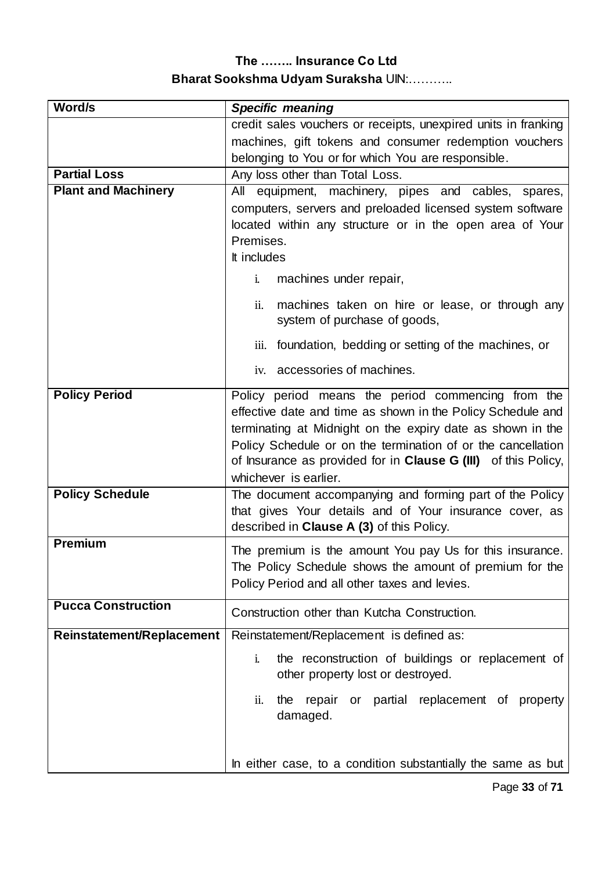| Word/s                     | <b>Specific meaning</b>                                                                                                                                                                                                                                                                                                                           |  |
|----------------------------|---------------------------------------------------------------------------------------------------------------------------------------------------------------------------------------------------------------------------------------------------------------------------------------------------------------------------------------------------|--|
|                            | credit sales vouchers or receipts, unexpired units in franking                                                                                                                                                                                                                                                                                    |  |
|                            | machines, gift tokens and consumer redemption vouchers                                                                                                                                                                                                                                                                                            |  |
|                            | belonging to You or for which You are responsible.                                                                                                                                                                                                                                                                                                |  |
| <b>Partial Loss</b>        | Any loss other than Total Loss.                                                                                                                                                                                                                                                                                                                   |  |
| <b>Plant and Machinery</b> | All equipment, machinery, pipes and cables, spares,                                                                                                                                                                                                                                                                                               |  |
|                            | computers, servers and preloaded licensed system software                                                                                                                                                                                                                                                                                         |  |
|                            | located within any structure or in the open area of Your                                                                                                                                                                                                                                                                                          |  |
|                            | Premises.                                                                                                                                                                                                                                                                                                                                         |  |
|                            | It includes                                                                                                                                                                                                                                                                                                                                       |  |
|                            | machines under repair,<br>i.                                                                                                                                                                                                                                                                                                                      |  |
|                            | ii.<br>machines taken on hire or lease, or through any<br>system of purchase of goods,                                                                                                                                                                                                                                                            |  |
|                            | foundation, bedding or setting of the machines, or<br>iii.                                                                                                                                                                                                                                                                                        |  |
|                            | accessories of machines.<br>iv.                                                                                                                                                                                                                                                                                                                   |  |
| <b>Policy Period</b>       | Policy period means the period commencing from the<br>effective date and time as shown in the Policy Schedule and<br>terminating at Midnight on the expiry date as shown in the<br>Policy Schedule or on the termination of or the cancellation<br>of Insurance as provided for in <b>Clause G (III)</b> of this Policy,<br>whichever is earlier. |  |
| <b>Policy Schedule</b>     | The document accompanying and forming part of the Policy<br>that gives Your details and of Your insurance cover, as<br>described in <b>Clause A (3)</b> of this Policy.                                                                                                                                                                           |  |
| <b>Premium</b>             | The premium is the amount You pay Us for this insurance.<br>The Policy Schedule shows the amount of premium for the<br>Policy Period and all other taxes and levies.                                                                                                                                                                              |  |
| <b>Pucca Construction</b>  | Construction other than Kutcha Construction.                                                                                                                                                                                                                                                                                                      |  |
| Reinstatement/Replacement  | Reinstatement/Replacement is defined as:                                                                                                                                                                                                                                                                                                          |  |
|                            | the reconstruction of buildings or replacement of<br>i.<br>other property lost or destroyed.                                                                                                                                                                                                                                                      |  |
|                            | or partial replacement of property<br>repair<br>the<br>ii.<br>damaged.                                                                                                                                                                                                                                                                            |  |
|                            | In either case, to a condition substantially the same as but                                                                                                                                                                                                                                                                                      |  |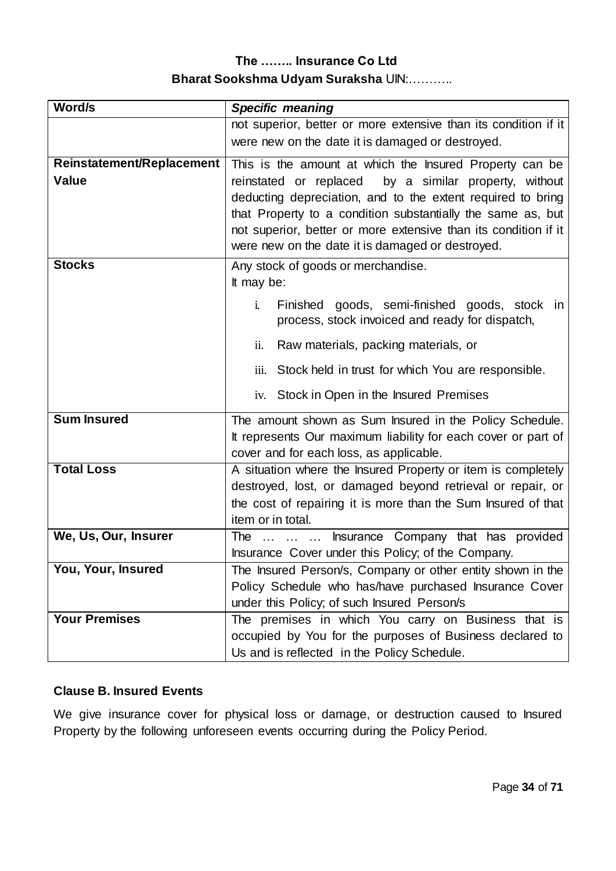| Word/s                    | <b>Specific meaning</b>                                                                                          |  |
|---------------------------|------------------------------------------------------------------------------------------------------------------|--|
|                           | not superior, better or more extensive than its condition if it                                                  |  |
|                           | were new on the date it is damaged or destroyed.                                                                 |  |
| Reinstatement/Replacement | This is the amount at which the Insured Property can be                                                          |  |
| <b>Value</b>              | by a similar property, without<br>reinstated or replaced                                                         |  |
|                           | deducting depreciation, and to the extent required to bring                                                      |  |
|                           | that Property to a condition substantially the same as, but                                                      |  |
|                           | not superior, better or more extensive than its condition if it                                                  |  |
|                           | were new on the date it is damaged or destroyed.                                                                 |  |
| <b>Stocks</b>             | Any stock of goods or merchandise.                                                                               |  |
|                           | It may be:                                                                                                       |  |
|                           | Finished goods, semi-finished goods, stock in<br>$\mathbf{i}$ .                                                  |  |
|                           | process, stock invoiced and ready for dispatch,                                                                  |  |
|                           | Raw materials, packing materials, or<br>ii.                                                                      |  |
|                           | Stock held in trust for which You are responsible.<br>iii.                                                       |  |
|                           | iv. Stock in Open in the Insured Premises                                                                        |  |
| <b>Sum Insured</b>        | The amount shown as Sum Insured in the Policy Schedule.                                                          |  |
|                           | It represents Our maximum liability for each cover or part of                                                    |  |
|                           | cover and for each loss, as applicable.                                                                          |  |
| <b>Total Loss</b>         | A situation where the Insured Property or item is completely                                                     |  |
|                           | destroyed, lost, or damaged beyond retrieval or repair, or                                                       |  |
|                           | the cost of repairing it is more than the Sum Insured of that                                                    |  |
|                           | item or in total.                                                                                                |  |
| We, Us, Our, Insurer      | Insurance Company that has provided<br>The                                                                       |  |
| You, Your, Insured        | Insurance Cover under this Policy; of the Company.<br>The Insured Person/s, Company or other entity shown in the |  |
|                           | Policy Schedule who has/have purchased Insurance Cover                                                           |  |
|                           | under this Policy; of such Insured Person/s                                                                      |  |
| <b>Your Premises</b>      | The premises in which You carry on Business that is                                                              |  |
|                           | occupied by You for the purposes of Business declared to                                                         |  |
|                           | Us and is reflected in the Policy Schedule.                                                                      |  |

## **Clause B. Insured Events**

We give insurance cover for physical loss or damage, or destruction caused to Insured Property by the following unforeseen events occurring during the Policy Period.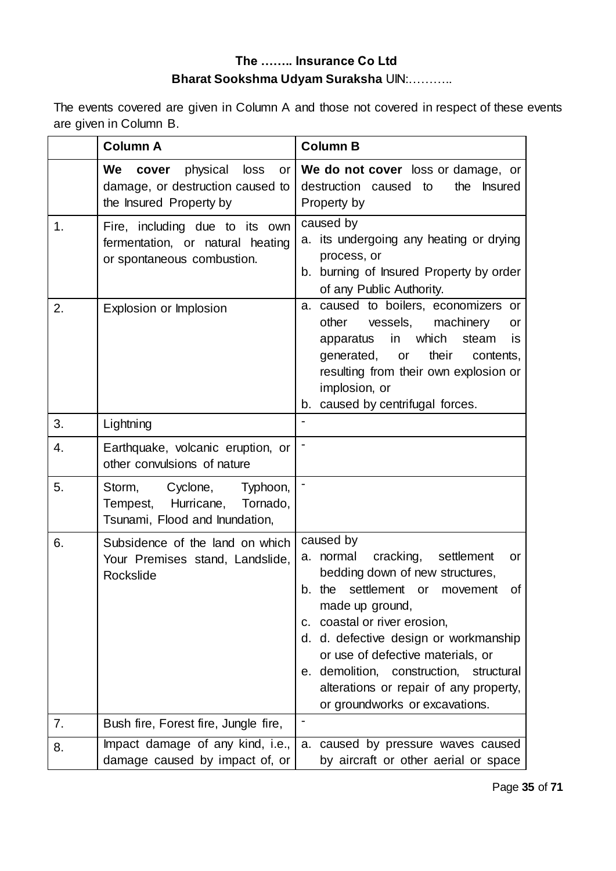The events covered are given in Column A and those not covered in respect of these events are given in Column B.

|               | <b>Column A</b>                                                                                      | <b>Column B</b>                                                                                                                                                                                                                                                                                                                                                                                 |
|---------------|------------------------------------------------------------------------------------------------------|-------------------------------------------------------------------------------------------------------------------------------------------------------------------------------------------------------------------------------------------------------------------------------------------------------------------------------------------------------------------------------------------------|
|               | physical<br>We<br>loss<br>cover<br>or<br>damage, or destruction caused to<br>the Insured Property by | We do not cover loss or damage, or<br>destruction caused to<br>the<br><b>Insured</b><br>Property by                                                                                                                                                                                                                                                                                             |
| $\mathbf 1$ . | Fire, including due to its own<br>fermentation, or natural heating<br>or spontaneous combustion.     | caused by<br>a. its undergoing any heating or drying<br>process, or<br>b. burning of Insured Property by order<br>of any Public Authority.                                                                                                                                                                                                                                                      |
| 2.            | Explosion or Implosion                                                                               | a. caused to boilers, economizers or<br>other<br>vessels,<br>machinery<br>or<br>which<br>in<br>steam<br>apparatus<br>is<br>their<br>generated,<br>or<br>contents,<br>resulting from their own explosion or<br>implosion, or<br>b. caused by centrifugal forces.                                                                                                                                 |
| 3.            | Lightning                                                                                            |                                                                                                                                                                                                                                                                                                                                                                                                 |
| 4.            | Earthquake, volcanic eruption, or<br>other convulsions of nature                                     |                                                                                                                                                                                                                                                                                                                                                                                                 |
| 5.            | Cyclone,<br>Storm,<br>Typhoon,<br>Tempest, Hurricane, Tornado,<br>Tsunami, Flood and Inundation,     |                                                                                                                                                                                                                                                                                                                                                                                                 |
| 6.            | Subsidence of the land on which<br>Your Premises stand, Landslide,<br>Rockslide                      | caused by<br>cracking,<br>a. normal<br>settlement<br>or<br>bedding down of new structures,<br>settlement or<br>b. the<br>of<br>movement<br>made up ground,<br>c. coastal or river erosion,<br>d. d. defective design or workmanship<br>or use of defective materials, or<br>e. demolition, construction, structural<br>alterations or repair of any property,<br>or groundworks or excavations. |
| 7.            | Bush fire, Forest fire, Jungle fire,                                                                 |                                                                                                                                                                                                                                                                                                                                                                                                 |
| 8.            | Impact damage of any kind, i.e.,<br>damage caused by impact of, or                                   | a. caused by pressure waves caused<br>by aircraft or other aerial or space                                                                                                                                                                                                                                                                                                                      |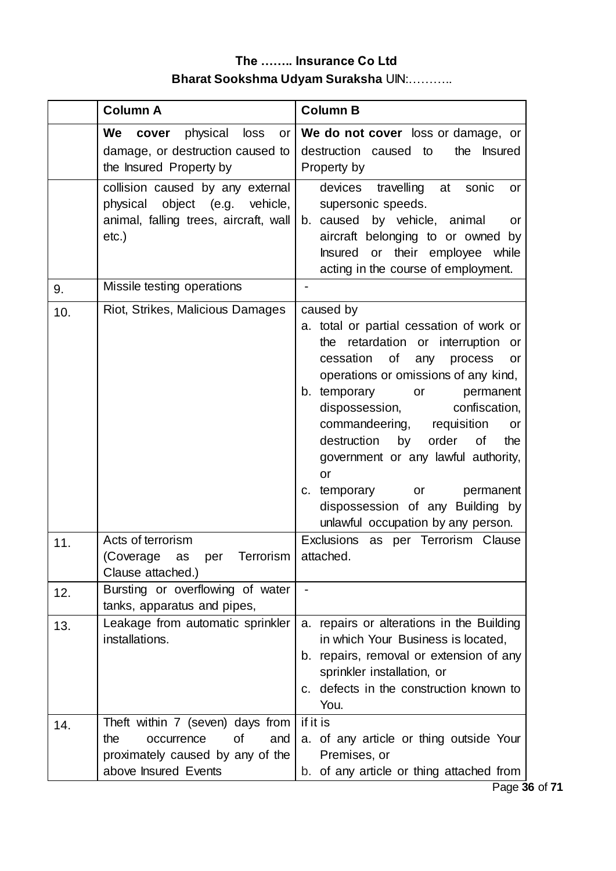|     | <b>Column A</b>                                                                                                                | <b>Column B</b>                                                                                                                                                                                                                                                                                                                                                                                                                                                                                                  |
|-----|--------------------------------------------------------------------------------------------------------------------------------|------------------------------------------------------------------------------------------------------------------------------------------------------------------------------------------------------------------------------------------------------------------------------------------------------------------------------------------------------------------------------------------------------------------------------------------------------------------------------------------------------------------|
|     | physical<br>We cover<br>loss<br>or<br>damage, or destruction caused to<br>the Insured Property by                              | We do not cover loss or damage, or<br>destruction caused to<br>the<br><b>Insured</b><br>Property by                                                                                                                                                                                                                                                                                                                                                                                                              |
|     | collision caused by any external<br>physical object (e.g.<br>vehicle,<br>animal, falling trees, aircraft, wall<br>$etc.$ )     | devices travelling<br>at<br>sonic<br>or<br>supersonic speeds.<br>b. caused by vehicle, animal<br>or<br>aircraft belonging to or owned<br>by<br>Insured or their employee while<br>acting in the course of employment.                                                                                                                                                                                                                                                                                            |
| 9.  | Missile testing operations                                                                                                     |                                                                                                                                                                                                                                                                                                                                                                                                                                                                                                                  |
| 10. | Riot, Strikes, Malicious Damages                                                                                               | caused by<br>a. total or partial cessation of work or<br>retardation or interruption<br>the<br>or<br>cessation<br><b>of</b><br>any<br>process<br>or<br>operations or omissions of any kind,<br>b. temporary<br>permanent<br>or<br>dispossession,<br>confiscation,<br>commandeering,<br>requisition<br>or<br>destruction<br>by<br>order<br>0f<br>the<br>government or any lawful authority,<br>or<br>temporary<br>permanent<br>or<br>C.<br>dispossession of any Building by<br>unlawful occupation by any person. |
| 11. | Acts of terrorism<br>Terrorism<br>(Coverage<br>per<br>as<br>Clause attached.)                                                  | Exclusions as per Terrorism Clause<br>attached.                                                                                                                                                                                                                                                                                                                                                                                                                                                                  |
| 12. | Bursting or overflowing of water<br>tanks, apparatus and pipes,                                                                |                                                                                                                                                                                                                                                                                                                                                                                                                                                                                                                  |
| 13. | Leakage from automatic sprinkler<br>installations.                                                                             | a. repairs or alterations in the Building<br>in which Your Business is located,<br>b. repairs, removal or extension of any<br>sprinkler installation, or<br>c. defects in the construction known to<br>You.                                                                                                                                                                                                                                                                                                      |
| 14. | Theft within 7 (seven) days from<br>οf<br>and<br>the<br>occurrence<br>proximately caused by any of the<br>above Insured Events | if it is<br>a. of any article or thing outside Your<br>Premises, or<br>b. of any article or thing attached from                                                                                                                                                                                                                                                                                                                                                                                                  |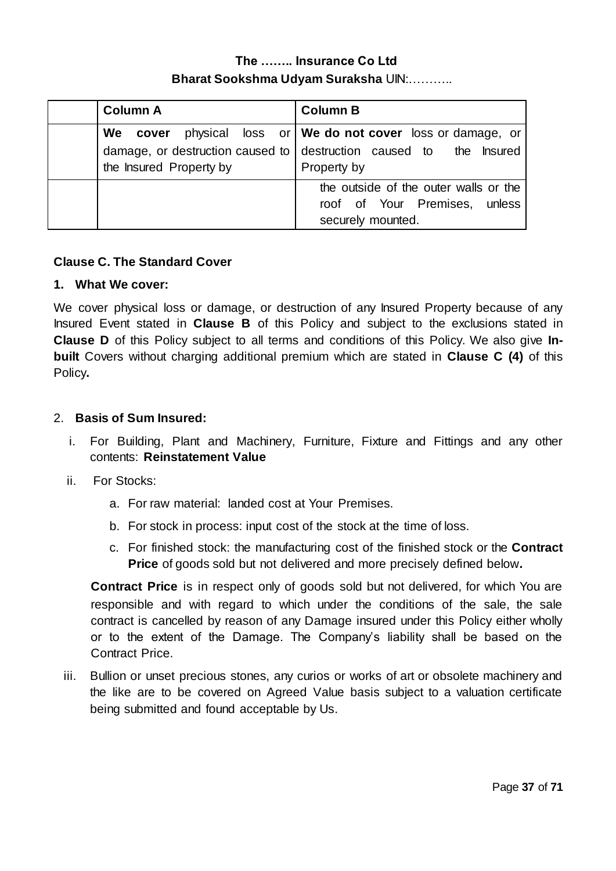| <b>Column A</b>         | <b>Column B</b>                                                                             |
|-------------------------|---------------------------------------------------------------------------------------------|
|                         | We cover physical loss or   We do not cover loss or damage, or                              |
| the Insured Property by | damage, or destruction caused to $\vert$ destruction caused to the Insured<br>Property by   |
|                         | the outside of the outer walls or the<br>roof of Your Premises, unless<br>securely mounted. |

## **Clause C. The Standard Cover**

#### **1. What We cover:**

We cover physical loss or damage, or destruction of any Insured Property because of any Insured Event stated in **Clause B** of this Policy and subject to the exclusions stated in **Clause D** of this Policy subject to all terms and conditions of this Policy. We also give **Inbuilt** Covers without charging additional premium which are stated in **Clause C (4)** of this Policy**.**

#### 2. **Basis of Sum Insured:**

- i. For Building, Plant and Machinery, Furniture, Fixture and Fittings and any other contents: **Reinstatement Value**
- ii. For Stocks:
	- a. For raw material: landed cost at Your Premises.
	- b. For stock in process: input cost of the stock at the time of loss.
	- c. For finished stock: the manufacturing cost of the finished stock or the **Contract Price** of goods sold but not delivered and more precisely defined below**.**

**Contract Price** is in respect only of goods sold but not delivered, for which You are responsible and with regard to which under the conditions of the sale, the sale contract is cancelled by reason of any Damage insured under this Policy either wholly or to the extent of the Damage. The Company's liability shall be based on the Contract Price.

iii. Bullion or unset precious stones, any curios or works of art or obsolete machinery and the like are to be covered on Agreed Value basis subject to a valuation certificate being submitted and found acceptable by Us.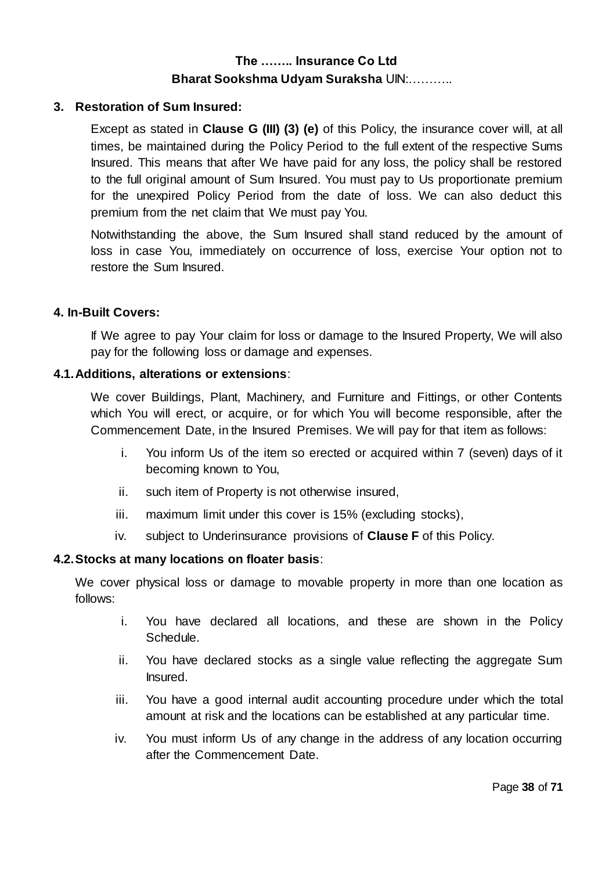#### **3. Restoration of Sum Insured:**

Except as stated in **Clause G (III) (3) (e)** of this Policy, the insurance cover will, at all times, be maintained during the Policy Period to the full extent of the respective Sums Insured. This means that after We have paid for any loss, the policy shall be restored to the full original amount of Sum Insured. You must pay to Us proportionate premium for the unexpired Policy Period from the date of loss. We can also deduct this premium from the net claim that We must pay You.

Notwithstanding the above, the Sum Insured shall stand reduced by the amount of loss in case You, immediately on occurrence of loss, exercise Your option not to restore the Sum Insured.

#### **4. In-Built Covers:**

If We agree to pay Your claim for loss or damage to the Insured Property, We will also pay for the following loss or damage and expenses.

#### **4.1.Additions, alterations or extensions**:

We cover Buildings, Plant, Machinery, and Furniture and Fittings, or other Contents which You will erect, or acquire, or for which You will become responsible, after the Commencement Date, in the Insured Premises. We will pay for that item as follows:

- i. You inform Us of the item so erected or acquired within 7 (seven) days of it becoming known to You,
- ii. such item of Property is not otherwise insured,
- iii. maximum limit under this cover is 15% (excluding stocks),
- iv. subject to Underinsurance provisions of **Clause F** of this Policy.

#### **4.2.Stocks at many locations on floater basis**:

We cover physical loss or damage to movable property in more than one location as follows:

- i. You have declared all locations, and these are shown in the Policy Schedule.
- ii. You have declared stocks as a single value reflecting the aggregate Sum Insured.
- iii. You have a good internal audit accounting procedure under which the total amount at risk and the locations can be established at any particular time.
- iv. You must inform Us of any change in the address of any location occurring after the Commencement Date.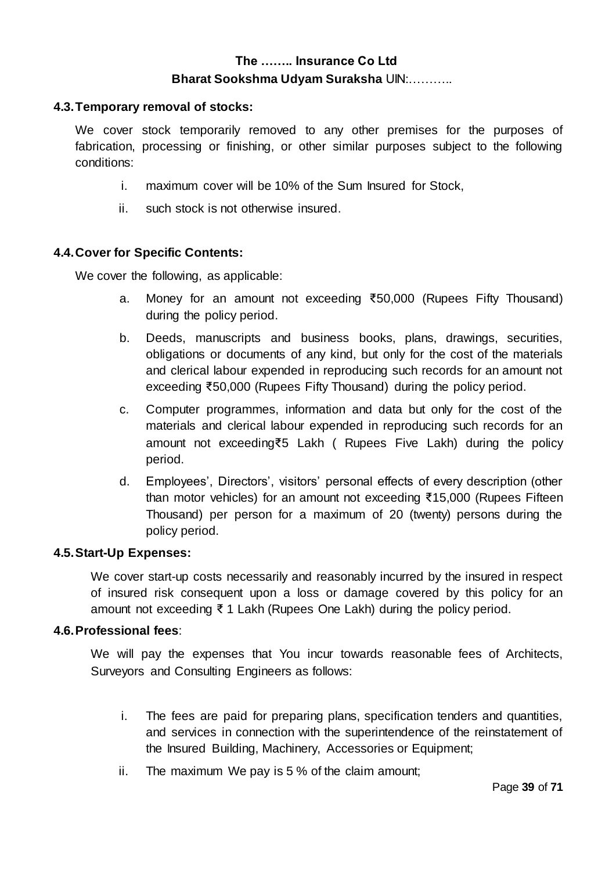#### **4.3.Temporary removal of stocks:**

We cover stock temporarily removed to any other premises for the purposes of fabrication, processing or finishing, or other similar purposes subject to the following conditions:

- i. maximum cover will be 10% of the Sum Insured for Stock,
- ii. such stock is not otherwise insured.

#### **4.4.Cover for Specific Contents:**

We cover the following, as applicable:

- a. Money for an amount not exceeding ₹50,000 (Rupees Fifty Thousand) during the policy period.
- b. Deeds, manuscripts and business books, plans, drawings, securities, obligations or documents of any kind, but only for the cost of the materials and clerical labour expended in reproducing such records for an amount not exceeding ₹50,000 (Rupees Fifty Thousand) during the policy period.
- c. Computer programmes, information and data but only for the cost of the materials and clerical labour expended in reproducing such records for an amount not exceeding₹5 Lakh ( Rupees Five Lakh) during the policy period.
- d. Employees', Directors', visitors' personal effects of every description (other than motor vehicles) for an amount not exceeding ₹15,000 (Rupees Fifteen Thousand) per person for a maximum of 20 (twenty) persons during the policy period.

#### **4.5.Start-Up Expenses:**

We cover start-up costs necessarily and reasonably incurred by the insured in respect of insured risk consequent upon a loss or damage covered by this policy for an amount not exceeding ₹ 1 Lakh (Rupees One Lakh) during the policy period.

#### **4.6.Professional fees**:

We will pay the expenses that You incur towards reasonable fees of Architects, Surveyors and Consulting Engineers as follows:

- i. The fees are paid for preparing plans, specification tenders and quantities, and services in connection with the superintendence of the reinstatement of the Insured Building, Machinery, Accessories or Equipment;
- ii. The maximum We pay is 5 % of the claim amount;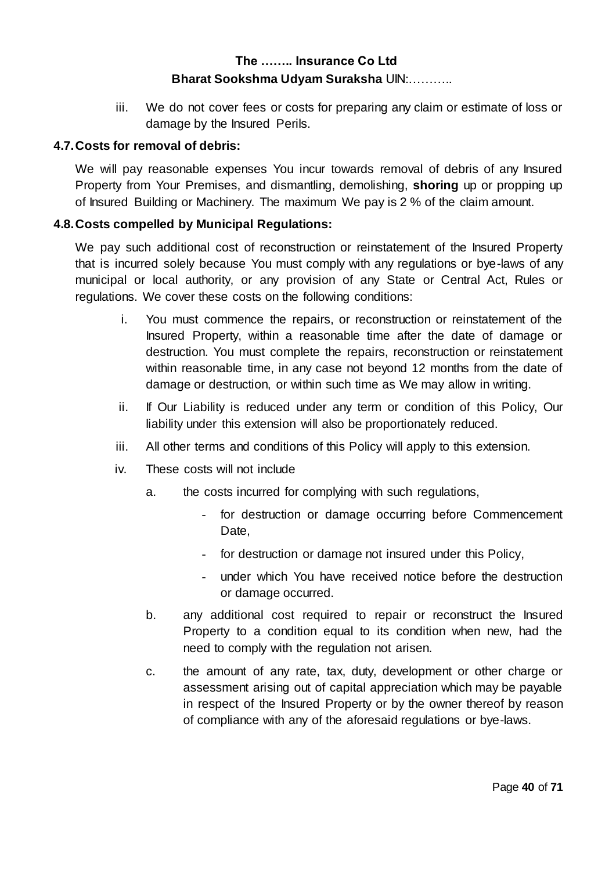iii. We do not cover fees or costs for preparing any claim or estimate of loss or damage by the Insured Perils.

#### **4.7.Costs for removal of debris:**

We will pay reasonable expenses You incur towards removal of debris of any Insured Property from Your Premises, and dismantling, demolishing, **shoring** up or propping up of Insured Building or Machinery. The maximum We pay is 2 % of the claim amount.

#### **4.8.Costs compelled by Municipal Regulations:**

We pay such additional cost of reconstruction or reinstatement of the Insured Property that is incurred solely because You must comply with any regulations or bye-laws of any municipal or local authority, or any provision of any State or Central Act, Rules or regulations. We cover these costs on the following conditions:

- i. You must commence the repairs, or reconstruction or reinstatement of the Insured Property, within a reasonable time after the date of damage or destruction. You must complete the repairs, reconstruction or reinstatement within reasonable time, in any case not beyond 12 months from the date of damage or destruction, or within such time as We may allow in writing.
- ii. If Our Liability is reduced under any term or condition of this Policy, Our liability under this extension will also be proportionately reduced.
- iii. All other terms and conditions of this Policy will apply to this extension.
- iv. These costs will not include
	- a. the costs incurred for complying with such regulations,
		- for destruction or damage occurring before Commencement Date,
		- for destruction or damage not insured under this Policy,
		- under which You have received notice before the destruction or damage occurred.
	- b. any additional cost required to repair or reconstruct the Insured Property to a condition equal to its condition when new, had the need to comply with the regulation not arisen.
	- c. the amount of any rate, tax, duty, development or other charge or assessment arising out of capital appreciation which may be payable in respect of the Insured Property or by the owner thereof by reason of compliance with any of the aforesaid regulations or bye-laws.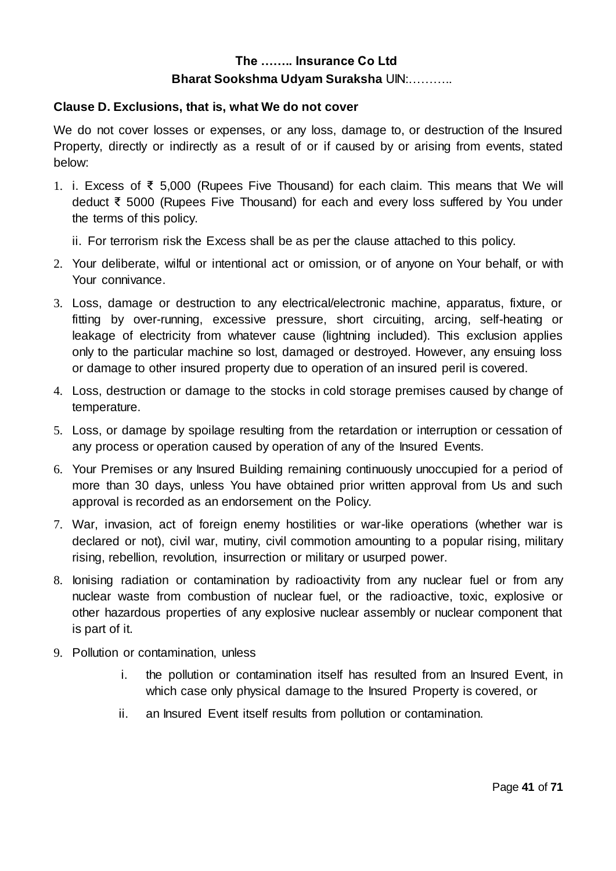#### **Clause D. Exclusions, that is, what We do not cover**

We do not cover losses or expenses, or any loss, damage to, or destruction of the Insured Property, directly or indirectly as a result of or if caused by or arising from events, stated below:

- 1. i. Excess of ₹ 5,000 (Rupees Five Thousand) for each claim. This means that We will deduct ₹ 5000 (Rupees Five Thousand) for each and every loss suffered by You under the terms of this policy.
	- ii. For terrorism risk the Excess shall be as per the clause attached to this policy.
- 2. Your deliberate, wilful or intentional act or omission, or of anyone on Your behalf, or with Your connivance.
- 3. Loss, damage or destruction to any electrical/electronic machine, apparatus, fixture, or fitting by over-running, excessive pressure, short circuiting, arcing, self-heating or leakage of electricity from whatever cause (lightning included). This exclusion applies only to the particular machine so lost, damaged or destroyed. However, any ensuing loss or damage to other insured property due to operation of an insured peril is covered.
- 4. Loss, destruction or damage to the stocks in cold storage premises caused by change of temperature.
- 5. Loss, or damage by spoilage resulting from the retardation or interruption or cessation of any process or operation caused by operation of any of the Insured Events.
- 6. Your Premises or any Insured Building remaining continuously unoccupied for a period of more than 30 days, unless You have obtained prior written approval from Us and such approval is recorded as an endorsement on the Policy.
- 7. War, invasion, act of foreign enemy hostilities or war-like operations (whether war is declared or not), civil war, mutiny, civil commotion amounting to a popular rising, military rising, rebellion, revolution, insurrection or military or usurped power.
- 8. Ionising radiation or contamination by radioactivity from any nuclear fuel or from any nuclear waste from combustion of nuclear fuel, or the radioactive, toxic, explosive or other hazardous properties of any explosive nuclear assembly or nuclear component that is part of it.
- 9. Pollution or contamination, unless
	- i. the pollution or contamination itself has resulted from an Insured Event, in which case only physical damage to the Insured Property is covered, or
	- ii. an Insured Event itself results from pollution or contamination.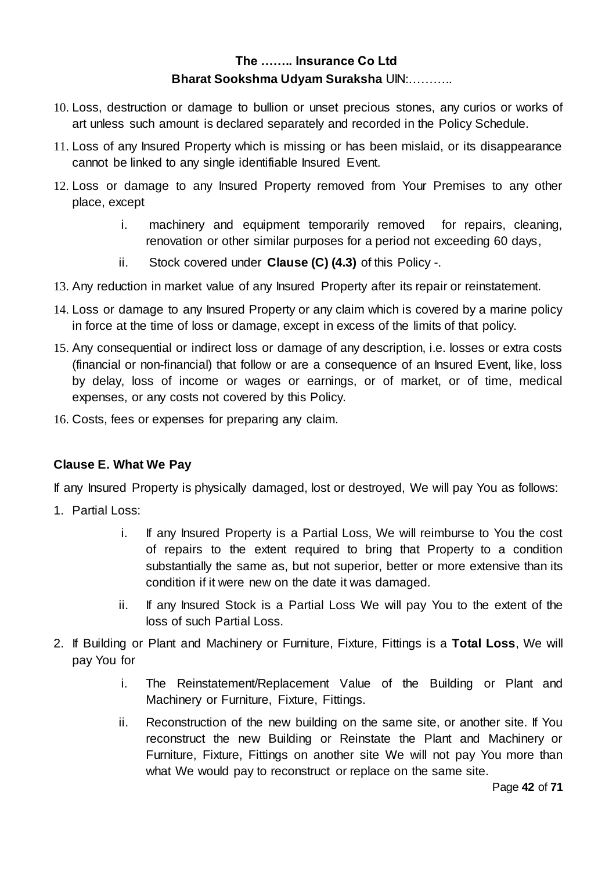- 10. Loss, destruction or damage to bullion or unset precious stones, any curios or works of art unless such amount is declared separately and recorded in the Policy Schedule.
- 11. Loss of any Insured Property which is missing or has been mislaid, or its disappearance cannot be linked to any single identifiable Insured Event.
- 12. Loss or damage to any Insured Property removed from Your Premises to any other place, except
	- i. machinery and equipment temporarily removed for repairs, cleaning, renovation or other similar purposes for a period not exceeding 60 days,
	- ii. Stock covered under **Clause (C) (4.3)** of this Policy -.
- 13. Any reduction in market value of any Insured Property after its repair or reinstatement.
- 14. Loss or damage to any Insured Property or any claim which is covered by a marine policy in force at the time of loss or damage, except in excess of the limits of that policy.
- 15. Any consequential or indirect loss or damage of any description, i.e. losses or extra costs (financial or non-financial) that follow or are a consequence of an Insured Event, like, loss by delay, loss of income or wages or earnings, or of market, or of time, medical expenses, or any costs not covered by this Policy.
- 16. Costs, fees or expenses for preparing any claim.

## **Clause E. What We Pay**

If any Insured Property is physically damaged, lost or destroyed, We will pay You as follows:

- 1. Partial Loss:
	- i. If any Insured Property is a Partial Loss, We will reimburse to You the cost of repairs to the extent required to bring that Property to a condition substantially the same as, but not superior, better or more extensive than its condition if it were new on the date it was damaged.
	- ii. If any Insured Stock is a Partial Loss We will pay You to the extent of the loss of such Partial Loss.
- 2. If Building or Plant and Machinery or Furniture, Fixture, Fittings is a **Total Loss**, We will pay You for
	- i. The Reinstatement/Replacement Value of the Building or Plant and Machinery or Furniture, Fixture, Fittings.
	- ii. Reconstruction of the new building on the same site, or another site. If You reconstruct the new Building or Reinstate the Plant and Machinery or Furniture, Fixture, Fittings on another site We will not pay You more than what We would pay to reconstruct or replace on the same site.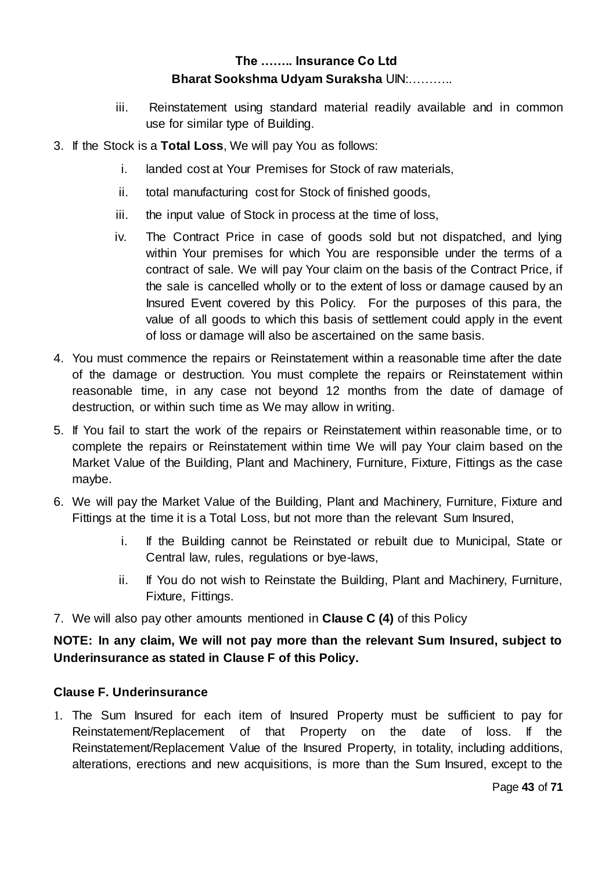- iii. Reinstatement using standard material readily available and in common use for similar type of Building.
- 3. If the Stock is a **Total Loss**, We will pay You as follows:
	- i. landed cost at Your Premises for Stock of raw materials,
	- ii. total manufacturing cost for Stock of finished goods,
	- iii. the input value of Stock in process at the time of loss,
	- iv. The Contract Price in case of goods sold but not dispatched, and lying within Your premises for which You are responsible under the terms of a contract of sale. We will pay Your claim on the basis of the Contract Price, if the sale is cancelled wholly or to the extent of loss or damage caused by an Insured Event covered by this Policy. For the purposes of this para, the value of all goods to which this basis of settlement could apply in the event of loss or damage will also be ascertained on the same basis.
- 4. You must commence the repairs or Reinstatement within a reasonable time after the date of the damage or destruction. You must complete the repairs or Reinstatement within reasonable time, in any case not beyond 12 months from the date of damage of destruction, or within such time as We may allow in writing.
- 5. If You fail to start the work of the repairs or Reinstatement within reasonable time, or to complete the repairs or Reinstatement within time We will pay Your claim based on the Market Value of the Building, Plant and Machinery, Furniture, Fixture, Fittings as the case maybe.
- 6. We will pay the Market Value of the Building, Plant and Machinery, Furniture, Fixture and Fittings at the time it is a Total Loss, but not more than the relevant Sum Insured,
	- i. If the Building cannot be Reinstated or rebuilt due to Municipal, State or Central law, rules, regulations or bye-laws,
	- ii. If You do not wish to Reinstate the Building, Plant and Machinery, Furniture, Fixture, Fittings.
- 7. We will also pay other amounts mentioned in **Clause C (4)** of this Policy

## **NOTE: In any claim, We will not pay more than the relevant Sum Insured, subject to Underinsurance as stated in Clause F of this Policy.**

## **Clause F. Underinsurance**

1. The Sum Insured for each item of Insured Property must be sufficient to pay for Reinstatement/Replacement of that Property on the date of loss. If the Reinstatement/Replacement Value of the Insured Property, in totality, including additions, alterations, erections and new acquisitions, is more than the Sum Insured, except to the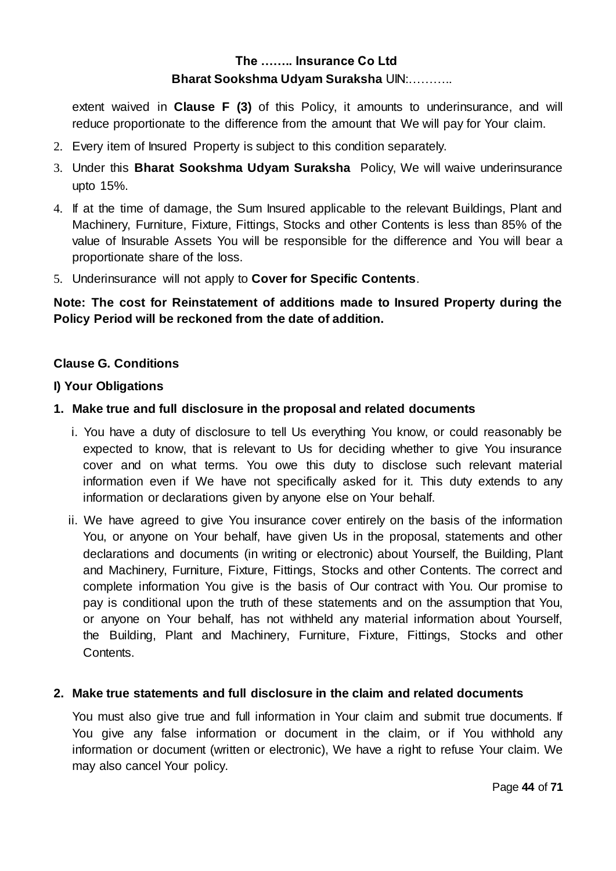extent waived in **Clause F (3)** of this Policy, it amounts to underinsurance, and will reduce proportionate to the difference from the amount that We will pay for Your claim.

- 2. Every item of Insured Property is subject to this condition separately.
- 3. Under this **Bharat Sookshma Udyam Suraksha** Policy, We will waive underinsurance upto 15%.
- 4. If at the time of damage, the Sum Insured applicable to the relevant Buildings, Plant and Machinery, Furniture, Fixture, Fittings, Stocks and other Contents is less than 85% of the value of Insurable Assets You will be responsible for the difference and You will bear a proportionate share of the loss.
- 5. Underinsurance will not apply to **Cover for Specific Contents**.

## **Note: The cost for Reinstatement of additions made to Insured Property during the Policy Period will be reckoned from the date of addition.**

#### **Clause G. Conditions**

#### **I) Your Obligations**

#### **1. Make true and full disclosure in the proposal and related documents**

- i. You have a duty of disclosure to tell Us everything You know, or could reasonably be expected to know, that is relevant to Us for deciding whether to give You insurance cover and on what terms. You owe this duty to disclose such relevant material information even if We have not specifically asked for it. This duty extends to any information or declarations given by anyone else on Your behalf.
- ii. We have agreed to give You insurance cover entirely on the basis of the information You, or anyone on Your behalf, have given Us in the proposal, statements and other declarations and documents (in writing or electronic) about Yourself, the Building, Plant and Machinery, Furniture, Fixture, Fittings, Stocks and other Contents. The correct and complete information You give is the basis of Our contract with You. Our promise to pay is conditional upon the truth of these statements and on the assumption that You, or anyone on Your behalf, has not withheld any material information about Yourself, the Building, Plant and Machinery, Furniture, Fixture, Fittings, Stocks and other Contents.

#### **2. Make true statements and full disclosure in the claim and related documents**

You must also give true and full information in Your claim and submit true documents. If You give any false information or document in the claim, or if You withhold any information or document (written or electronic), We have a right to refuse Your claim. We may also cancel Your policy.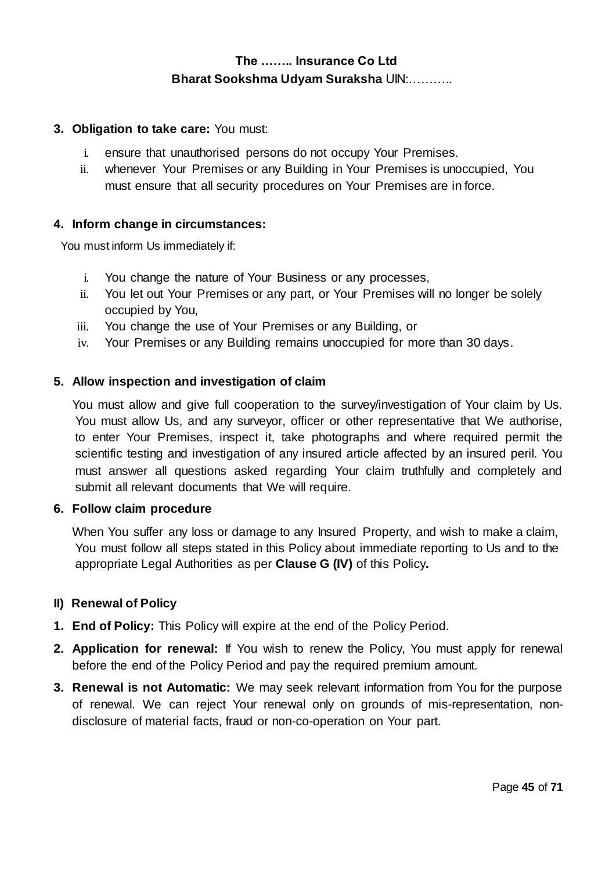#### **3. Obligation to take care:** You must:

- i. ensure that unauthorised persons do not occupy Your Premises.
- ii. whenever Your Premises or any Building in Your Premises is unoccupied, You must ensure that all security procedures on Your Premises are in force.

#### **4. Inform change in circumstances:**

You must inform Us immediately if:

- i. You change the nature of Your Business or any processes,
- ii. You let out Your Premises or any part, or Your Premises will no longer be solely occupied by You,
- iii. You change the use of Your Premises or any Building, or
- iv. Your Premises or any Building remains unoccupied for more than 30 days.

#### **5. Allow inspection and investigation of claim**

You must allow and give full cooperation to the survey/investigation of Your claim by Us. You must allow Us, and any surveyor, officer or other representative that We authorise, to enter Your Premises, inspect it, take photographs and where required permit the scientific testing and investigation of any insured article affected by an insured peril. You must answer all questions asked regarding Your claim truthfully and completely and submit all relevant documents that We will require.

#### **6. Follow claim procedure**

When You suffer any loss or damage to any Insured Property, and wish to make a claim, You must follow all steps stated in this Policy about immediate reporting to Us and to the appropriate Legal Authorities as per **Clause G (IV)** of this Policy**.**

#### **II) Renewal of Policy**

- **1. End of Policy:** This Policy will expire at the end of the Policy Period.
- **2. Application for renewal:** If You wish to renew the Policy, You must apply for renewal before the end of the Policy Period and pay the required premium amount.
- **3. Renewal is not Automatic:** We may seek relevant information from You for the purpose of renewal. We can reject Your renewal only on grounds of mis-representation, nondisclosure of material facts, fraud or non-co-operation on Your part.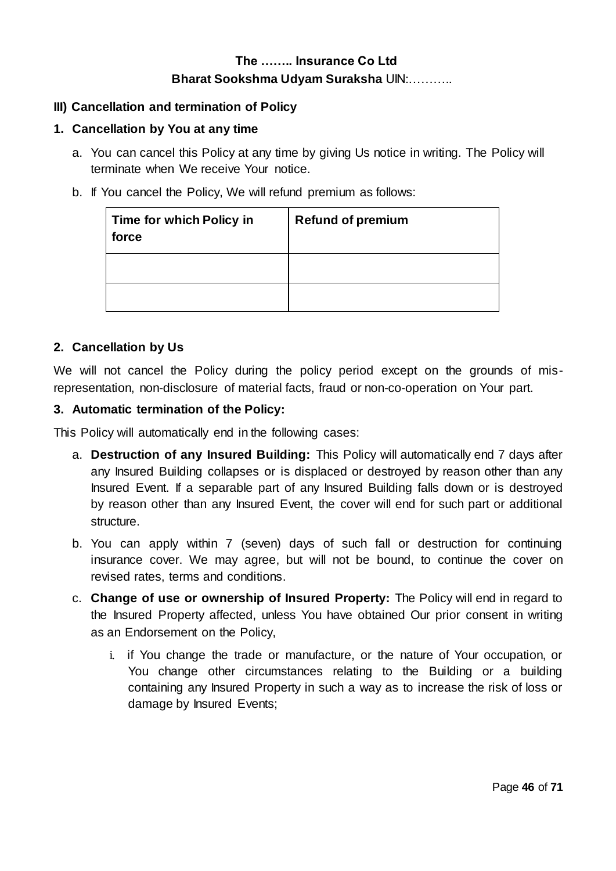#### **III) Cancellation and termination of Policy**

#### **1. Cancellation by You at any time**

- a. You can cancel this Policy at any time by giving Us notice in writing. The Policy will terminate when We receive Your notice.
- b. If You cancel the Policy, We will refund premium as follows:

| Time for which Policy in<br>force | <b>Refund of premium</b> |
|-----------------------------------|--------------------------|
|                                   |                          |
|                                   |                          |

#### **2. Cancellation by Us**

We will not cancel the Policy during the policy period except on the grounds of misrepresentation, non-disclosure of material facts, fraud or non-co-operation on Your part.

#### **3. Automatic termination of the Policy:**

This Policy will automatically end in the following cases:

- a. **Destruction of any Insured Building:** This Policy will automatically end 7 days after any Insured Building collapses or is displaced or destroyed by reason other than any Insured Event. If a separable part of any Insured Building falls down or is destroyed by reason other than any Insured Event, the cover will end for such part or additional structure.
- b. You can apply within 7 (seven) days of such fall or destruction for continuing insurance cover. We may agree, but will not be bound, to continue the cover on revised rates, terms and conditions.
- c. **Change of use or ownership of Insured Property:** The Policy will end in regard to the Insured Property affected, unless You have obtained Our prior consent in writing as an Endorsement on the Policy,
	- i. if You change the trade or manufacture, or the nature of Your occupation, or You change other circumstances relating to the Building or a building containing any Insured Property in such a way as to increase the risk of loss or damage by Insured Events;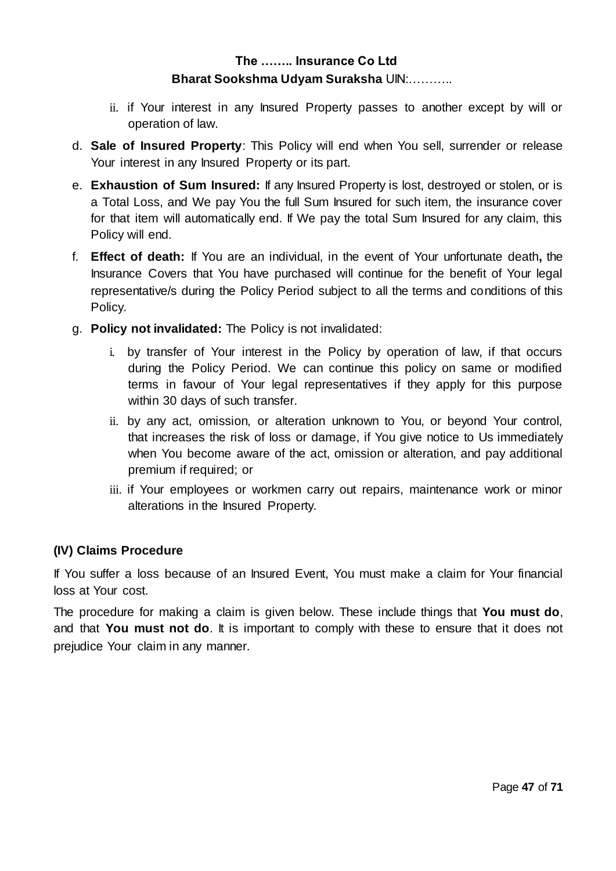- ii. if Your interest in any Insured Property passes to another except by will or operation of law.
- d. **Sale of Insured Property**: This Policy will end when You sell, surrender or release Your interest in any Insured Property or its part.
- e. **Exhaustion of Sum Insured:** If any Insured Property is lost, destroyed or stolen, or is a Total Loss, and We pay You the full Sum Insured for such item, the insurance cover for that item will automatically end. If We pay the total Sum Insured for any claim, this Policy will end.
- f. **Effect of death:** If You are an individual, in the event of Your unfortunate death**,** the Insurance Covers that You have purchased will continue for the benefit of Your legal representative/s during the Policy Period subject to all the terms and conditions of this Policy.
- g. **Policy not invalidated:** The Policy is not invalidated:
	- i. by transfer of Your interest in the Policy by operation of law, if that occurs during the Policy Period. We can continue this policy on same or modified terms in favour of Your legal representatives if they apply for this purpose within 30 days of such transfer.
	- ii. by any act, omission, or alteration unknown to You, or beyond Your control, that increases the risk of loss or damage, if You give notice to Us immediately when You become aware of the act, omission or alteration, and pay additional premium if required; or
	- iii. if Your employees or workmen carry out repairs, maintenance work or minor alterations in the Insured Property.

## **(IV) Claims Procedure**

If You suffer a loss because of an Insured Event, You must make a claim for Your financial loss at Your cost.

The procedure for making a claim is given below. These include things that **You must do**, and that **You must not do**. It is important to comply with these to ensure that it does not prejudice Your claim in any manner.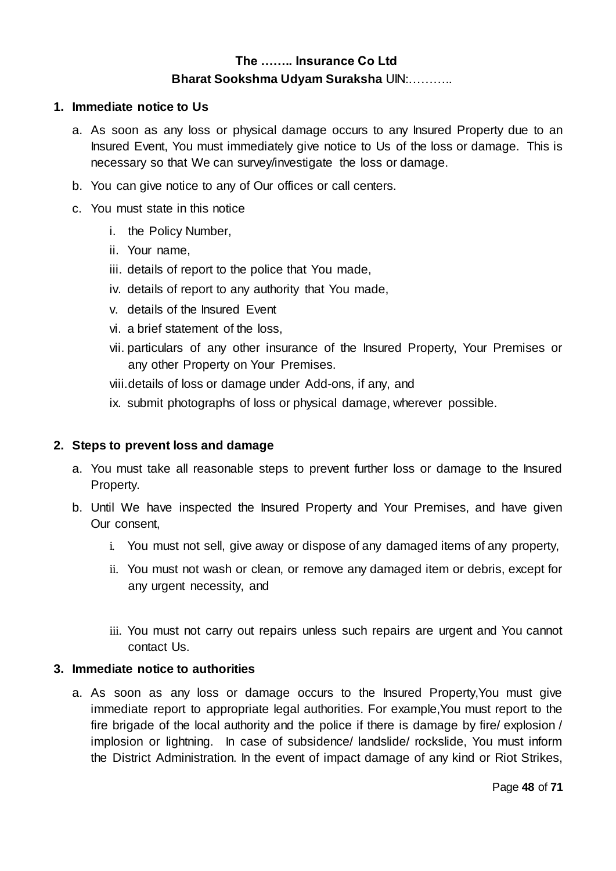#### **1. Immediate notice to Us**

- a. As soon as any loss or physical damage occurs to any Insured Property due to an Insured Event, You must immediately give notice to Us of the loss or damage. This is necessary so that We can survey/investigate the loss or damage.
- b. You can give notice to any of Our offices or call centers.
- c. You must state in this notice
	- i. the Policy Number,
	- ii. Your name,
	- iii. details of report to the police that You made,
	- iv. details of report to any authority that You made,
	- v. details of the Insured Event
	- vi. a brief statement of the loss,
	- vii. particulars of any other insurance of the Insured Property, Your Premises or any other Property on Your Premises.
	- viii.details of loss or damage under Add-ons, if any, and
	- ix. submit photographs of loss or physical damage, wherever possible.

#### **2. Steps to prevent loss and damage**

- a. You must take all reasonable steps to prevent further loss or damage to the Insured Property.
- b. Until We have inspected the Insured Property and Your Premises, and have given Our consent,
	- i. You must not sell, give away or dispose of any damaged items of any property,
	- ii. You must not wash or clean, or remove any damaged item or debris, except for any urgent necessity, and
	- iii. You must not carry out repairs unless such repairs are urgent and You cannot contact Us.

#### **3. Immediate notice to authorities**

a. As soon as any loss or damage occurs to the Insured Property,You must give immediate report to appropriate legal authorities. For example,You must report to the fire brigade of the local authority and the police if there is damage by fire/ explosion / implosion or lightning. In case of subsidence/ landslide/ rockslide, You must inform the District Administration. In the event of impact damage of any kind or Riot Strikes,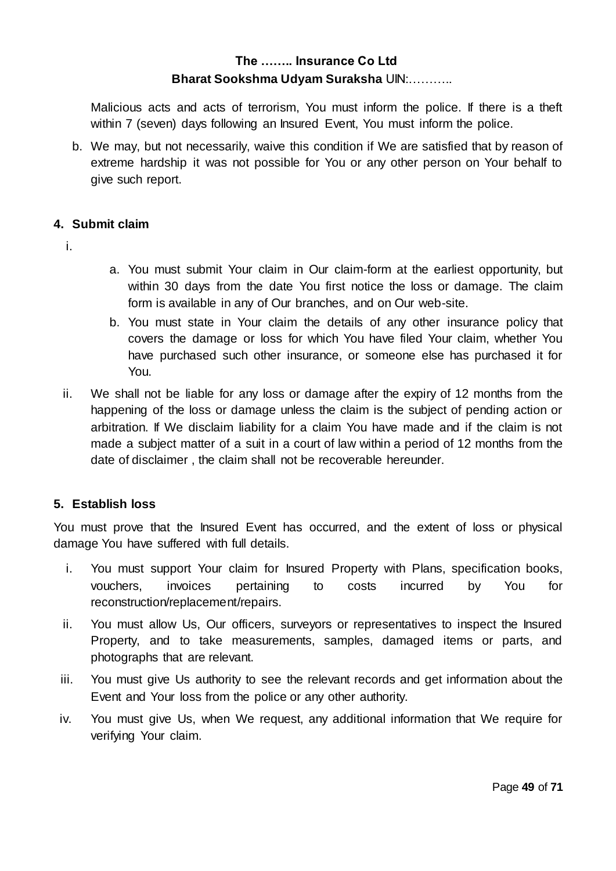Malicious acts and acts of terrorism, You must inform the police. If there is a theft within 7 (seven) days following an Insured Event, You must inform the police.

b. We may, but not necessarily, waive this condition if We are satisfied that by reason of extreme hardship it was not possible for You or any other person on Your behalf to give such report.

#### **4. Submit claim**

- i.
- a. You must submit Your claim in Our claim-form at the earliest opportunity, but within 30 days from the date You first notice the loss or damage. The claim form is available in any of Our branches, and on Our web-site.
- b. You must state in Your claim the details of any other insurance policy that covers the damage or loss for which You have filed Your claim, whether You have purchased such other insurance, or someone else has purchased it for You.
- ii. We shall not be liable for any loss or damage after the expiry of 12 months from the happening of the loss or damage unless the claim is the subject of pending action or arbitration. If We disclaim liability for a claim You have made and if the claim is not made a subject matter of a suit in a court of law within a period of 12 months from the date of disclaimer , the claim shall not be recoverable hereunder.

## **5. Establish loss**

You must prove that the Insured Event has occurred, and the extent of loss or physical damage You have suffered with full details.

- i. You must support Your claim for Insured Property with Plans, specification books, vouchers, invoices pertaining to costs incurred by You for reconstruction/replacement/repairs.
- ii. You must allow Us, Our officers, surveyors or representatives to inspect the Insured Property, and to take measurements, samples, damaged items or parts, and photographs that are relevant.
- iii. You must give Us authority to see the relevant records and get information about the Event and Your loss from the police or any other authority.
- iv. You must give Us, when We request, any additional information that We require for verifying Your claim.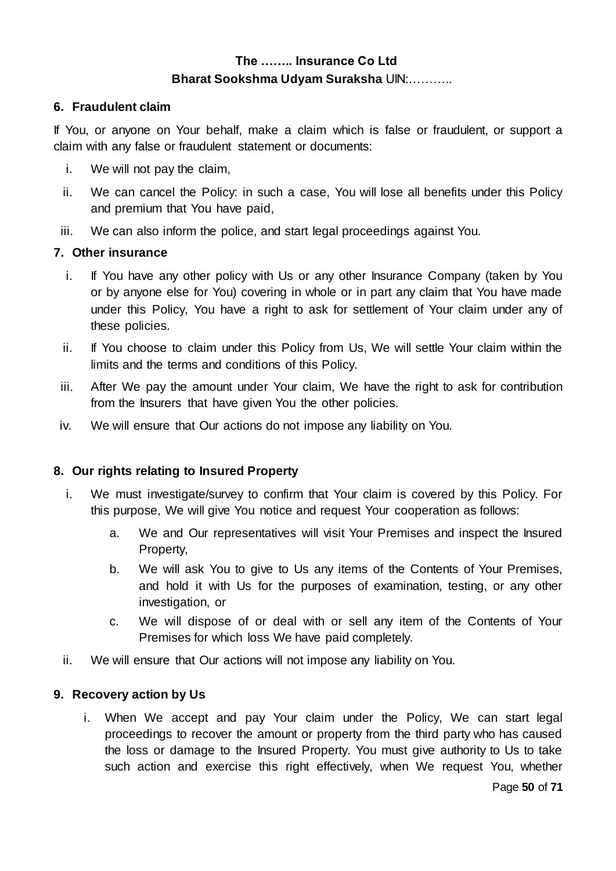#### **6. Fraudulent claim**

If You, or anyone on Your behalf, make a claim which is false or fraudulent, or support a claim with any false or fraudulent statement or documents:

- i. We will not pay the claim,
- ii. We can cancel the Policy: in such a case, You will lose all benefits under this Policy and premium that You have paid,
- iii. We can also inform the police, and start legal proceedings against You.

#### **7. Other insurance**

- i. If You have any other policy with Us or any other Insurance Company (taken by You or by anyone else for You) covering in whole or in part any claim that You have made under this Policy, You have a right to ask for settlement of Your claim under any of these policies.
- ii. If You choose to claim under this Policy from Us, We will settle Your claim within the limits and the terms and conditions of this Policy.
- iii. After We pay the amount under Your claim, We have the right to ask for contribution from the Insurers that have given You the other policies.
- iv. We will ensure that Our actions do not impose any liability on You.

#### **8. Our rights relating to Insured Property**

- i. We must investigate/survey to confirm that Your claim is covered by this Policy. For this purpose, We will give You notice and request Your cooperation as follows:
	- a. We and Our representatives will visit Your Premises and inspect the Insured Property,
	- b. We will ask You to give to Us any items of the Contents of Your Premises, and hold it with Us for the purposes of examination, testing, or any other investigation, or
	- c. We will dispose of or deal with or sell any item of the Contents of Your Premises for which loss We have paid completely.
- ii. We will ensure that Our actions will not impose any liability on You.

#### **9. Recovery action by Us**

i. When We accept and pay Your claim under the Policy, We can start legal proceedings to recover the amount or property from the third party who has caused the loss or damage to the Insured Property. You must give authority to Us to take such action and exercise this right effectively, when We request You, whether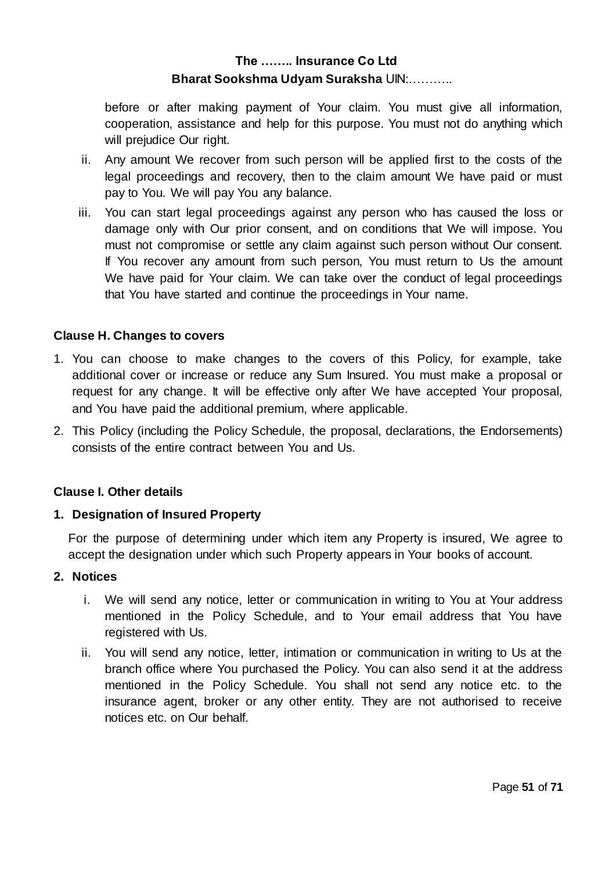before or after making payment of Your claim. You must give all information, cooperation, assistance and help for this purpose. You must not do anything which will prejudice Our right.

- ii. Any amount We recover from such person will be applied first to the costs of the legal proceedings and recovery, then to the claim amount We have paid or must pay to You. We will pay You any balance.
- iii. You can start legal proceedings against any person who has caused the loss or damage only with Our prior consent, and on conditions that We will impose. You must not compromise or settle any claim against such person without Our consent. If You recover any amount from such person, You must return to Us the amount We have paid for Your claim. We can take over the conduct of legal proceedings that You have started and continue the proceedings in Your name.

#### **Clause H. Changes to covers**

- 1. You can choose to make changes to the covers of this Policy, for example, take additional cover or increase or reduce any Sum Insured. You must make a proposal or request for any change. It will be effective only after We have accepted Your proposal, and You have paid the additional premium, where applicable.
- 2. This Policy (including the Policy Schedule, the proposal, declarations, the Endorsements) consists of the entire contract between You and Us.

#### **Clause I. Other details**

#### **1. Designation of Insured Property**

For the purpose of determining under which item any Property is insured, We agree to accept the designation under which such Property appears in Your books of account.

#### **2. Notices**

- i. We will send any notice, letter or communication in writing to You at Your address mentioned in the Policy Schedule, and to Your email address that You have registered with Us.
- ii. You will send any notice, letter, intimation or communication in writing to Us at the branch office where You purchased the Policy. You can also send it at the address mentioned in the Policy Schedule. You shall not send any notice etc. to the insurance agent, broker or any other entity. They are not authorised to receive notices etc. on Our behalf.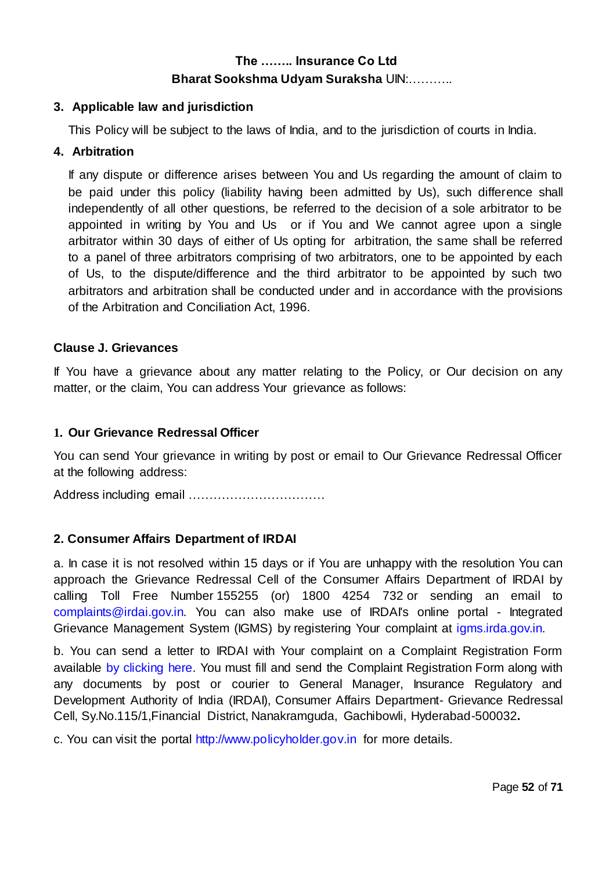#### **3. Applicable law and jurisdiction**

This Policy will be subject to the laws of India, and to the jurisdiction of courts in India.

#### **4. Arbitration**

If any dispute or difference arises between You and Us regarding the amount of claim to be paid under this policy (liability having been admitted by Us), such difference shall independently of all other questions, be referred to the decision of a sole arbitrator to be appointed in writing by You and Us or if You and We cannot agree upon a single arbitrator within 30 days of either of Us opting for arbitration, the same shall be referred to a panel of three arbitrators comprising of two arbitrators, one to be appointed by each of Us, to the dispute/difference and the third arbitrator to be appointed by such two arbitrators and arbitration shall be conducted under and in accordance with the provisions of the Arbitration and Conciliation Act, 1996.

#### **Clause J. Grievances**

If You have a grievance about any matter relating to the Policy, or Our decision on any matter, or the claim, You can address Your grievance as follows:

#### **1. Our Grievance Redressal Officer**

You can send Your grievance in writing by post or email to Our Grievance Redressal Officer at the following address:

Address including email ……………………………

#### **2. Consumer Affairs Department of IRDAI**

a. In case it is not resolved within 15 days or if You are unhappy with the resolution You can approach the Grievance Redressal Cell of the Consumer Affairs Department of IRDAI by calling Toll Free Number 155255 (or) 1800 4254 732 or sending an email to [complaints@irdai.gov.in.](mailto:complaints@irdai.gov.in) You can also make use of IRDAI's online portal - Integrated Grievance Management System (IGMS) by registering Your complaint at [igms.irda.gov.in.](http://igms.irda.gov.in/)

b. You can send a letter to IRDAI with Your complaint on a Complaint Registration Form available [by clicking here.](http://www.policyholder.gov.in/uploads/CEDocuments/complaintform.pdf) You must fill and send the Complaint Registration Form along with any documents by post or courier to General Manager, Insurance Regulatory and Development Authority of India (IRDAI), Consumer Affairs Department- Grievance Redressal Cell, Sy.No.115/1,Financial District, Nanakramguda, Gachibowli, Hyderabad-500032**.**

c. You can visit the portal [http://www.policyholder.gov.in](http://www.policyholder.gov.in/) for more details.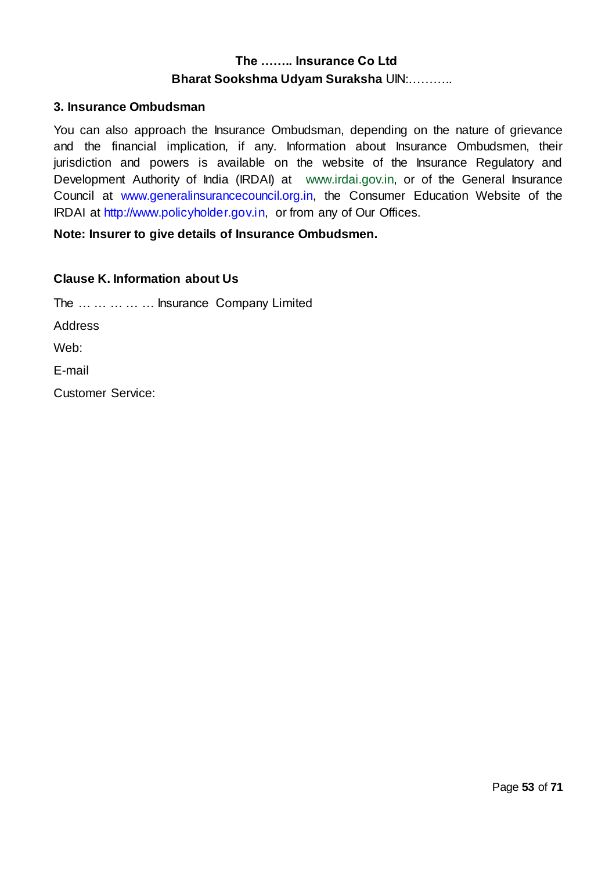#### **3. Insurance Ombudsman**

You can also approach the Insurance Ombudsman, depending on the nature of grievance and the financial implication, if any. Information about Insurance Ombudsmen, their jurisdiction and powers is available on the website of the Insurance Regulatory and Development Authority of India (IRDAI) at [www.irdai.gov.in,](http://www.irdaindia.org/) or of the General Insurance Council at [www.generalinsurancecouncil.org.in,](http://www.generalinsurancecouncil.org.in/) the Consumer Education Website of the IRDAI at [http://www.policyholder.gov.in,](http://www.policyholder.gov.in/) or from any of Our Offices.

#### **Note: Insurer to give details of Insurance Ombudsmen.**

#### **Clause K. Information about Us**

The … … … … … Insurance Company Limited Address Web: E-mail Customer Service: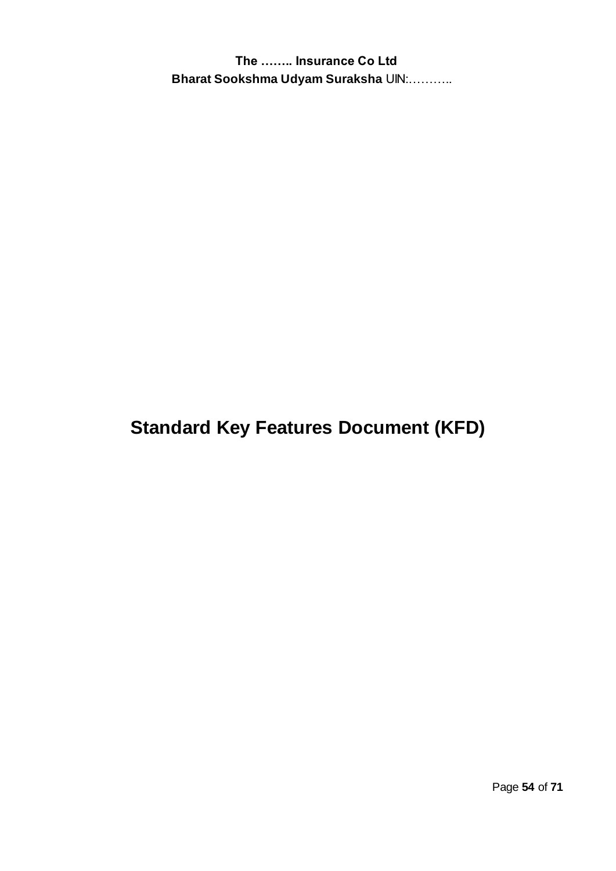**Standard Key Features Document (KFD)**

Page **54** of **71**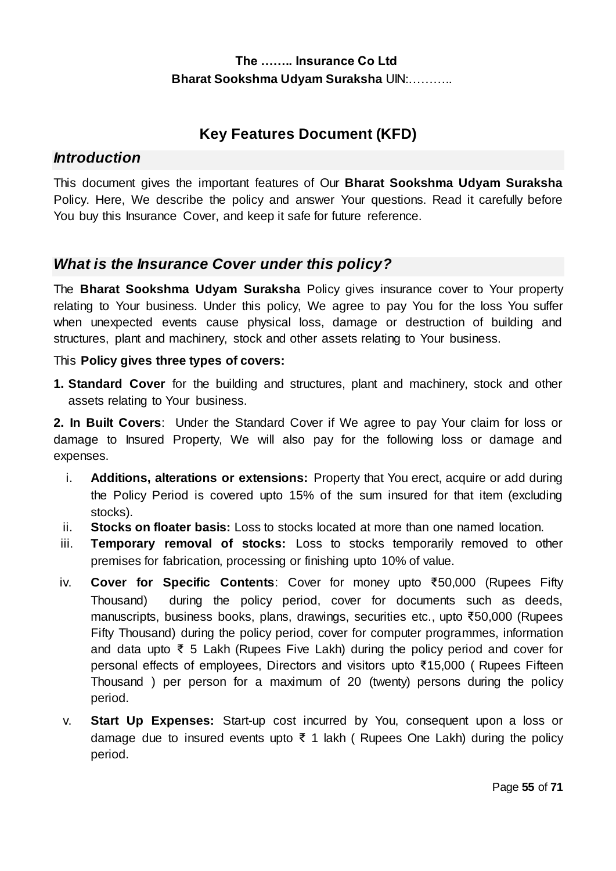# **Key Features Document (KFD)**

## *Introduction*

This document gives the important features of Our **Bharat Sookshma Udyam Suraksha** Policy. Here, We describe the policy and answer Your questions. Read it carefully before You buy this Insurance Cover, and keep it safe for future reference.

## *What is the Insurance Cover under this policy?*

The **Bharat Sookshma Udyam Suraksha** Policy gives insurance cover to Your property relating to Your business. Under this policy, We agree to pay You for the loss You suffer when unexpected events cause physical loss, damage or destruction of building and structures, plant and machinery, stock and other assets relating to Your business.

#### This **Policy gives three types of covers:**

**1. Standard Cover** for the building and structures, plant and machinery, stock and other assets relating to Your business.

**2. In Built Covers**: Under the Standard Cover if We agree to pay Your claim for loss or damage to Insured Property, We will also pay for the following loss or damage and expenses.

- i. **Additions, alterations or extensions:** Property that You erect, acquire or add during the Policy Period is covered upto 15% of the sum insured for that item (excluding stocks).
- ii. **Stocks on floater basis:** Loss to stocks located at more than one named location.
- iii. **Temporary removal of stocks:** Loss to stocks temporarily removed to other premises for fabrication, processing or finishing upto 10% of value.
- iv. **Cover for Specific Contents**: Cover for money upto ₹50,000 (Rupees Fifty Thousand) during the policy period, cover for documents such as deeds, manuscripts, business books, plans, drawings, securities etc., upto ₹50,000 (Rupees Fifty Thousand) during the policy period, cover for computer programmes, information and data upto ₹ 5 Lakh (Rupees Five Lakh) during the policy period and cover for personal effects of employees, Directors and visitors upto ₹15,000 ( Rupees Fifteen Thousand ) per person for a maximum of 20 (twenty) persons during the policy period.
- v. **Start Up Expenses:** Start-up cost incurred by You, consequent upon a loss or damage due to insured events upto ₹ 1 lakh ( Rupees One Lakh) during the policy period.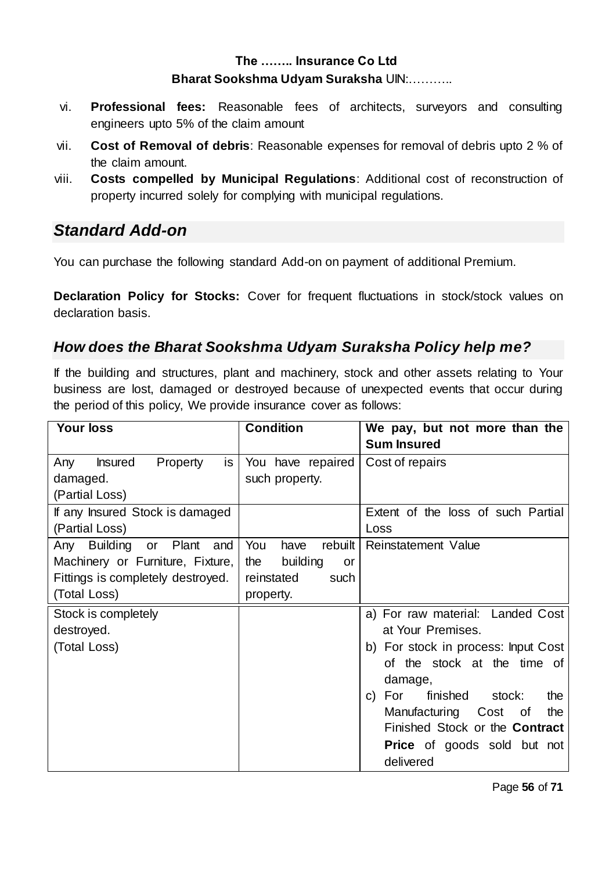- vi. **Professional fees:** Reasonable fees of architects, surveyors and consulting engineers upto 5% of the claim amount
- vii. **Cost of Removal of debris**: Reasonable expenses for removal of debris upto 2 % of the claim amount.
- viii. **Costs compelled by Municipal Regulations**: Additional cost of reconstruction of property incurred solely for complying with municipal regulations.

# *Standard Add-on*

You can purchase the following standard Add-on on payment of additional Premium.

**Declaration Policy for Stocks:** Cover for frequent fluctuations in stock/stock values on declaration basis.

# *How does the Bharat Sookshma Udyam Suraksha Policy help me?*

If the building and structures, plant and machinery, stock and other assets relating to Your business are lost, damaged or destroyed because of unexpected events that occur during the period of this policy, We provide insurance cover as follows:

| <b>Your loss</b>                        | <b>Condition</b>         | We pay, but not more than the          |
|-----------------------------------------|--------------------------|----------------------------------------|
|                                         |                          | <b>Sum Insured</b>                     |
| Property<br><b>Insured</b><br>Any<br>is | You have repaired        | Cost of repairs                        |
| damaged.                                | such property.           |                                        |
| (Partial Loss)                          |                          |                                        |
| If any Insured Stock is damaged         |                          | Extent of the loss of such Partial     |
| (Partial Loss)                          |                          | Loss                                   |
| Building<br>or Plant<br>Any<br>and      | You<br>rebuilt  <br>have | Reinstatement Value                    |
| Machinery or Furniture, Fixture,        | building<br>the<br>or    |                                        |
| Fittings is completely destroyed.       | reinstated<br>such       |                                        |
| (Total Loss)                            | property.                |                                        |
| Stock is completely                     |                          | a) For raw material: Landed Cost       |
| destroyed.                              |                          | at Your Premises.                      |
| (Total Loss)                            |                          | b) For stock in process: Input Cost    |
|                                         |                          | of the stock at the time of            |
|                                         |                          | damage,                                |
|                                         |                          | finished<br>For<br>stock:<br>the<br>C) |
|                                         |                          | Manufacturing Cost<br>the<br>οf        |
|                                         |                          | Finished Stock or the Contract         |
|                                         |                          | <b>Price</b> of goods sold but not     |
|                                         |                          | delivered                              |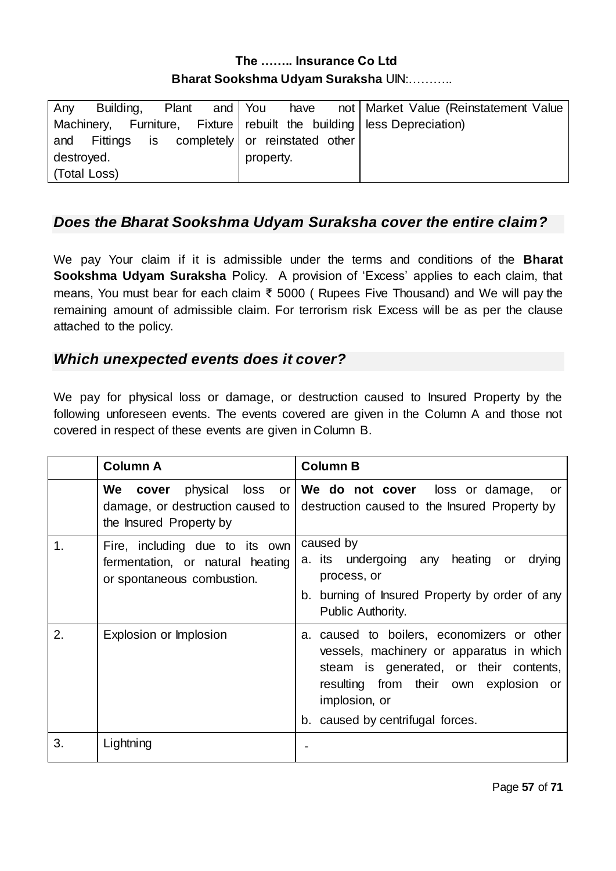| Any          |  |                                                |           |  |  | Building, Plant and You have not Market Value (Reinstatement Value        |
|--------------|--|------------------------------------------------|-----------|--|--|---------------------------------------------------------------------------|
|              |  |                                                |           |  |  | Machinery, Furniture, Fixture   rebuilt the building   less Depreciation) |
|              |  | and Fittings is completely or reinstated other |           |  |  |                                                                           |
| destroyed.   |  |                                                | property. |  |  |                                                                           |
| (Total Loss) |  |                                                |           |  |  |                                                                           |
|              |  |                                                |           |  |  |                                                                           |

# *Does the Bharat Sookshma Udyam Suraksha cover the entire claim?*

We pay Your claim if it is admissible under the terms and conditions of the **Bharat Sookshma Udyam Suraksha** Policy. A provision of 'Excess' applies to each claim, that means, You must bear for each claim ₹ 5000 ( Rupees Five Thousand) and We will pay the remaining amount of admissible claim. For terrorism risk Excess will be as per the clause attached to the policy.

## *Which unexpected events does it cover?*

We pay for physical loss or damage, or destruction caused to Insured Property by the following unforeseen events. The events covered are given in the Column A and those not covered in respect of these events are given in Column B.

|    | <b>Column A</b>                                                                                  | <b>Column B</b>                                                                                                                                                                                                                |
|----|--------------------------------------------------------------------------------------------------|--------------------------------------------------------------------------------------------------------------------------------------------------------------------------------------------------------------------------------|
|    | physical loss<br>We cover<br>damage, or destruction caused to<br>the Insured Property by         | or <b>We do not cover</b> loss or damage,<br>or<br>destruction caused to the Insured Property by                                                                                                                               |
| 1. | Fire, including due to its own<br>fermentation, or natural heating<br>or spontaneous combustion. | caused by<br>a its undergoing any heating or<br>drying<br>process, or<br>b. burning of Insured Property by order of any<br>Public Authority.                                                                                   |
| 2. | Explosion or Implosion                                                                           | a. caused to boilers, economizers or other<br>vessels, machinery or apparatus in which<br>steam is generated, or their contents,<br>resulting from their own explosion or<br>implosion, or<br>b. caused by centrifugal forces. |
| 3. | Lightning                                                                                        |                                                                                                                                                                                                                                |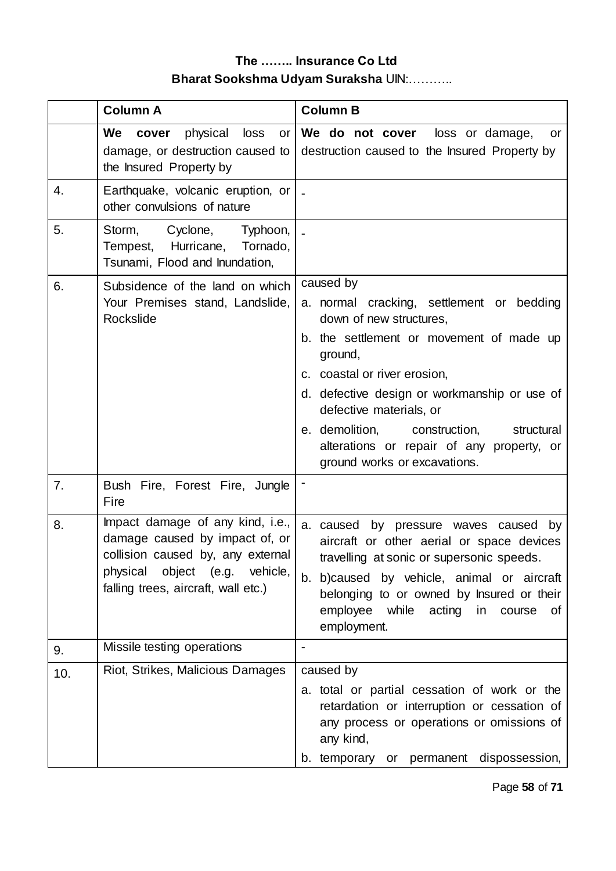|     | <b>Column A</b>                                                                                                                                                                     | <b>Column B</b>                                                                                                                                                                                                                                                                                                                                                                |
|-----|-------------------------------------------------------------------------------------------------------------------------------------------------------------------------------------|--------------------------------------------------------------------------------------------------------------------------------------------------------------------------------------------------------------------------------------------------------------------------------------------------------------------------------------------------------------------------------|
|     | physical<br>We<br>loss<br>cover<br>or<br>damage, or destruction caused to<br>the Insured Property by                                                                                | We do not cover<br>loss or damage,<br>or<br>destruction caused to the Insured Property by                                                                                                                                                                                                                                                                                      |
| 4.  | Earthquake, volcanic eruption, or<br>other convulsions of nature                                                                                                                    |                                                                                                                                                                                                                                                                                                                                                                                |
| 5.  | Storm,<br>Cyclone,<br>Typhoon,<br>Tempest, Hurricane,<br>Tornado,<br>Tsunami, Flood and Inundation,                                                                                 |                                                                                                                                                                                                                                                                                                                                                                                |
| 6.  | Subsidence of the land on which<br>Your Premises stand, Landslide,<br>Rockslide                                                                                                     | caused by<br>a. normal cracking, settlement or bedding<br>down of new structures,<br>b. the settlement or movement of made up<br>ground,<br>c. coastal or river erosion,<br>d. defective design or workmanship or use of<br>defective materials, or<br>e. demolition, construction,<br>structural<br>alterations or repair of any property, or<br>ground works or excavations. |
| 7.  | Bush Fire, Forest Fire, Jungle<br>Fire                                                                                                                                              |                                                                                                                                                                                                                                                                                                                                                                                |
| 8.  | Impact damage of any kind, i.e.,<br>damage caused by impact of, or<br>collision caused by, any external<br>physical<br>object (e.g. vehicle,<br>falling trees, aircraft, wall etc.) | a. caused<br>by pressure waves caused by<br>aircraft or other aerial or space devices<br>travelling at sonic or supersonic speeds.<br>b. b)caused by vehicle, animal or aircraft<br>belonging to or owned by Insured or their<br>employee<br>while acting in course<br>0f<br>employment.                                                                                       |
| 9.  | Missile testing operations                                                                                                                                                          | $\blacksquare$                                                                                                                                                                                                                                                                                                                                                                 |
| 10. | Riot, Strikes, Malicious Damages                                                                                                                                                    | caused by<br>a. total or partial cessation of work or the<br>retardation or interruption or cessation of<br>any process or operations or omissions of<br>any kind,<br>b. temporary or permanent dispossession,                                                                                                                                                                 |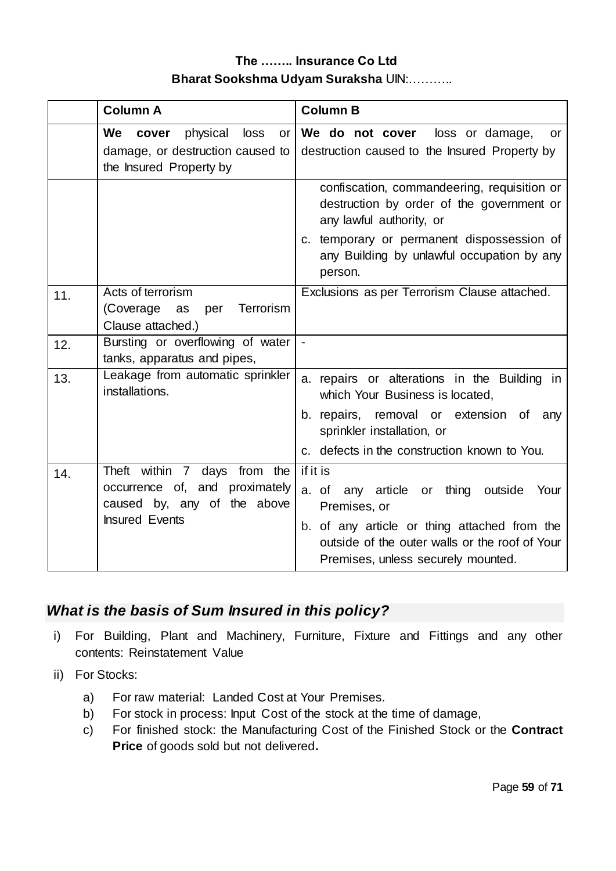|     | <b>Column A</b>                                                                                                        | <b>Column B</b>                                                                                                                                                                                                   |
|-----|------------------------------------------------------------------------------------------------------------------------|-------------------------------------------------------------------------------------------------------------------------------------------------------------------------------------------------------------------|
|     | We<br>physical<br>cover<br>loss<br>or <sub>l</sub><br>damage, or destruction caused to<br>the Insured Property by      | We do not cover<br>loss or damage,<br>or<br>destruction caused to the Insured Property by                                                                                                                         |
|     |                                                                                                                        | confiscation, commandeering, requisition or<br>destruction by order of the government or<br>any lawful authority, or                                                                                              |
|     |                                                                                                                        | c. temporary or permanent dispossession of<br>any Building by unlawful occupation by any<br>person.                                                                                                               |
| 11. | Acts of terrorism<br>Terrorism<br>(Coverage<br>per<br>as<br>Clause attached.)                                          | Exclusions as per Terrorism Clause attached.                                                                                                                                                                      |
| 12. | Bursting or overflowing of water<br>tanks, apparatus and pipes,                                                        | $\blacksquare$                                                                                                                                                                                                    |
| 13. | Leakage from automatic sprinkler<br>installations.                                                                     | a. repairs or alterations in the Building in<br>which Your Business is located,                                                                                                                                   |
|     |                                                                                                                        | b. repairs, removal or extension of any<br>sprinkler installation, or                                                                                                                                             |
|     |                                                                                                                        | c. defects in the construction known to You.                                                                                                                                                                      |
| 14. | Theft within 7 days from the<br>occurrence of, and proximately<br>caused by, any of the above<br><b>Insured Events</b> | if it is<br>any article or thing outside<br>a. of<br>Your<br>Premises, or<br>b. of any article or thing attached from the<br>outside of the outer walls or the roof of Your<br>Premises, unless securely mounted. |

# *What is the basis of Sum Insured in this policy?*

- i) For Building, Plant and Machinery, Furniture, Fixture and Fittings and any other contents: Reinstatement Value
- ii) For Stocks:
	- a) For raw material: Landed Cost at Your Premises.
	- b) For stock in process: Input Cost of the stock at the time of damage,
	- c) For finished stock: the Manufacturing Cost of the Finished Stock or the **Contract Price** of goods sold but not delivered**.**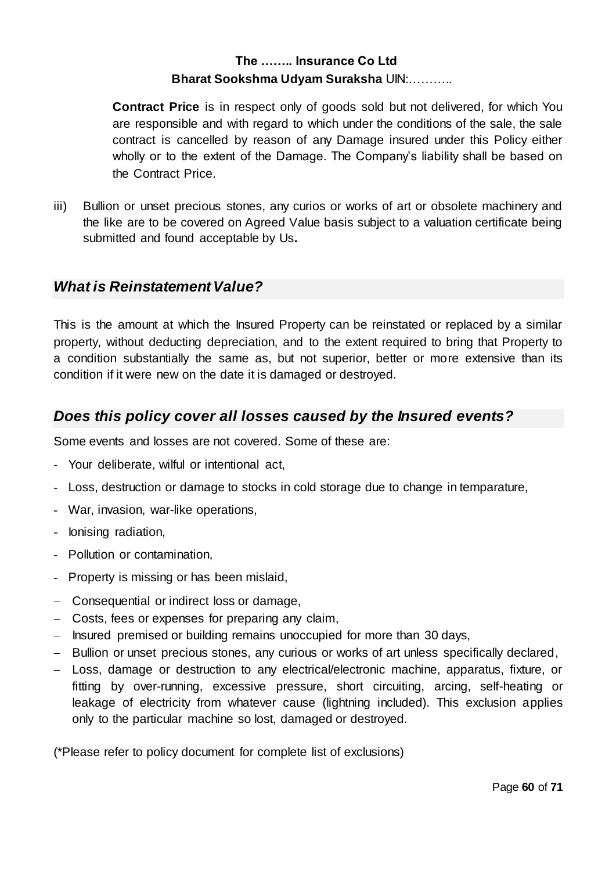**Contract Price** is in respect only of goods sold but not delivered, for which You are responsible and with regard to which under the conditions of the sale, the sale contract is cancelled by reason of any Damage insured under this Policy either wholly or to the extent of the Damage. The Company's liability shall be based on the Contract Price.

iii) Bullion or unset precious stones, any curios or works of art or obsolete machinery and the like are to be covered on Agreed Value basis subject to a valuation certificate being submitted and found acceptable by Us**.**

## *What is Reinstatement Value?*

This is the amount at which the Insured Property can be reinstated or replaced by a similar property, without deducting depreciation, and to the extent required to bring that Property to a condition substantially the same as, but not superior, better or more extensive than its condition if it were new on the date it is damaged or destroyed.

## *Does this policy cover all losses caused by the Insured events?*

Some events and losses are not covered. Some of these are:

- Your deliberate, wilful or intentional act,
- Loss, destruction or damage to stocks in cold storage due to change in temparature,
- War, invasion, war-like operations,
- Ionising radiation,
- Pollution or contamination,
- Property is missing or has been mislaid,
- Consequential or indirect loss or damage,
- Costs, fees or expenses for preparing any claim,
- Insured premised or building remains unoccupied for more than 30 days,
- Bullion or unset precious stones, any curious or works of art unless specifically declared,
- Loss, damage or destruction to any electrical/electronic machine, apparatus, fixture, or fitting by over-running, excessive pressure, short circuiting, arcing, self-heating or leakage of electricity from whatever cause (lightning included). This exclusion applies only to the particular machine so lost, damaged or destroyed.

(\*Please refer to policy document for complete list of exclusions)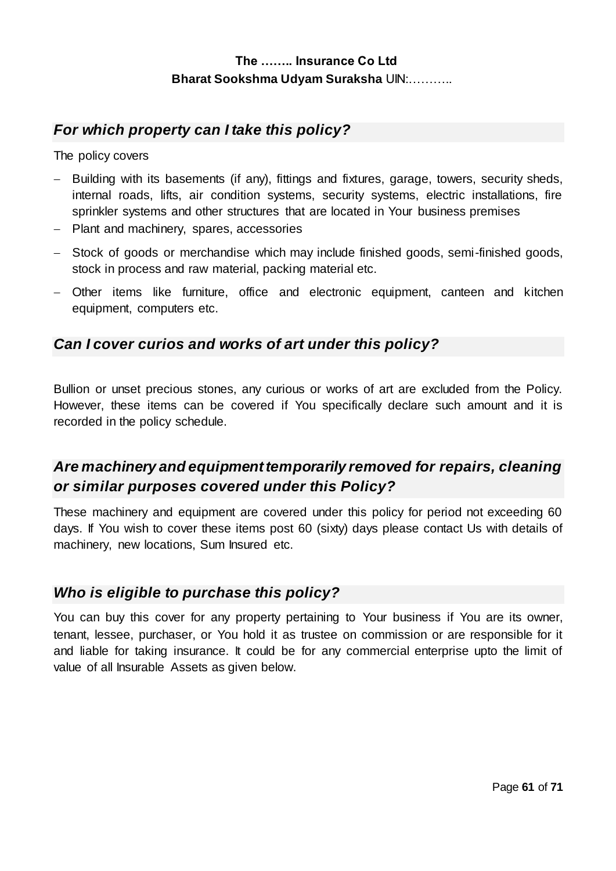## *For which property can I take this policy?*

The policy covers

- Building with its basements (if any), fittings and fixtures, garage, towers, security sheds, internal roads, lifts, air condition systems, security systems, electric installations, fire sprinkler systems and other structures that are located in Your business premises
- Plant and machinery, spares, accessories
- Stock of goods or merchandise which may include finished goods, semi-finished goods, stock in process and raw material, packing material etc.
- Other items like furniture, office and electronic equipment, canteen and kitchen equipment, computers etc.

## *Can I cover curios and works of art under this policy?*

Bullion or unset precious stones, any curious or works of art are excluded from the Policy. However, these items can be covered if You specifically declare such amount and it is recorded in the policy schedule.

# *Are machinery and equipment temporarily removed for repairs, cleaning or similar purposes covered under this Policy?*

These machinery and equipment are covered under this policy for period not exceeding 60 days. If You wish to cover these items post 60 (sixty) days please contact Us with details of machinery, new locations, Sum Insured etc.

## *Who is eligible to purchase this policy?*

You can buy this cover for any property pertaining to Your business if You are its owner, tenant, lessee, purchaser, or You hold it as trustee on commission or are responsible for it and liable for taking insurance. It could be for any commercial enterprise upto the limit of value of all Insurable Assets as given below.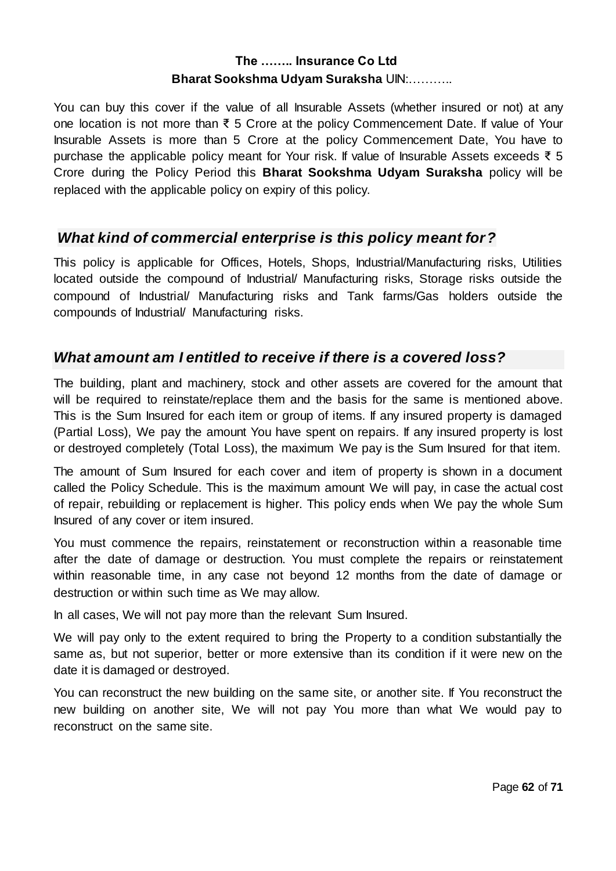You can buy this cover if the value of all Insurable Assets (whether insured or not) at any one location is not more than ₹ 5 Crore at the policy Commencement Date. If value of Your Insurable Assets is more than 5 Crore at the policy Commencement Date, You have to purchase the applicable policy meant for Your risk. If value of Insurable Assets exceeds ₹ 5 Crore during the Policy Period this **Bharat Sookshma Udyam Suraksha** policy will be replaced with the applicable policy on expiry of this policy.

## *What kind of commercial enterprise is this policy meant for?*

This policy is applicable for Offices, Hotels, Shops, Industrial/Manufacturing risks, Utilities located outside the compound of Industrial/ Manufacturing risks, Storage risks outside the compound of Industrial/ Manufacturing risks and Tank farms/Gas holders outside the compounds of Industrial/ Manufacturing risks.

## *What amount am I entitled to receive if there is a covered loss?*

The building, plant and machinery, stock and other assets are covered for the amount that will be required to reinstate/replace them and the basis for the same is mentioned above. This is the Sum Insured for each item or group of items. If any insured property is damaged (Partial Loss), We pay the amount You have spent on repairs. If any insured property is lost or destroyed completely (Total Loss), the maximum We pay is the Sum Insured for that item.

The amount of Sum Insured for each cover and item of property is shown in a document called the Policy Schedule. This is the maximum amount We will pay, in case the actual cost of repair, rebuilding or replacement is higher. This policy ends when We pay the whole Sum Insured of any cover or item insured.

You must commence the repairs, reinstatement or reconstruction within a reasonable time after the date of damage or destruction. You must complete the repairs or reinstatement within reasonable time, in any case not beyond 12 months from the date of damage or destruction or within such time as We may allow.

In all cases, We will not pay more than the relevant Sum Insured.

We will pay only to the extent required to bring the Property to a condition substantially the same as, but not superior, better or more extensive than its condition if it were new on the date it is damaged or destroyed.

You can reconstruct the new building on the same site, or another site. If You reconstruct the new building on another site, We will not pay You more than what We would pay to reconstruct on the same site.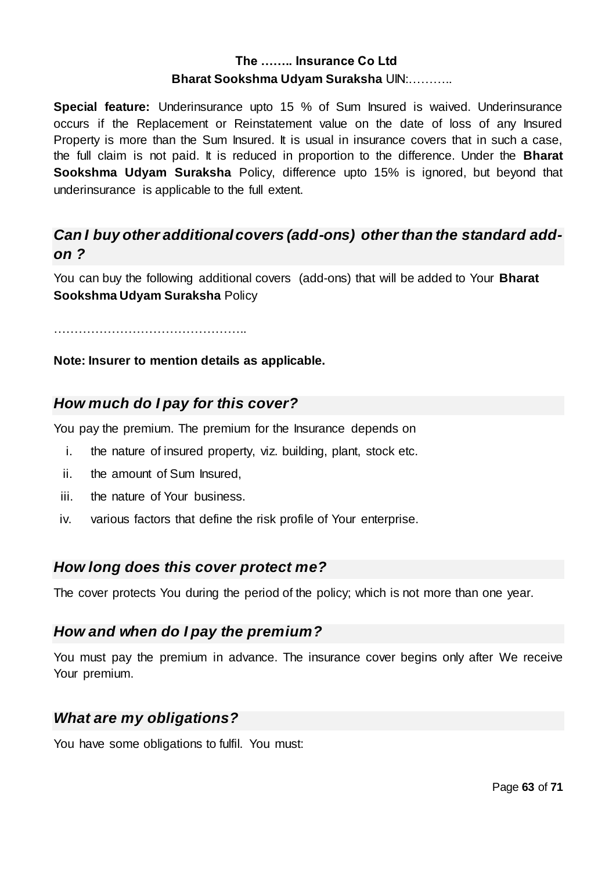**Special feature:** Underinsurance upto 15 % of Sum Insured is waived. Underinsurance occurs if the Replacement or Reinstatement value on the date of loss of any Insured Property is more than the Sum Insured. It is usual in insurance covers that in such a case, the full claim is not paid. It is reduced in proportion to the difference. Under the **Bharat Sookshma Udyam Suraksha** Policy, difference upto 15% is ignored, but beyond that underinsurance is applicable to the full extent.

# *Can I buy other additional covers (add-ons) other than the standard addon ?*

You can buy the following additional covers (add-ons) that will be added to Your **Bharat Sookshma Udyam Suraksha** Policy

………………………………………..

#### **Note: Insurer to mention details as applicable.**

## *How much do I pay for this cover?*

You pay the premium. The premium for the Insurance depends on

- i. the nature of insured property, viz. building, plant, stock etc.
- ii. the amount of Sum Insured,
- iii. the nature of Your business.
- iv. various factors that define the risk profile of Your enterprise.

## *How long does this cover protect me?*

The cover protects You during the period of the policy; which is not more than one year.

## *How and when do I pay the premium?*

You must pay the premium in advance. The insurance cover begins only after We receive Your premium.

## *What are my obligations?*

You have some obligations to fulfil. You must: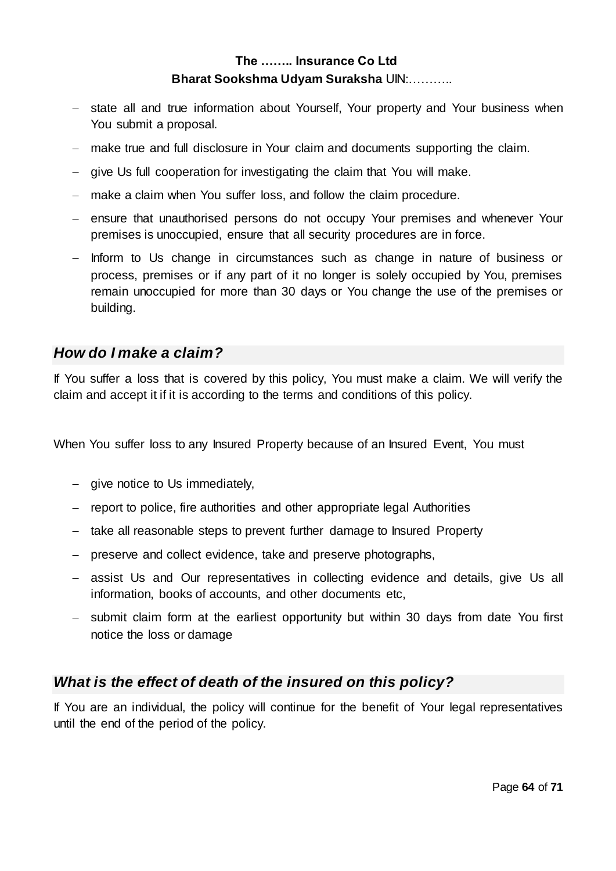- state all and true information about Yourself, Your property and Your business when You submit a proposal.
- make true and full disclosure in Your claim and documents supporting the claim.
- give Us full cooperation for investigating the claim that You will make.
- make a claim when You suffer loss, and follow the claim procedure.
- ensure that unauthorised persons do not occupy Your premises and whenever Your premises is unoccupied, ensure that all security procedures are in force.
- Inform to Us change in circumstances such as change in nature of business or process, premises or if any part of it no longer is solely occupied by You, premises remain unoccupied for more than 30 days or You change the use of the premises or building.

## *How do I make a claim?*

If You suffer a loss that is covered by this policy, You must make a claim. We will verify the claim and accept it if it is according to the terms and conditions of this policy.

When You suffer loss to any Insured Property because of an Insured Event, You must

- $-$  give notice to Us immediately,
- report to police, fire authorities and other appropriate legal Authorities
- take all reasonable steps to prevent further damage to Insured Property
- preserve and collect evidence, take and preserve photographs,
- assist Us and Our representatives in collecting evidence and details, give Us all information, books of accounts, and other documents etc,
- submit claim form at the earliest opportunity but within 30 days from date You first notice the loss or damage

# *What is the effect of death of the insured on this policy?*

If You are an individual, the policy will continue for the benefit of Your legal representatives until the end of the period of the policy.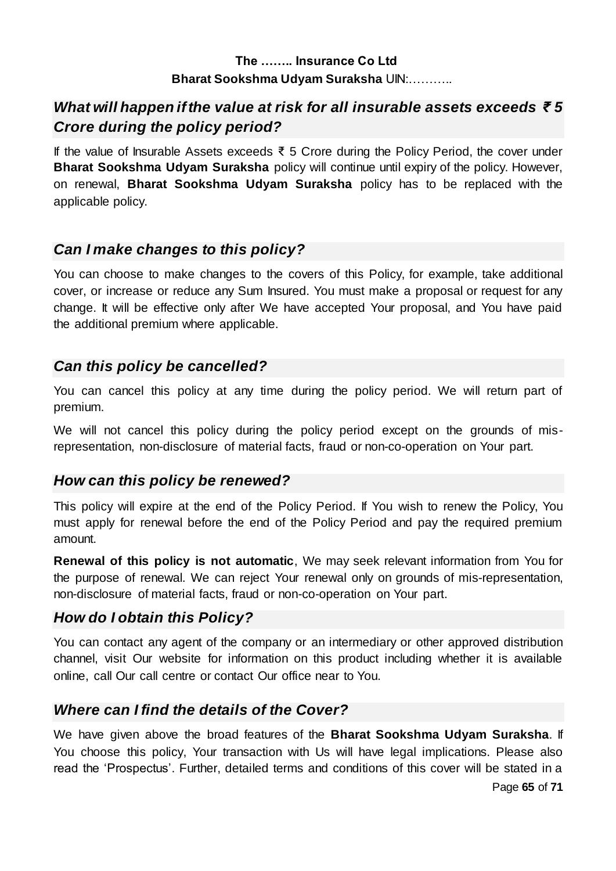# *What will happen if the value at risk for all insurable assets exceeds ₹ 5 Crore during the policy period?*

If the value of Insurable Assets exceeds ₹ 5 Crore during the Policy Period, the cover under **Bharat Sookshma Udyam Suraksha** policy will continue until expiry of the policy. However, on renewal, **Bharat Sookshma Udyam Suraksha** policy has to be replaced with the applicable policy.

# *Can I make changes to this policy?*

You can choose to make changes to the covers of this Policy, for example, take additional cover, or increase or reduce any Sum Insured. You must make a proposal or request for any change. It will be effective only after We have accepted Your proposal, and You have paid the additional premium where applicable.

## *Can this policy be cancelled?*

You can cancel this policy at any time during the policy period. We will return part of premium.

We will not cancel this policy during the policy period except on the grounds of misrepresentation, non-disclosure of material facts, fraud or non-co-operation on Your part.

# *How can this policy be renewed?*

This policy will expire at the end of the Policy Period. If You wish to renew the Policy, You must apply for renewal before the end of the Policy Period and pay the required premium amount.

**Renewal of this policy is not automatic**, We may seek relevant information from You for the purpose of renewal. We can reject Your renewal only on grounds of mis-representation, non-disclosure of material facts, fraud or non-co-operation on Your part.

# *How do I obtain this Policy?*

You can contact any agent of the company or an intermediary or other approved distribution channel, visit Our website for information on this product including whether it is available online, call Our call centre or contact Our office near to You.

# *Where can I find the details of the Cover?*

We have given above the broad features of the **Bharat Sookshma Udyam Suraksha**. If You choose this policy, Your transaction with Us will have legal implications. Please also read the 'Prospectus'. Further, detailed terms and conditions of this cover will be stated in a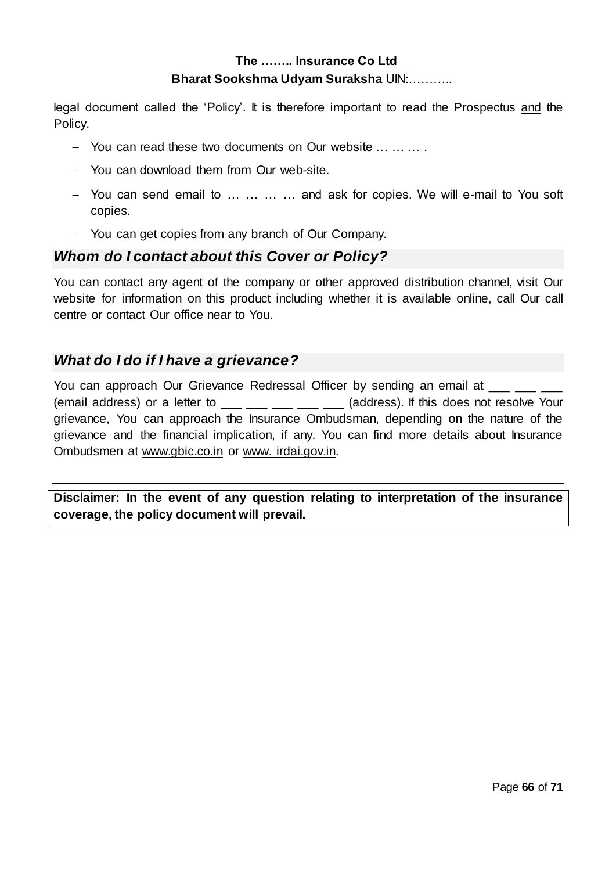legal document called the 'Policy'. It is therefore important to read the Prospectus and the Policy.

- You can read these two documents on Our website ... ... ...
- You can download them from Our web-site.
- You can send email to … … … … and ask for copies. We will e-mail to You soft copies.
- You can get copies from any branch of Our Company.

## *Whom do I contact about this Cover or Policy?*

You can contact any agent of the company or other approved distribution channel, visit Our website for information on this product including whether it is available online, call Our call centre or contact Our office near to You.

## *What do I do if I have a grievance?*

You can approach Our Grievance Redressal Officer by sending an email at \_\_\_\_\_ (email address) or a letter to  $\frac{1}{2}$   $\frac{1}{2}$   $\frac{1}{2}$   $\frac{1}{2}$  (address). If this does not resolve Your grievance, You can approach the Insurance Ombudsman, depending on the nature of the grievance and the financial implication, if any. You can find more details about Insurance Ombudsmen at [www.gbic.co.in](http://www.gbic.co.in/) or www. [irdai.gov.in.](http://www.irda.gov.in/) 

**Disclaimer: In the event of any question relating to interpretation of the insurance coverage, the policy document will prevail.**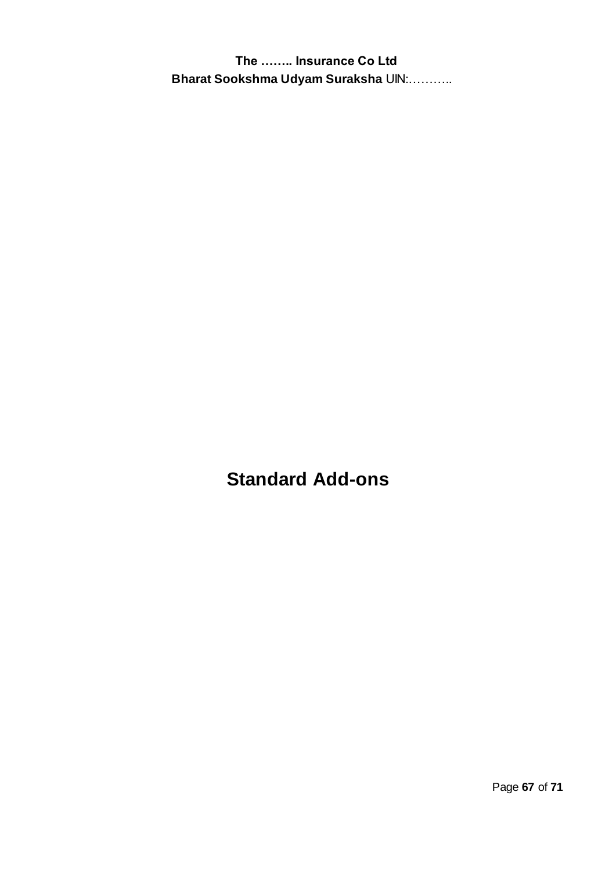**Standard Add-ons**

Page **67** of **71**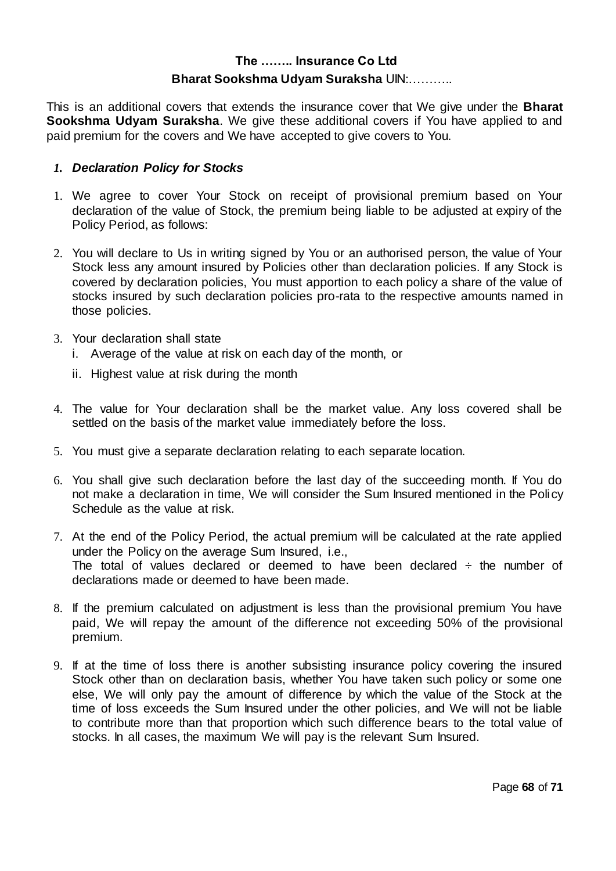This is an additional covers that extends the insurance cover that We give under the **Bharat Sookshma Udyam Suraksha**. We give these additional covers if You have applied to and paid premium for the covers and We have accepted to give covers to You.

#### *1. Declaration Policy for Stocks*

- 1. We agree to cover Your Stock on receipt of provisional premium based on Your declaration of the value of Stock, the premium being liable to be adjusted at expiry of the Policy Period, as follows:
- 2. You will declare to Us in writing signed by You or an authorised person, the value of Your Stock less any amount insured by Policies other than declaration policies. If any Stock is covered by declaration policies, You must apportion to each policy a share of the value of stocks insured by such declaration policies pro-rata to the respective amounts named in those policies.
- 3. Your declaration shall state
	- i. Average of the value at risk on each day of the month, or
	- ii. Highest value at risk during the month
- 4. The value for Your declaration shall be the market value. Any loss covered shall be settled on the basis of the market value immediately before the loss.
- 5. You must give a separate declaration relating to each separate location.
- 6. You shall give such declaration before the last day of the succeeding month. If You do not make a declaration in time, We will consider the Sum Insured mentioned in the Policy Schedule as the value at risk.
- 7. At the end of the Policy Period, the actual premium will be calculated at the rate applied under the Policy on the average Sum Insured, i.e., The total of values declared or deemed to have been declared  $\div$  the number of declarations made or deemed to have been made.
- 8. If the premium calculated on adjustment is less than the provisional premium You have paid, We will repay the amount of the difference not exceeding 50% of the provisional premium.
- 9. If at the time of loss there is another subsisting insurance policy covering the insured Stock other than on declaration basis, whether You have taken such policy or some one else, We will only pay the amount of difference by which the value of the Stock at the time of loss exceeds the Sum Insured under the other policies, and We will not be liable to contribute more than that proportion which such difference bears to the total value of stocks. In all cases, the maximum We will pay is the relevant Sum Insured.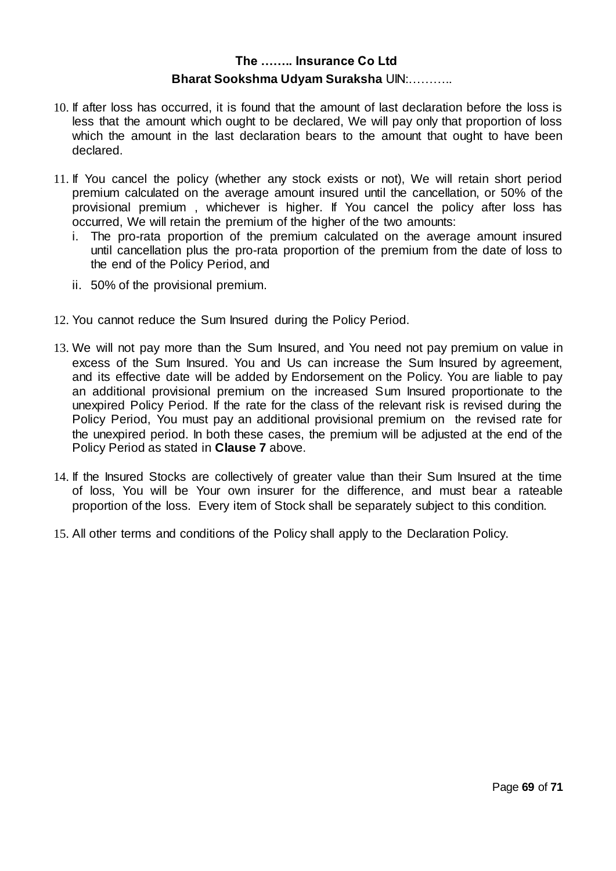- 10. If after loss has occurred, it is found that the amount of last declaration before the loss is less that the amount which ought to be declared, We will pay only that proportion of loss which the amount in the last declaration bears to the amount that ought to have been declared.
- 11. If You cancel the policy (whether any stock exists or not), We will retain short period premium calculated on the average amount insured until the cancellation, or 50% of the provisional premium , whichever is higher. If You cancel the policy after loss has occurred, We will retain the premium of the higher of the two amounts:
	- i. The pro-rata proportion of the premium calculated on the average amount insured until cancellation plus the pro-rata proportion of the premium from the date of loss to the end of the Policy Period, and
	- ii. 50% of the provisional premium.
- 12. You cannot reduce the Sum Insured during the Policy Period.
- 13. We will not pay more than the Sum Insured, and You need not pay premium on value in excess of the Sum Insured. You and Us can increase the Sum Insured by agreement, and its effective date will be added by Endorsement on the Policy. You are liable to pay an additional provisional premium on the increased Sum Insured proportionate to the unexpired Policy Period. If the rate for the class of the relevant risk is revised during the Policy Period, You must pay an additional provisional premium on the revised rate for the unexpired period. In both these cases, the premium will be adjusted at the end of the Policy Period as stated in **Clause 7** above.
- 14. If the Insured Stocks are collectively of greater value than their Sum Insured at the time of loss, You will be Your own insurer for the difference, and must bear a rateable proportion of the loss. Every item of Stock shall be separately subject to this condition.
- 15. All other terms and conditions of the Policy shall apply to the Declaration Policy.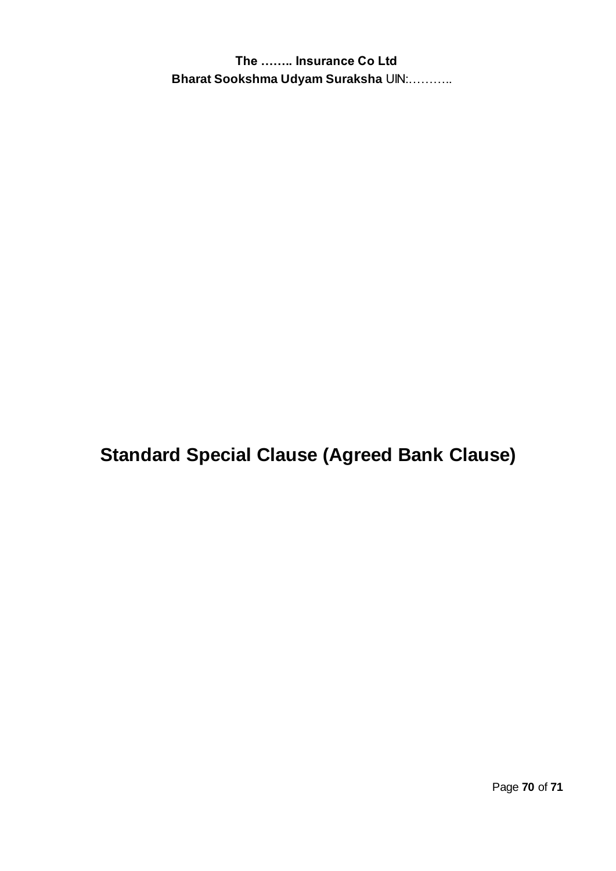**Standard Special Clause (Agreed Bank Clause)**